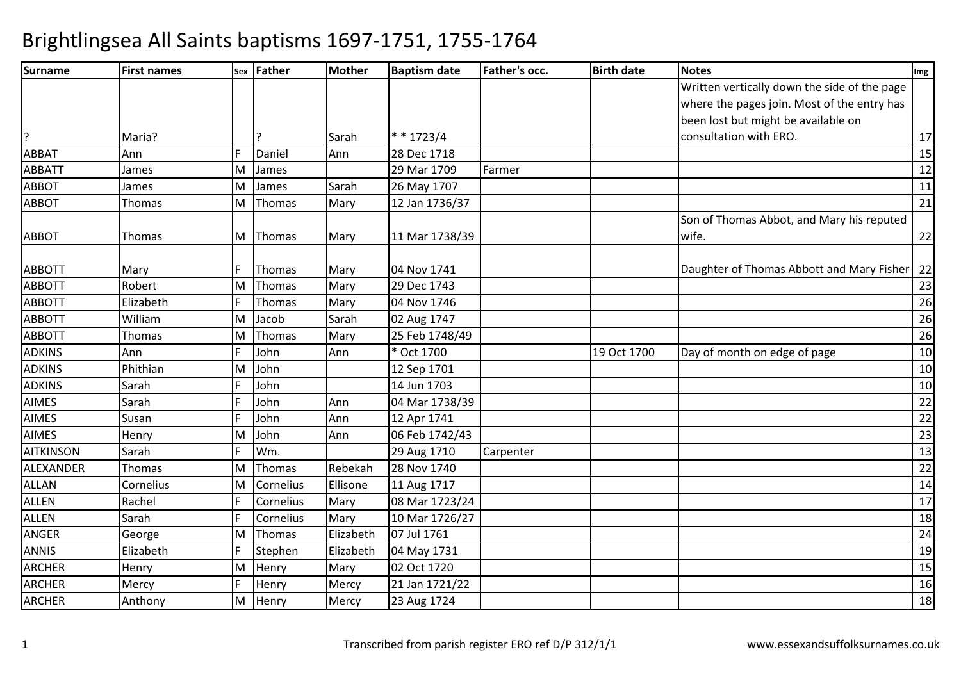| <b>Surname</b>   | <b>First names</b> |     | sex Father | <b>Mother</b> | <b>Baptism date</b> | <b>Father's occ.</b> | <b>Birth date</b> | <b>Notes</b>                                 | $Im$ g          |
|------------------|--------------------|-----|------------|---------------|---------------------|----------------------|-------------------|----------------------------------------------|-----------------|
|                  |                    |     |            |               |                     |                      |                   | Written vertically down the side of the page |                 |
|                  |                    |     |            |               |                     |                      |                   | where the pages join. Most of the entry has  |                 |
|                  |                    |     |            |               |                     |                      |                   | been lost but might be available on          |                 |
| ?                | Maria?             |     |            | Sarah         | $* * 1723/4$        |                      |                   | consultation with ERO.                       | $17\,$          |
| <b>ABBAT</b>     | Ann                |     | Daniel     | Ann           | 28 Dec 1718         |                      |                   |                                              | 15              |
| <b>ABBATT</b>    | James              | ΙM  | James      |               | 29 Mar 1709         | Farmer               |                   |                                              | 12              |
| <b>ABBOT</b>     | James              | M   | James      | Sarah         | 26 May 1707         |                      |                   |                                              | 11              |
| <b>ABBOT</b>     | Thomas             | M   | Thomas     | Mary          | 12 Jan 1736/37      |                      |                   |                                              | 21              |
|                  |                    |     |            |               |                     |                      |                   | Son of Thomas Abbot, and Mary his reputed    |                 |
| <b>ABBOT</b>     | Thomas             | IM. | Thomas     | Mary          | 11 Mar 1738/39      |                      |                   | wife.                                        | 22              |
| <b>ABBOTT</b>    | Mary               |     | Thomas     | Mary          | 04 Nov 1741         |                      |                   | Daughter of Thomas Abbott and Mary Fisher    | 22              |
| <b>ABBOTT</b>    | Robert             | ΙM  | Thomas     | Mary          | 29 Dec 1743         |                      |                   |                                              | 23              |
| <b>ABBOTT</b>    | Elizabeth          | F   | Thomas     | Mary          | 04 Nov 1746         |                      |                   |                                              | 26              |
| <b>ABBOTT</b>    | William            | M   | Jacob      | Sarah         | 02 Aug 1747         |                      |                   |                                              | 26              |
| <b>ABBOTT</b>    | Thomas             | ΙM  | Thomas     | Mary          | 25 Feb 1748/49      |                      |                   |                                              | 26              |
| <b>ADKINS</b>    | Ann                |     | John       | Ann           | Oct 1700            |                      | 19 Oct 1700       | Day of month on edge of page                 | 10              |
| <b>ADKINS</b>    | Phithian           | ΙM  | John       |               | 12 Sep 1701         |                      |                   |                                              | 10              |
| <b>ADKINS</b>    | Sarah              |     | John       |               | 14 Jun 1703         |                      |                   |                                              | 10              |
| <b>AIMES</b>     | Sarah              |     | John       | Ann           | 04 Mar 1738/39      |                      |                   |                                              | 22              |
| <b>AIMES</b>     | Susan              | F   | John       | Ann           | 12 Apr 1741         |                      |                   |                                              | $\overline{22}$ |
| <b>AIMES</b>     | Henry              | ΙM  | John       | Ann           | 06 Feb 1742/43      |                      |                   |                                              | 23              |
| <b>AITKINSON</b> | Sarah              |     | Wm.        |               | 29 Aug 1710         | Carpenter            |                   |                                              | 13              |
| ALEXANDER        | Thomas             | M   | Thomas     | Rebekah       | 28 Nov 1740         |                      |                   |                                              | $\overline{22}$ |
| <b>ALLAN</b>     | Cornelius          | M   | Cornelius  | Ellisone      | 11 Aug 1717         |                      |                   |                                              | 14              |
| <b>ALLEN</b>     | Rachel             |     | Cornelius  | Mary          | 08 Mar 1723/24      |                      |                   |                                              | 17              |
| <b>ALLEN</b>     | Sarah              | F   | Cornelius  | Mary          | 10 Mar 1726/27      |                      |                   |                                              | 18              |
| <b>ANGER</b>     | George             | M   | Thomas     | Elizabeth     | 07 Jul 1761         |                      |                   |                                              | 24              |
| <b>ANNIS</b>     | Elizabeth          |     | Stephen    | Elizabeth     | 04 May 1731         |                      |                   |                                              | 19              |
| <b>ARCHER</b>    | Henry              | M   | Henry      | Mary          | 02 Oct 1720         |                      |                   |                                              | 15              |
| <b>ARCHER</b>    | Mercy              | F   | Henry      | Mercy         | 21 Jan 1721/22      |                      |                   |                                              | 16              |
| <b>ARCHER</b>    | Anthony            | M   | Henry      | Mercy         | 23 Aug 1724         |                      |                   |                                              | 18              |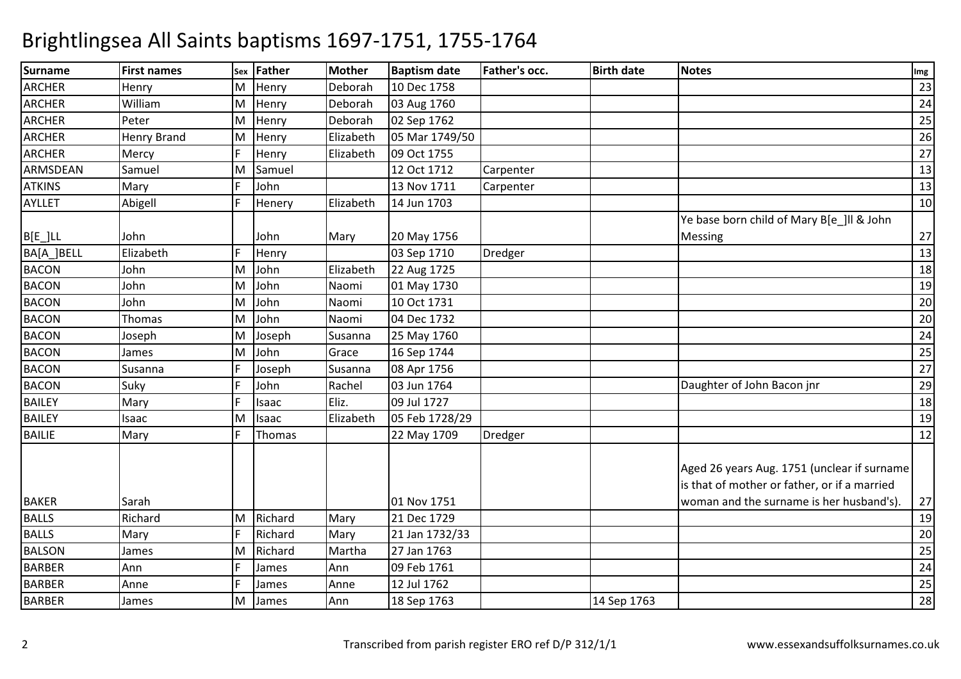| <b>Surname</b> | <b>First names</b> |   | sex Father | <b>Mother</b> | <b>Baptism date</b> | Father's occ. | <b>Birth date</b> | <b>Notes</b>                                                                                                                           | Img |
|----------------|--------------------|---|------------|---------------|---------------------|---------------|-------------------|----------------------------------------------------------------------------------------------------------------------------------------|-----|
| <b>ARCHER</b>  | Henry              | М | Henry      | Deborah       | 10 Dec 1758         |               |                   |                                                                                                                                        | 23  |
| <b>ARCHER</b>  | William            | M | Henry      | Deborah       | 03 Aug 1760         |               |                   |                                                                                                                                        | 24  |
| <b>ARCHER</b>  | Peter              | M | Henry      | Deborah       | 02 Sep 1762         |               |                   |                                                                                                                                        | 25  |
| <b>ARCHER</b>  | <b>Henry Brand</b> | M | Henry      | Elizabeth     | 05 Mar 1749/50      |               |                   |                                                                                                                                        | 26  |
| <b>ARCHER</b>  | Mercy              |   | Henry      | Elizabeth     | 09 Oct 1755         |               |                   |                                                                                                                                        | 27  |
| ARMSDEAN       | Samuel             | M | Samuel     |               | 12 Oct 1712         | Carpenter     |                   |                                                                                                                                        | 13  |
| <b>ATKINS</b>  | Mary               |   | John       |               | 13 Nov 1711         | Carpenter     |                   |                                                                                                                                        | 13  |
| <b>AYLLET</b>  | Abigell            |   | Henery     | Elizabeth     | 14 Jun 1703         |               |                   |                                                                                                                                        | 10  |
|                |                    |   |            |               |                     |               |                   | Ye base born child of Mary B[e_]ll & John                                                                                              |     |
| $B[E_]LL$      | John               |   | John       | Mary          | 20 May 1756         |               |                   | <b>Messing</b>                                                                                                                         | 27  |
| BA[A_]BELL     | Elizabeth          |   | Henry      |               | 03 Sep 1710         | Dredger       |                   |                                                                                                                                        | 13  |
| <b>BACON</b>   | John               | M | John       | Elizabeth     | 22 Aug 1725         |               |                   |                                                                                                                                        | 18  |
| <b>BACON</b>   | John               | M | John       | Naomi         | 01 May 1730         |               |                   |                                                                                                                                        | 19  |
| <b>BACON</b>   | John               | M | John       | Naomi         | 10 Oct 1731         |               |                   |                                                                                                                                        | 20  |
| <b>BACON</b>   | Thomas             | M | John       | Naomi         | 04 Dec 1732         |               |                   |                                                                                                                                        | 20  |
| <b>BACON</b>   | Joseph             | M | Joseph     | Susanna       | 25 May 1760         |               |                   |                                                                                                                                        | 24  |
| <b>BACON</b>   | James              | М | John       | Grace         | 16 Sep 1744         |               |                   |                                                                                                                                        | 25  |
| <b>BACON</b>   | Susanna            |   | Joseph     | Susanna       | 08 Apr 1756         |               |                   |                                                                                                                                        | 27  |
| <b>BACON</b>   | Suky               |   | John       | Rachel        | 03 Jun 1764         |               |                   | Daughter of John Bacon jnr                                                                                                             | 29  |
| <b>BAILEY</b>  | Mary               |   | Isaac      | Eliz.         | 09 Jul 1727         |               |                   |                                                                                                                                        | 18  |
| <b>BAILEY</b>  | Isaac              | M | Isaac      | Elizabeth     | 05 Feb 1728/29      |               |                   |                                                                                                                                        | 19  |
| <b>BAILIE</b>  | Mary               |   | Thomas     |               | 22 May 1709         | Dredger       |                   |                                                                                                                                        | 12  |
| <b>BAKER</b>   | Sarah              |   |            |               | 01 Nov 1751         |               |                   | Aged 26 years Aug. 1751 (unclear if surname<br>is that of mother or father, or if a married<br>woman and the surname is her husband's) | 27  |
| <b>BALLS</b>   | Richard            | M | Richard    | Mary          | 21 Dec 1729         |               |                   |                                                                                                                                        | 19  |
| <b>BALLS</b>   | Mary               |   | Richard    | Mary          | 21 Jan 1732/33      |               |                   |                                                                                                                                        | 20  |
| <b>BALSON</b>  | James              | M | Richard    | Martha        | 27 Jan 1763         |               |                   |                                                                                                                                        | 25  |
| <b>BARBER</b>  | Ann                |   | James      | Ann           | 09 Feb 1761         |               |                   |                                                                                                                                        | 24  |
| <b>BARBER</b>  | Anne               |   | James      | Anne          | 12 Jul 1762         |               |                   |                                                                                                                                        | 25  |
| <b>BARBER</b>  | James              | M | James      | Ann           | 18 Sep 1763         |               | 14 Sep 1763       |                                                                                                                                        | 28  |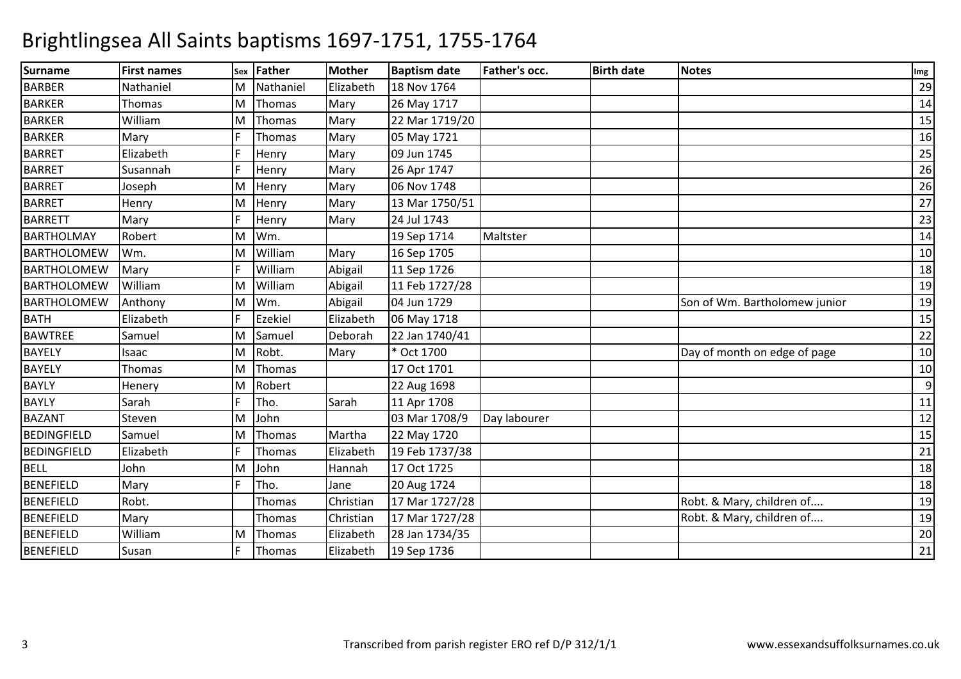| <b>Surname</b>     | <b>First names</b> |    | sex Father     | <b>Mother</b> | <b>Baptism date</b> | <b>Father's occ.</b> | <b>Birth date</b> | <b>Notes</b>                  | Img |
|--------------------|--------------------|----|----------------|---------------|---------------------|----------------------|-------------------|-------------------------------|-----|
| <b>BARBER</b>      | Nathaniel          | M  | Nathaniel      | Elizabeth     | 18 Nov 1764         |                      |                   |                               | 29  |
| <b>BARKER</b>      | Thomas             | M  | <b>Thomas</b>  | Mary          | 26 May 1717         |                      |                   |                               | 14  |
| <b>BARKER</b>      | William            | M  | Thomas         | Mary          | 22 Mar 1719/20      |                      |                   |                               | 15  |
| <b>BARKER</b>      | Mary               |    | Thomas         | Mary          | 05 May 1721         |                      |                   |                               | 16  |
| <b>BARRET</b>      | Elizabeth          |    | Henry          | Mary          | 09 Jun 1745         |                      |                   |                               | 25  |
| <b>BARRET</b>      | Susannah           |    | Henry          | Mary          | 26 Apr 1747         |                      |                   |                               | 26  |
| <b>BARRET</b>      | Joseph             | M  | Henry          | Mary          | 06 Nov 1748         |                      |                   |                               | 26  |
| <b>BARRET</b>      | Henry              | M  | Henry          | Mary          | 13 Mar 1750/51      |                      |                   |                               | 27  |
| <b>BARRETT</b>     | Mary               | E  | Henry          | Mary          | 24 Jul 1743         |                      |                   |                               | 23  |
| <b>BARTHOLMAY</b>  | Robert             | ΙM | Wm.            |               | 19 Sep 1714         | Maltster             |                   |                               | 14  |
| <b>BARTHOLOMEW</b> | Wm.                | M  | William        | Mary          | 16 Sep 1705         |                      |                   |                               | 10  |
| <b>BARTHOLOMEW</b> | Mary               |    | William        | Abigail       | 11 Sep 1726         |                      |                   |                               | 18  |
| <b>BARTHOLOMEW</b> | William            | ΙM | William        | Abigail       | 11 Feb 1727/28      |                      |                   |                               | 19  |
| <b>BARTHOLOMEW</b> | Anthony            | ΙM | Wm.            | Abigail       | 04 Jun 1729         |                      |                   | Son of Wm. Bartholomew junior | 19  |
| <b>BATH</b>        | Elizabeth          |    | <b>Ezekiel</b> | Elizabeth     | 06 May 1718         |                      |                   |                               | 15  |
| <b>BAWTREE</b>     | Samuel             | M  | Samuel         | Deborah       | 22 Jan 1740/41      |                      |                   |                               | 22  |
| <b>BAYELY</b>      | Isaac              | M  | Robt.          | Mary          | * Oct 1700          |                      |                   | Day of month on edge of page  | 10  |
| <b>BAYELY</b>      | Thomas             | M  | Thomas         |               | 17 Oct 1701         |                      |                   |                               | 10  |
| <b>BAYLY</b>       | Henery             | M  | Robert         |               | 22 Aug 1698         |                      |                   |                               | 9   |
| <b>BAYLY</b>       | Sarah              |    | Tho.           | Sarah         | 11 Apr 1708         |                      |                   |                               | 11  |
| <b>BAZANT</b>      | Steven             | м  | John           |               | 03 Mar 1708/9       | Day labourer         |                   |                               | 12  |
| <b>BEDINGFIELD</b> | Samuel             | M  | Thomas         | Martha        | 22 May 1720         |                      |                   |                               | 15  |
| <b>BEDINGFIELD</b> | Elizabeth          |    | Thomas         | Elizabeth     | 19 Feb 1737/38      |                      |                   |                               | 21  |
| <b>BELL</b>        | John               | M  | John           | Hannah        | 17 Oct 1725         |                      |                   |                               | 18  |
| <b>BENEFIELD</b>   | Mary               |    | Tho.           | Jane          | 20 Aug 1724         |                      |                   |                               | 18  |
| <b>BENEFIELD</b>   | Robt.              |    | Thomas         | Christian     | 17 Mar 1727/28      |                      |                   | Robt. & Mary, children of     | 19  |
| <b>BENEFIELD</b>   | Mary               |    | Thomas         | Christian     | 17 Mar 1727/28      |                      |                   | Robt. & Mary, children of     | 19  |
| <b>BENEFIELD</b>   | William            | M  | Thomas         | Elizabeth     | 28 Jan 1734/35      |                      |                   |                               | 20  |
| <b>BENEFIELD</b>   | Susan              | E  | Thomas         | Elizabeth     | 19 Sep 1736         |                      |                   |                               | 21  |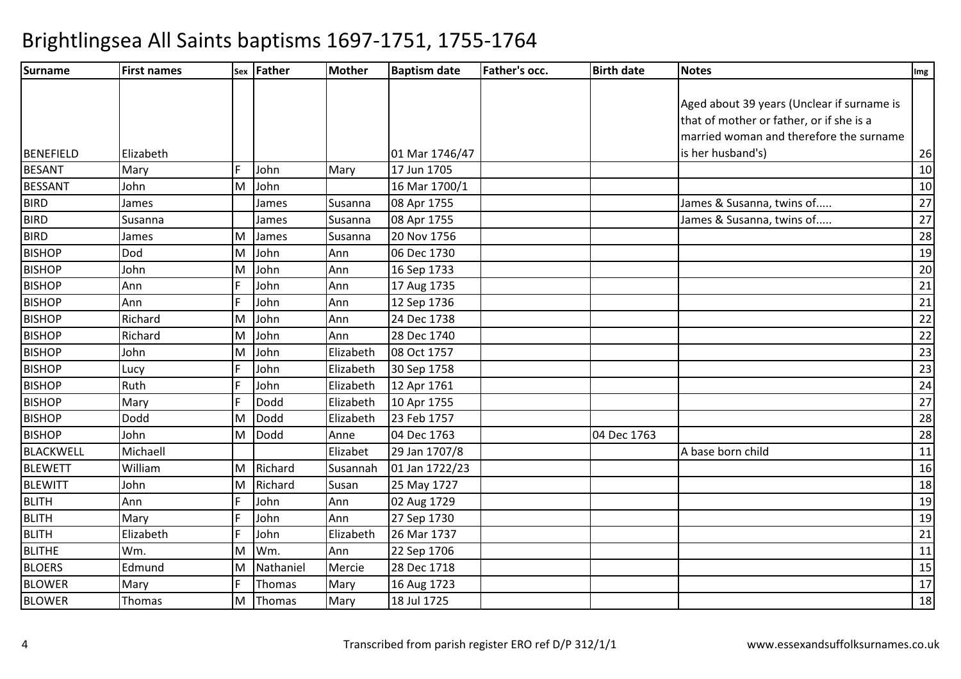| Surname          | <b>First names</b> |   | <b>Sex Father</b> | <b>Mother</b> | <b>Baptism date</b> | <b>Father's occ.</b> | <b>Birth date</b> | <b>Notes</b>                               | Img             |
|------------------|--------------------|---|-------------------|---------------|---------------------|----------------------|-------------------|--------------------------------------------|-----------------|
|                  |                    |   |                   |               |                     |                      |                   |                                            |                 |
|                  |                    |   |                   |               |                     |                      |                   | Aged about 39 years (Unclear if surname is |                 |
|                  |                    |   |                   |               |                     |                      |                   | that of mother or father, or if she is a   |                 |
|                  |                    |   |                   |               |                     |                      |                   | married woman and therefore the surname    |                 |
| <b>BENEFIELD</b> | Elizabeth          |   |                   |               | 01 Mar 1746/47      |                      |                   | is her husband's)                          | 26              |
| <b>BESANT</b>    | Mary               |   | John              | Mary          | 17 Jun 1705         |                      |                   |                                            | 10              |
| <b>BESSANT</b>   | John               | M | John              |               | 16 Mar 1700/1       |                      |                   |                                            | $10\,$          |
| <b>BIRD</b>      | James              |   | James             | Susanna       | 08 Apr 1755         |                      |                   | James & Susanna, twins of                  | 27              |
| <b>BIRD</b>      | Susanna            |   | James             | Susanna       | 08 Apr 1755         |                      |                   | James & Susanna, twins of                  | $\overline{27}$ |
| <b>BIRD</b>      | James              | м | James             | Susanna       | 20 Nov 1756         |                      |                   |                                            | $\overline{28}$ |
| <b>BISHOP</b>    | Dod                | M | John              | Ann           | 06 Dec 1730         |                      |                   |                                            | 19              |
| <b>BISHOP</b>    | John               | M | John              | Ann           | 16 Sep 1733         |                      |                   |                                            | 20              |
| <b>BISHOP</b>    | Ann                |   | John              | Ann           | 17 Aug 1735         |                      |                   |                                            | 21              |
| <b>BISHOP</b>    | Ann                |   | John              | Ann           | 12 Sep 1736         |                      |                   |                                            | 21              |
| <b>BISHOP</b>    | Richard            | M | John              | Ann           | 24 Dec 1738         |                      |                   |                                            | 22              |
| <b>BISHOP</b>    | Richard            | M | John              | Ann           | 28 Dec 1740         |                      |                   |                                            | $\overline{22}$ |
| <b>BISHOP</b>    | John               | M | John              | Elizabeth     | 08 Oct 1757         |                      |                   |                                            | 23              |
| <b>BISHOP</b>    | Lucy               |   | John              | Elizabeth     | 30 Sep 1758         |                      |                   |                                            | $\overline{23}$ |
| <b>BISHOP</b>    | Ruth               |   | John              | Elizabeth     | 12 Apr 1761         |                      |                   |                                            | 24              |
| <b>BISHOP</b>    | Mary               |   | Dodd              | Elizabeth     | 10 Apr 1755         |                      |                   |                                            | 27              |
| <b>BISHOP</b>    | Dodd               | M | Dodd              | Elizabeth     | 23 Feb 1757         |                      |                   |                                            | 28              |
| <b>BISHOP</b>    | John               | M | Dodd              | Anne          | 04 Dec 1763         |                      | 04 Dec 1763       |                                            | 28              |
| <b>BLACKWELL</b> | Michaell           |   |                   | Elizabet      | 29 Jan 1707/8       |                      |                   | A base born child                          | 11              |
| <b>BLEWETT</b>   | William            | M | Richard           | Susannah      | 01 Jan 1722/23      |                      |                   |                                            | 16              |
| <b>BLEWITT</b>   | John               | M | Richard           | Susan         | 25 May 1727         |                      |                   |                                            | 18              |
| <b>BLITH</b>     | Ann                |   | John              | Ann           | 02 Aug 1729         |                      |                   |                                            | 19              |
| <b>BLITH</b>     | Mary               |   | John              | Ann           | 27 Sep 1730         |                      |                   |                                            | 19              |
| <b>BLITH</b>     | Elizabeth          |   | John              | Elizabeth     | 26 Mar 1737         |                      |                   |                                            | 21              |
| <b>BLITHE</b>    | Wm.                | M | Wm.               | Ann           | 22 Sep 1706         |                      |                   |                                            | 11              |
| <b>BLOERS</b>    | Edmund             | M | Nathaniel         | Mercie        | 28 Dec 1718         |                      |                   |                                            | 15              |
| <b>BLOWER</b>    | Mary               |   | Thomas            | Mary          | 16 Aug 1723         |                      |                   |                                            | $\overline{17}$ |
| <b>BLOWER</b>    | Thomas             | M | Thomas            | Mary          | 18 Jul 1725         |                      |                   |                                            | 18              |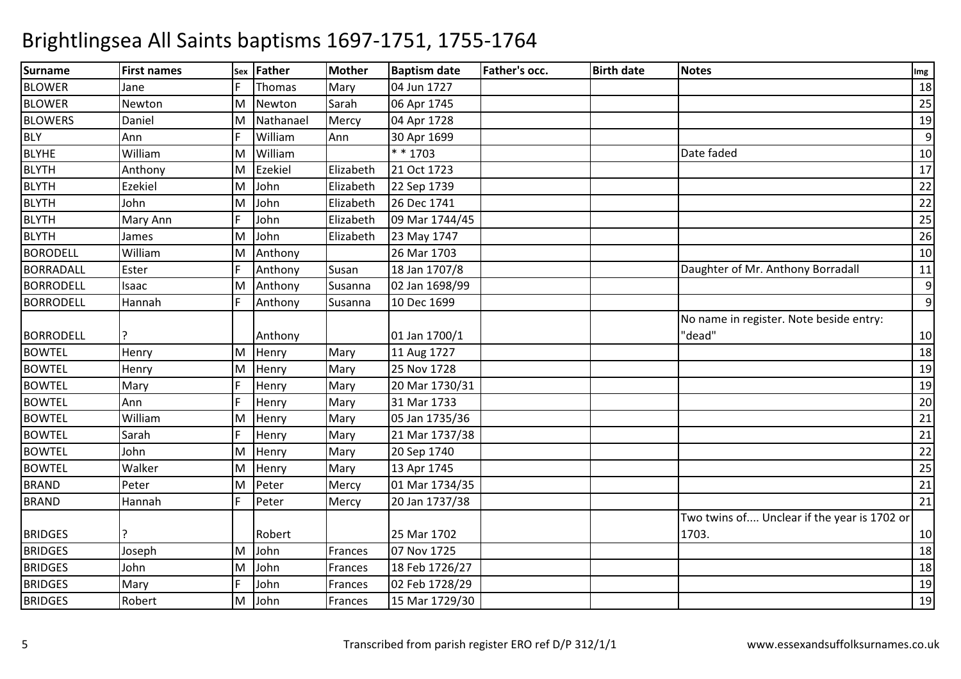| <b>Surname</b>   | <b>First names</b> | Sex | <b>Father</b>  | <b>Mother</b> | <b>Baptism date</b> | Father's occ. | <b>Birth date</b> | <b>Notes</b>                                | Img |
|------------------|--------------------|-----|----------------|---------------|---------------------|---------------|-------------------|---------------------------------------------|-----|
| <b>BLOWER</b>    | Jane               |     | Thomas         | Mary          | 04 Jun 1727         |               |                   |                                             | 18  |
| <b>BLOWER</b>    | Newton             | M   | Newton         | Sarah         | 06 Apr 1745         |               |                   |                                             | 25  |
| <b>BLOWERS</b>   | Daniel             | M   | Nathanael      | Mercy         | 04 Apr 1728         |               |                   |                                             | 19  |
| <b>BLY</b>       | Ann                |     | William        | Ann           | 30 Apr 1699         |               |                   |                                             | 9   |
| <b>BLYHE</b>     | William            | M   | William        |               | * * 1703            |               |                   | Date faded                                  | 10  |
| <b>BLYTH</b>     | Anthony            | M   | <b>Ezekiel</b> | Elizabeth     | 21 Oct 1723         |               |                   |                                             | 17  |
| <b>BLYTH</b>     | Ezekiel            | M   | John           | Elizabeth     | 22 Sep 1739         |               |                   |                                             | 22  |
| <b>BLYTH</b>     | John               | M   | John           | Elizabeth     | 26 Dec 1741         |               |                   |                                             | 22  |
| <b>BLYTH</b>     | Mary Ann           |     | John           | Elizabeth     | 09 Mar 1744/45      |               |                   |                                             | 25  |
| <b>BLYTH</b>     | James              | M   | John           | Elizabeth     | 23 May 1747         |               |                   |                                             | 26  |
| <b>BORODELL</b>  | William            | M   | Anthony        |               | 26 Mar 1703         |               |                   |                                             | 10  |
| <b>BORRADALL</b> | Ester              |     | Anthony        | Susan         | 18 Jan 1707/8       |               |                   | Daughter of Mr. Anthony Borradall           | 11  |
| <b>BORRODELL</b> | Isaac              | M   | Anthony        | Susanna       | 02 Jan 1698/99      |               |                   |                                             | 9   |
| <b>BORRODELL</b> | Hannah             | F   | Anthony        | Susanna       | 10 Dec 1699         |               |                   |                                             | 9   |
|                  |                    |     |                |               |                     |               |                   | No name in register. Note beside entry:     |     |
| <b>BORRODELL</b> |                    |     | Anthony        |               | 01 Jan 1700/1       |               |                   | "dead"                                      | 10  |
| <b>BOWTEL</b>    | Henry              | M   | Henry          | Mary          | 11 Aug 1727         |               |                   |                                             | 18  |
| <b>BOWTEL</b>    | Henry              | M   | Henry          | Mary          | 25 Nov 1728         |               |                   |                                             | 19  |
| <b>BOWTEL</b>    | Mary               | l p | Henry          | Mary          | 20 Mar 1730/31      |               |                   |                                             | 19  |
| <b>BOWTEL</b>    | Ann                | E   | Henry          | Mary          | 31 Mar 1733         |               |                   |                                             | 20  |
| <b>BOWTEL</b>    | William            | M   | Henry          | Mary          | 05 Jan 1735/36      |               |                   |                                             | 21  |
| <b>BOWTEL</b>    | Sarah              | F   | Henry          | Mary          | 21 Mar 1737/38      |               |                   |                                             | 21  |
| <b>BOWTEL</b>    | John               | M   | Henry          | Mary          | 20 Sep 1740         |               |                   |                                             | 22  |
| <b>BOWTEL</b>    | Walker             | M   | Henry          | Mary          | 13 Apr 1745         |               |                   |                                             | 25  |
| <b>BRAND</b>     | Peter              | M   | Peter          | Mercy         | 01 Mar 1734/35      |               |                   |                                             | 21  |
| <b>BRAND</b>     | Hannah             | F   | Peter          | Mercy         | 20 Jan 1737/38      |               |                   |                                             | 21  |
|                  |                    |     |                |               |                     |               |                   | Two twins of Unclear if the year is 1702 or |     |
| <b>BRIDGES</b>   |                    |     | Robert         |               | 25 Mar 1702         |               |                   | 1703.                                       | 10  |
| <b>BRIDGES</b>   | Joseph             | M   | John           | Frances       | 07 Nov 1725         |               |                   |                                             | 18  |
| <b>BRIDGES</b>   | John               | M   | John           | Frances       | 18 Feb 1726/27      |               |                   |                                             | 18  |
| <b>BRIDGES</b>   | Mary               |     | John           | Frances       | 02 Feb 1728/29      |               |                   |                                             | 19  |
| <b>BRIDGES</b>   | Robert             | M   | John           | Frances       | 15 Mar 1729/30      |               |                   |                                             | 19  |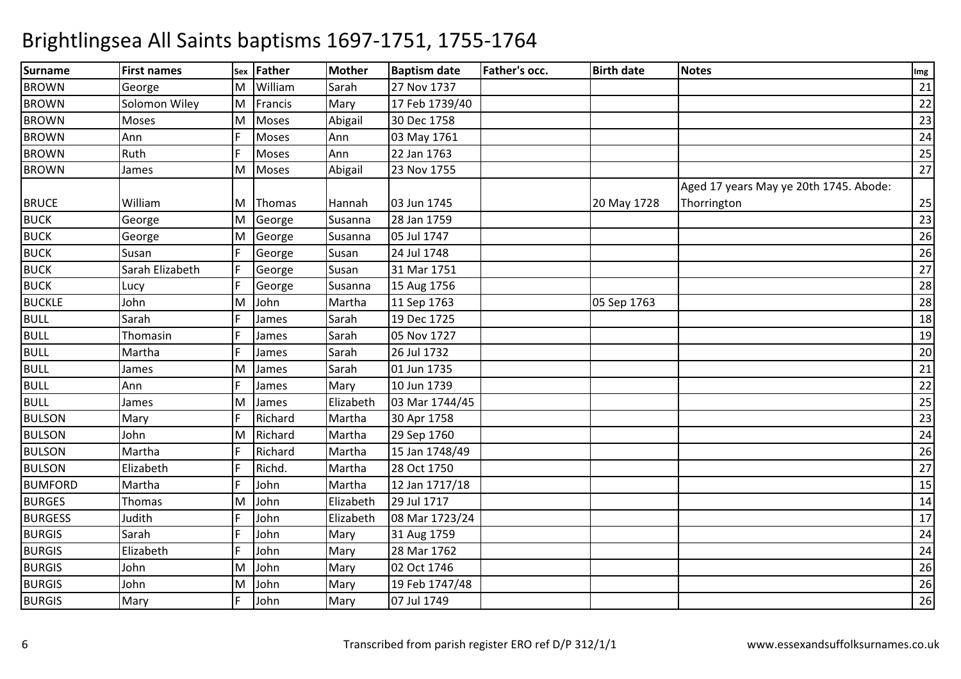| <b>Surname</b> | <b>First names</b> | Sex | Father       | <b>Mother</b> | <b>Baptism date</b> | Father's occ. | <b>Birth date</b> | <b>Notes</b>                                          | Img |
|----------------|--------------------|-----|--------------|---------------|---------------------|---------------|-------------------|-------------------------------------------------------|-----|
| <b>BROWN</b>   | George             | M   | William      | Sarah         | 27 Nov 1737         |               |                   |                                                       | 21  |
| <b>BROWN</b>   | Solomon Wiley      | M   | Francis      | Mary          | 17 Feb 1739/40      |               |                   |                                                       | 22  |
| <b>BROWN</b>   | Moses              | M   | Moses        | Abigail       | 30 Dec 1758         |               |                   |                                                       | 23  |
| <b>BROWN</b>   | Ann                |     | <b>Moses</b> | Ann           | 03 May 1761         |               |                   |                                                       | 24  |
| <b>BROWN</b>   | Ruth               |     | <b>Moses</b> | Ann           | 22 Jan 1763         |               |                   |                                                       | 25  |
| <b>BROWN</b>   | James              | M   | Moses        | Abigail       | 23 Nov 1755         |               |                   |                                                       | 27  |
| <b>BRUCE</b>   | William            | ΙM  | Thomas       | Hannah        | 03 Jun 1745         |               | 20 May 1728       | Aged 17 years May ye 20th 1745. Abode:<br>Thorrington | 25  |
| <b>BUCK</b>    | George             | M   | George       | Susanna       | 28 Jan 1759         |               |                   |                                                       | 23  |
| <b>BUCK</b>    | George             | M   | George       | Susanna       | 05 Jul 1747         |               |                   |                                                       | 26  |
| <b>BUCK</b>    | Susan              | F   | George       | Susan         | 24 Jul 1748         |               |                   |                                                       | 26  |
| <b>BUCK</b>    | Sarah Elizabeth    |     | George       | Susan         | 31 Mar 1751         |               |                   |                                                       | 27  |
| <b>BUCK</b>    | Lucy               | lF. | George       | Susanna       | 15 Aug 1756         |               |                   |                                                       | 28  |
| <b>BUCKLE</b>  | John               | M   | John         | Martha        | 11 Sep 1763         |               | 05 Sep 1763       |                                                       | 28  |
| <b>BULL</b>    | Sarah              | F   | James        | Sarah         | 19 Dec 1725         |               |                   |                                                       | 18  |
| <b>BULL</b>    | Thomasin           |     | James        | Sarah         | 05 Nov 1727         |               |                   |                                                       | 19  |
| <b>BULL</b>    | Martha             |     | James        | Sarah         | 26 Jul 1732         |               |                   |                                                       | 20  |
| <b>BULL</b>    | James              | M   | James        | Sarah         | 01 Jun 1735         |               |                   |                                                       | 21  |
| <b>BULL</b>    | Ann                |     | James        | Mary          | 10 Jun 1739         |               |                   |                                                       | 22  |
| <b>BULL</b>    | James              | M   | James        | Elizabeth     | 03 Mar 1744/45      |               |                   |                                                       | 25  |
| <b>BULSON</b>  | Mary               | F   | Richard      | Martha        | 30 Apr 1758         |               |                   |                                                       | 23  |
| <b>BULSON</b>  | John               | M   | Richard      | Martha        | 29 Sep 1760         |               |                   |                                                       | 24  |
| <b>BULSON</b>  | Martha             |     | Richard      | Martha        | 15 Jan 1748/49      |               |                   |                                                       | 26  |
| <b>BULSON</b>  | Elizabeth          |     | Richd.       | Martha        | 28 Oct 1750         |               |                   |                                                       | 27  |
| <b>BUMFORD</b> | Martha             |     | John         | Martha        | 12 Jan 1717/18      |               |                   |                                                       | 15  |
| <b>BURGES</b>  | Thomas             | ΙM  | John         | Elizabeth     | 29 Jul 1717         |               |                   |                                                       | 14  |
| <b>BURGESS</b> | Judith             |     | John         | Elizabeth     | 08 Mar 1723/24      |               |                   |                                                       | 17  |
| <b>BURGIS</b>  | Sarah              |     | John         | Mary          | 31 Aug 1759         |               |                   |                                                       | 24  |
| <b>BURGIS</b>  | Elizabeth          |     | John         | Mary          | 28 Mar 1762         |               |                   |                                                       | 24  |
| <b>BURGIS</b>  | John               | M   | John         | Mary          | 02 Oct 1746         |               |                   |                                                       | 26  |
| <b>BURGIS</b>  | John               | M   | John         | Mary          | 19 Feb 1747/48      |               |                   |                                                       | 26  |
| <b>BURGIS</b>  | Mary               | F   | John         | Mary          | 07 Jul 1749         |               |                   |                                                       | 26  |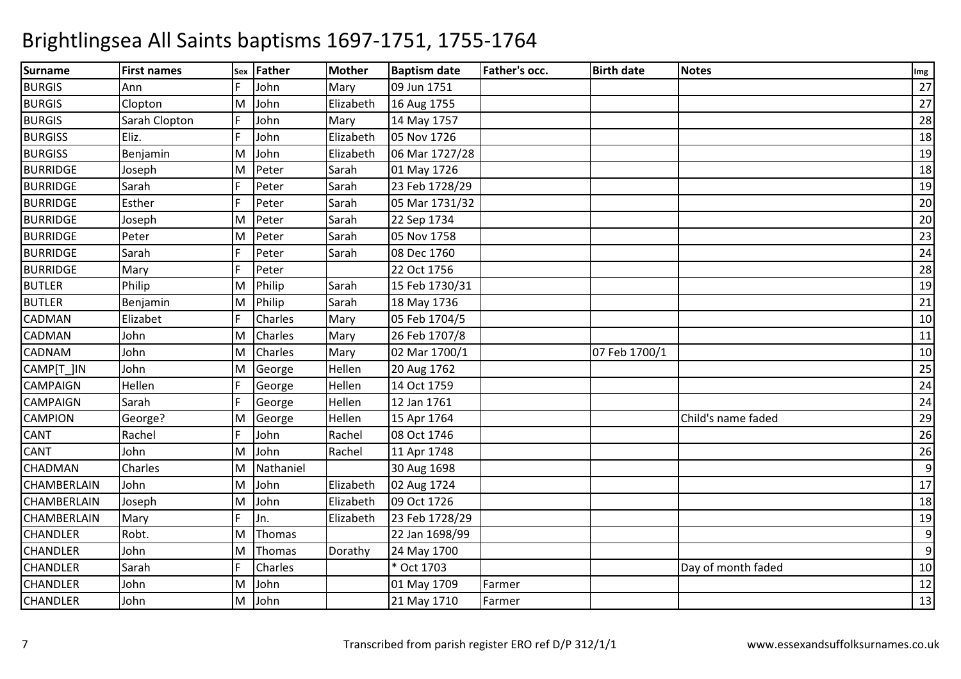| <b>Surname</b>     | <b>First names</b> |    | sex Father | <b>Mother</b> | <b>Baptism date</b> | Father's occ. | <b>Birth date</b> | <b>Notes</b>       | Img |
|--------------------|--------------------|----|------------|---------------|---------------------|---------------|-------------------|--------------------|-----|
| <b>BURGIS</b>      | Ann                |    | John       | Mary          | 09 Jun 1751         |               |                   |                    | 27  |
| <b>BURGIS</b>      | Clopton            | M  | John       | Elizabeth     | 16 Aug 1755         |               |                   |                    | 27  |
| <b>BURGIS</b>      | Sarah Clopton      |    | John       | Mary          | 14 May 1757         |               |                   |                    | 28  |
| <b>BURGISS</b>     | Eliz.              |    | John       | Elizabeth     | 05 Nov 1726         |               |                   |                    | 18  |
| <b>BURGISS</b>     | Benjamin           | M  | John       | Elizabeth     | 06 Mar 1727/28      |               |                   |                    | 19  |
| <b>BURRIDGE</b>    | Joseph             | M  | Peter      | Sarah         | 01 May 1726         |               |                   |                    | 18  |
| <b>BURRIDGE</b>    | Sarah              |    | Peter      | Sarah         | 23 Feb 1728/29      |               |                   |                    | 19  |
| <b>BURRIDGE</b>    | Esther             |    | Peter      | Sarah         | 05 Mar 1731/32      |               |                   |                    | 20  |
| <b>BURRIDGE</b>    | Joseph             | M  | Peter      | Sarah         | 22 Sep 1734         |               |                   |                    | 20  |
| <b>BURRIDGE</b>    | Peter              | M  | Peter      | Sarah         | 05 Nov 1758         |               |                   |                    | 23  |
| <b>BURRIDGE</b>    | Sarah              |    | Peter      | Sarah         | 08 Dec 1760         |               |                   |                    | 24  |
| <b>BURRIDGE</b>    | Mary               |    | Peter      |               | 22 Oct 1756         |               |                   |                    | 28  |
| <b>BUTLER</b>      | Philip             | M  | Philip     | Sarah         | 15 Feb 1730/31      |               |                   |                    | 19  |
| <b>BUTLER</b>      | Benjamin           | M  | Philip     | Sarah         | 18 May 1736         |               |                   |                    | 21  |
| <b>CADMAN</b>      | Elizabet           |    | Charles    | Mary          | 05 Feb 1704/5       |               |                   |                    | 10  |
| CADMAN             | John               | M  | Charles    | Mary          | 26 Feb 1707/8       |               |                   |                    | 11  |
| CADNAM             | John               | M  | Charles    | Mary          | 02 Mar 1700/1       |               | 07 Feb 1700/1     |                    | 10  |
| CAMP[T_]IN         | John               | M  | George     | Hellen        | 20 Aug 1762         |               |                   |                    | 25  |
| <b>CAMPAIGN</b>    | Hellen             |    | George     | Hellen        | 14 Oct 1759         |               |                   |                    | 24  |
| CAMPAIGN           | Sarah              |    | George     | Hellen        | 12 Jan 1761         |               |                   |                    | 24  |
| CAMPION            | George?            | M  | George     | Hellen        | 15 Apr 1764         |               |                   | Child's name faded | 29  |
| CANT               | Rachel             | IF | John       | Rachel        | 08 Oct 1746         |               |                   |                    | 26  |
| CANT               | John               | M  | John       | Rachel        | 11 Apr 1748         |               |                   |                    | 26  |
| <b>CHADMAN</b>     | Charles            | M  | Nathaniel  |               | 30 Aug 1698         |               |                   |                    | 9   |
| CHAMBERLAIN        | John               | м  | John       | Elizabeth     | 02 Aug 1724         |               |                   |                    | 17  |
| <b>CHAMBERLAIN</b> | Joseph             | M  | John       | Elizabeth     | 09 Oct 1726         |               |                   |                    | 18  |
| <b>CHAMBERLAIN</b> | Mary               |    | Jn.        | Elizabeth     | 23 Feb 1728/29      |               |                   |                    | 19  |
| <b>CHANDLER</b>    | Robt.              | M  | Thomas     |               | 22 Jan 1698/99      |               |                   |                    | 9   |
| CHANDLER           | John               | M  | Thomas     | Dorathy       | 24 May 1700         |               |                   |                    | 9   |
| <b>CHANDLER</b>    | Sarah              |    | Charles    |               | * Oct 1703          |               |                   | Day of month faded | 10  |
| <b>CHANDLER</b>    | John               | M  | John       |               | 01 May 1709         | Farmer        |                   |                    | 12  |
| <b>CHANDLER</b>    | John               | M  | John       |               | 21 May 1710         | Farmer        |                   |                    | 13  |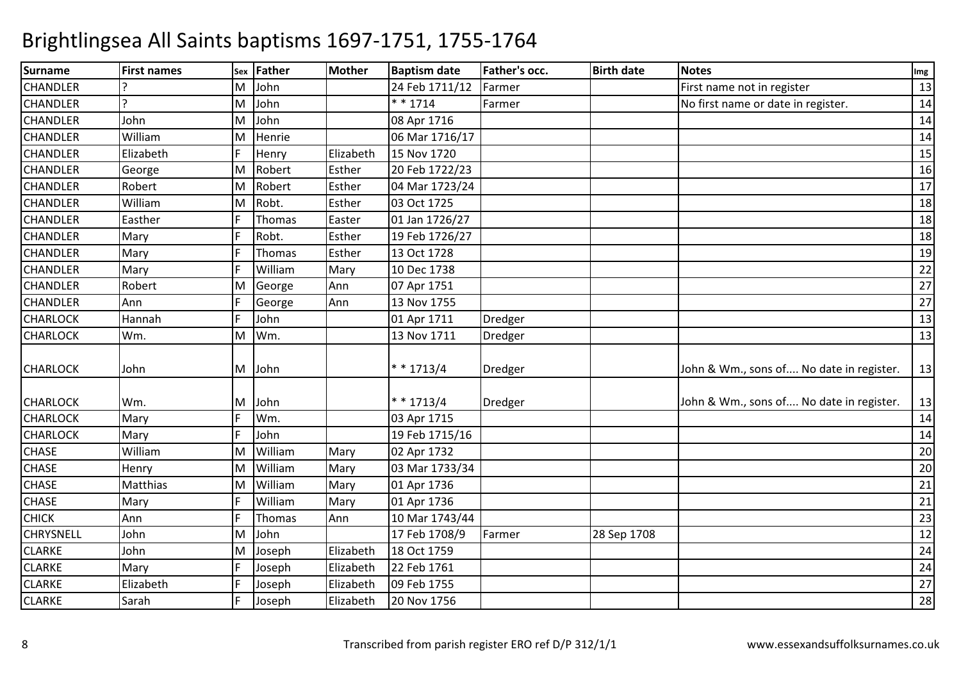| <b>Surname</b>   | <b>First names</b> | Sex | <b>Father</b> | <b>Mother</b> | <b>Baptism date</b> | <b>Father's occ.</b> | <b>Birth date</b> | <b>Notes</b>                             | Img |
|------------------|--------------------|-----|---------------|---------------|---------------------|----------------------|-------------------|------------------------------------------|-----|
| <b>CHANDLER</b>  |                    | м   | John          |               | 24 Feb 1711/12      | Farmer               |                   | First name not in register               | 13  |
| <b>CHANDLER</b>  | $\overline{a}$     | M   | John          |               | $* * 1714$          | Farmer               |                   | No first name or date in register.       | 14  |
| <b>CHANDLER</b>  | John               | M   | John          |               | 08 Apr 1716         |                      |                   |                                          | 14  |
| <b>CHANDLER</b>  | William            | M   | Henrie        |               | 06 Mar 1716/17      |                      |                   |                                          | 14  |
| <b>CHANDLER</b>  | Elizabeth          |     | Henry         | Elizabeth     | 15 Nov 1720         |                      |                   |                                          | 15  |
| <b>CHANDLER</b>  | George             | M   | Robert        | Esther        | 20 Feb 1722/23      |                      |                   |                                          | 16  |
| <b>CHANDLER</b>  | Robert             | M   | Robert        | Esther        | 04 Mar 1723/24      |                      |                   |                                          | 17  |
| <b>CHANDLER</b>  | William            | M   | Robt.         | Esther        | 03 Oct 1725         |                      |                   |                                          | 18  |
| <b>CHANDLER</b>  | Easther            |     | Thomas        | Easter        | 01 Jan 1726/27      |                      |                   |                                          | 18  |
| <b>CHANDLER</b>  | Mary               |     | Robt.         | Esther        | 19 Feb 1726/27      |                      |                   |                                          | 18  |
| <b>CHANDLER</b>  | Mary               |     | Thomas        | Esther        | 13 Oct 1728         |                      |                   |                                          | 19  |
| <b>CHANDLER</b>  | Mary               |     | William       | Mary          | 10 Dec 1738         |                      |                   |                                          | 22  |
| <b>CHANDLER</b>  | Robert             | M   | George        | Ann           | 07 Apr 1751         |                      |                   |                                          | 27  |
| <b>CHANDLER</b>  | Ann                |     | George        | Ann           | 13 Nov 1755         |                      |                   |                                          | 27  |
| <b>CHARLOCK</b>  | Hannah             |     | John          |               | 01 Apr 1711         | Dredger              |                   |                                          | 13  |
| <b>CHARLOCK</b>  | Wm.                | M   | Wm.           |               | 13 Nov 1711         | Dredger              |                   |                                          | 13  |
| <b>CHARLOCK</b>  | John               | M   | John          |               | $* * 1713/4$        | Dredger              |                   | John & Wm., sons of No date in register. | 13  |
| <b>CHARLOCK</b>  | Wm.                | м   | John          |               | * * 1713/4          | Dredger              |                   | John & Wm., sons of No date in register. | 13  |
| <b>CHARLOCK</b>  | Mary               |     | Wm.           |               | 03 Apr 1715         |                      |                   |                                          | 14  |
| <b>CHARLOCK</b>  | Mary               |     | John          |               | 19 Feb 1715/16      |                      |                   |                                          | 14  |
| <b>CHASE</b>     | William            | M   | William       | Mary          | 02 Apr 1732         |                      |                   |                                          | 20  |
| <b>CHASE</b>     | Henry              | M   | William       | Mary          | 03 Mar 1733/34      |                      |                   |                                          | 20  |
| <b>CHASE</b>     | Matthias           | M   | William       | Mary          | 01 Apr 1736         |                      |                   |                                          | 21  |
| <b>CHASE</b>     | Mary               |     | William       | Mary          | 01 Apr 1736         |                      |                   |                                          | 21  |
| <b>CHICK</b>     | Ann                |     | Thomas        | Ann           | 10 Mar 1743/44      |                      |                   |                                          | 23  |
| <b>CHRYSNELL</b> | John               | M   | John          |               | 17 Feb 1708/9       | Farmer               | 28 Sep 1708       |                                          | 12  |
| <b>CLARKE</b>    | John               | M   | Joseph        | Elizabeth     | 18 Oct 1759         |                      |                   |                                          | 24  |
| <b>CLARKE</b>    | Mary               |     | Joseph        | Elizabeth     | 22 Feb 1761         |                      |                   |                                          | 24  |
| <b>CLARKE</b>    | Elizabeth          |     | Joseph        | Elizabeth     | 09 Feb 1755         |                      |                   |                                          | 27  |
| <b>CLARKE</b>    | Sarah              |     | Joseph        | Elizabeth     | 20 Nov 1756         |                      |                   |                                          | 28  |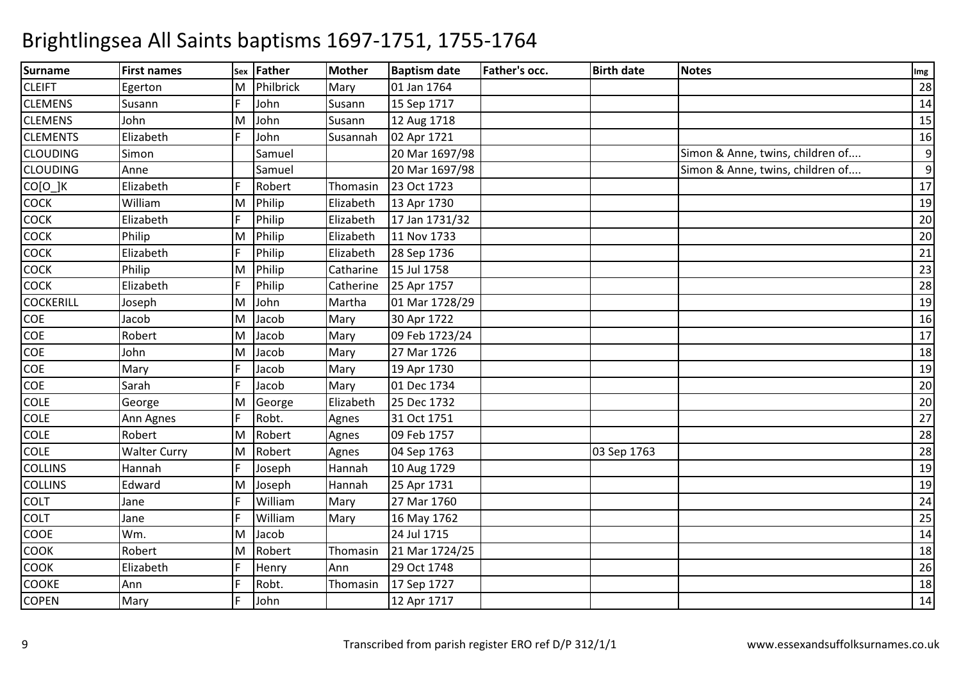| <b>Surname</b>   | <b>First names</b>  | Sex | Father    | <b>Mother</b> | <b>Baptism date</b> | Father's occ. | <b>Birth date</b> | <b>Notes</b>                     | Img |
|------------------|---------------------|-----|-----------|---------------|---------------------|---------------|-------------------|----------------------------------|-----|
| <b>CLEIFT</b>    | Egerton             | M   | Philbrick | Mary          | 01 Jan 1764         |               |                   |                                  | 28  |
| <b>CLEMENS</b>   | Susann              |     | John      | Susann        | 15 Sep 1717         |               |                   |                                  | 14  |
| <b>CLEMENS</b>   | John                | M   | John      | Susann        | 12 Aug 1718         |               |                   |                                  | 15  |
| <b>CLEMENTS</b>  | Elizabeth           |     | John      | Susannah      | 02 Apr 1721         |               |                   |                                  | 16  |
| <b>CLOUDING</b>  | Simon               |     | Samuel    |               | 20 Mar 1697/98      |               |                   | Simon & Anne, twins, children of | 9   |
| <b>CLOUDING</b>  | Anne                |     | Samuel    |               | 20 Mar 1697/98      |               |                   | Simon & Anne, twins, children of | 9   |
| $CO[O_]K$        | Elizabeth           |     | Robert    | Thomasin      | 23 Oct 1723         |               |                   |                                  | 17  |
| COCK             | William             | M   | Philip    | Elizabeth     | 13 Apr 1730         |               |                   |                                  | 19  |
| COCK             | Elizabeth           |     | Philip    | Elizabeth     | 17 Jan 1731/32      |               |                   |                                  | 20  |
| COCK             | Philip              | M   | Philip    | Elizabeth     | 11 Nov 1733         |               |                   |                                  | 20  |
| COCK             | Elizabeth           |     | Philip    | Elizabeth     | 28 Sep 1736         |               |                   |                                  | 21  |
| <b>COCK</b>      | Philip              | M   | Philip    | Catharine     | 15 Jul 1758         |               |                   |                                  | 23  |
| <b>COCK</b>      | Elizabeth           |     | Philip    | Catherine     | 25 Apr 1757         |               |                   |                                  | 28  |
| <b>COCKERILL</b> | Joseph              | M   | John      | Martha        | 01 Mar 1728/29      |               |                   |                                  | 19  |
| COE              | Jacob               | M   | Jacob     | Mary          | 30 Apr 1722         |               |                   |                                  | 16  |
| COE              | Robert              | M   | Jacob     | Mary          | 09 Feb 1723/24      |               |                   |                                  | 17  |
| COE              | John                | M   | Jacob     | Mary          | 27 Mar 1726         |               |                   |                                  | 18  |
| COE              | Mary                | E   | Jacob     | Mary          | 19 Apr 1730         |               |                   |                                  | 19  |
| COE              | Sarah               | E   | Jacob     | Mary          | 01 Dec 1734         |               |                   |                                  | 20  |
| COLE             | George              | M   | George    | Elizabeth     | 25 Dec 1732         |               |                   |                                  | 20  |
| COLE             | Ann Agnes           | IF  | Robt.     | Agnes         | 31 Oct 1751         |               |                   |                                  | 27  |
| <b>COLE</b>      | Robert              | M   | Robert    | Agnes         | 09 Feb 1757         |               |                   |                                  | 28  |
| <b>COLE</b>      | <b>Walter Curry</b> | M   | Robert    | Agnes         | 04 Sep 1763         |               | 03 Sep 1763       |                                  | 28  |
| <b>COLLINS</b>   | Hannah              |     | Joseph    | Hannah        | 10 Aug 1729         |               |                   |                                  | 19  |
| <b>COLLINS</b>   | Edward              | M   | Joseph    | Hannah        | 25 Apr 1731         |               |                   |                                  | 19  |
| <b>COLT</b>      | Jane                |     | William   | Mary          | 27 Mar 1760         |               |                   |                                  | 24  |
| COLT             | Jane                |     | William   | Mary          | 16 May 1762         |               |                   |                                  | 25  |
| COOE             | Wm.                 | M   | Jacob     |               | 24 Jul 1715         |               |                   |                                  | 14  |
| COOK             | Robert              | M   | Robert    | Thomasin      | 21 Mar 1724/25      |               |                   |                                  | 18  |
| COOK             | Elizabeth           |     | Henry     | Ann           | 29 Oct 1748         |               |                   |                                  | 26  |
| COOKE            | Ann                 |     | Robt.     | Thomasin      | 17 Sep 1727         |               |                   |                                  | 18  |
| <b>COPEN</b>     | Mary                |     | John      |               | 12 Apr 1717         |               |                   |                                  | 14  |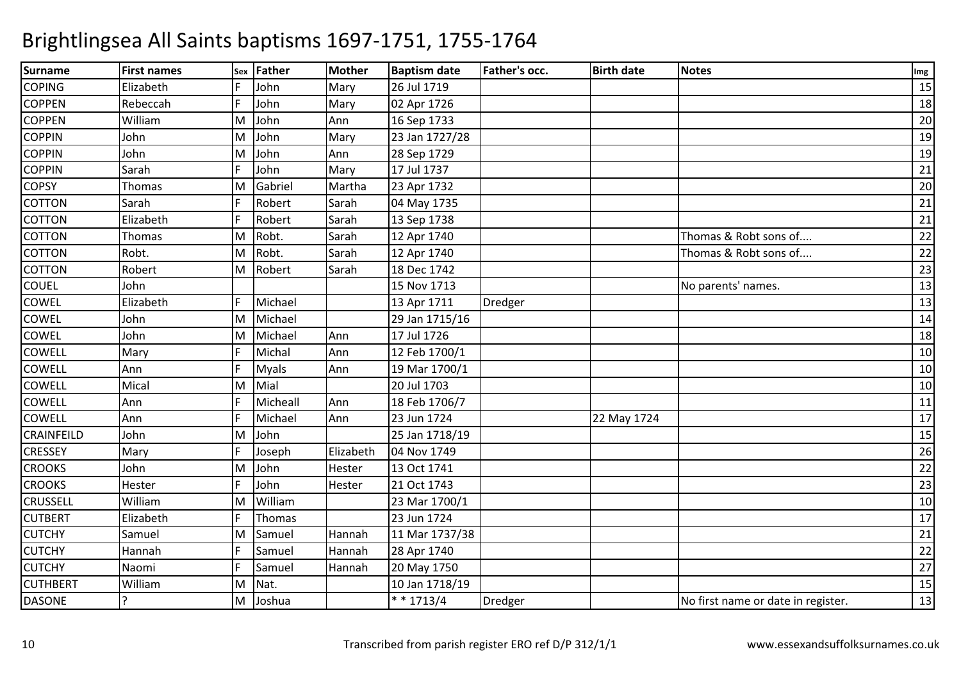| <b>Surname</b>  | <b>First names</b> | Sex | Father       | <b>Mother</b> | <b>Baptism date</b> | Father's occ. | <b>Birth date</b> | <b>Notes</b>                       | Img |
|-----------------|--------------------|-----|--------------|---------------|---------------------|---------------|-------------------|------------------------------------|-----|
| <b>COPING</b>   | Elizabeth          |     | John         | Mary          | 26 Jul 1719         |               |                   |                                    | 15  |
| <b>COPPEN</b>   | Rebeccah           |     | John         | Mary          | 02 Apr 1726         |               |                   |                                    | 18  |
| <b>COPPEN</b>   | William            | M   | John         | Ann           | 16 Sep 1733         |               |                   |                                    | 20  |
| <b>COPPIN</b>   | John               | M   | John         | Mary          | 23 Jan 1727/28      |               |                   |                                    | 19  |
| <b>COPPIN</b>   | John               | M   | John         | Ann           | 28 Sep 1729         |               |                   |                                    | 19  |
| <b>COPPIN</b>   | Sarah              | E   | John         | Mary          | 17 Jul 1737         |               |                   |                                    | 21  |
| <b>COPSY</b>    | Thomas             | M   | Gabriel      | Martha        | 23 Apr 1732         |               |                   |                                    | 20  |
| COTTON          | Sarah              |     | Robert       | Sarah         | 04 May 1735         |               |                   |                                    | 21  |
| <b>COTTON</b>   | Elizabeth          |     | Robert       | Sarah         | 13 Sep 1738         |               |                   |                                    | 21  |
| <b>COTTON</b>   | Thomas             | M   | Robt.        | Sarah         | 12 Apr 1740         |               |                   | Thomas & Robt sons of              | 22  |
| <b>COTTON</b>   | Robt.              | M   | Robt.        | Sarah         | 12 Apr 1740         |               |                   | Thomas & Robt sons of              | 22  |
| <b>COTTON</b>   | Robert             | M   | Robert       | Sarah         | 18 Dec 1742         |               |                   |                                    | 23  |
| COUEL           | John               |     |              |               | 15 Nov 1713         |               |                   | No parents' names.                 | 13  |
| COWEL           | Elizabeth          |     | Michael      |               | 13 Apr 1711         | Dredger       |                   |                                    | 13  |
| COWEL           | John               | M   | Michael      |               | 29 Jan 1715/16      |               |                   |                                    | 14  |
| COWEL           | John               | M   | Michael      | Ann           | 17 Jul 1726         |               |                   |                                    | 18  |
| COWELL          | Mary               |     | Michal       | Ann           | 12 Feb 1700/1       |               |                   |                                    | 10  |
| COWELL          | Ann                |     | <b>Myals</b> | Ann           | 19 Mar 1700/1       |               |                   |                                    | 10  |
| COWELL          | Mical              | M   | Mial         |               | 20 Jul 1703         |               |                   |                                    | 10  |
| <b>COWELL</b>   | Ann                | E   | Micheall     | Ann           | 18 Feb 1706/7       |               |                   |                                    | 11  |
| COWELL          | Ann                |     | Michael      | Ann           | 23 Jun 1724         |               | 22 May 1724       |                                    | 17  |
| CRAINFEILD      | John               | M   | John         |               | 25 Jan 1718/19      |               |                   |                                    | 15  |
| <b>CRESSEY</b>  | Mary               |     | Joseph       | Elizabeth     | 04 Nov 1749         |               |                   |                                    | 26  |
| <b>CROOKS</b>   | John               | M   | John         | Hester        | 13 Oct 1741         |               |                   |                                    | 22  |
| <b>CROOKS</b>   | Hester             |     | John         | Hester        | 21 Oct 1743         |               |                   |                                    | 23  |
| <b>CRUSSELL</b> | William            | ΙM  | William      |               | 23 Mar 1700/1       |               |                   |                                    | 10  |
| <b>CUTBERT</b>  | Elizabeth          | E   | Thomas       |               | 23 Jun 1724         |               |                   |                                    | 17  |
| <b>CUTCHY</b>   | Samuel             | M   | Samuel       | Hannah        | 11 Mar 1737/38      |               |                   |                                    | 21  |
| <b>CUTCHY</b>   | Hannah             |     | Samuel       | Hannah        | 28 Apr 1740         |               |                   |                                    | 22  |
| <b>CUTCHY</b>   | Naomi              |     | Samuel       | Hannah        | 20 May 1750         |               |                   |                                    | 27  |
| <b>CUTHBERT</b> | William            | M   | Nat.         |               | 10 Jan 1718/19      |               |                   |                                    | 15  |
| <b>DASONE</b>   | $\overline{ }$     | M   | Joshua       |               | $* * 1713/4$        | Dredger       |                   | No first name or date in register. | 13  |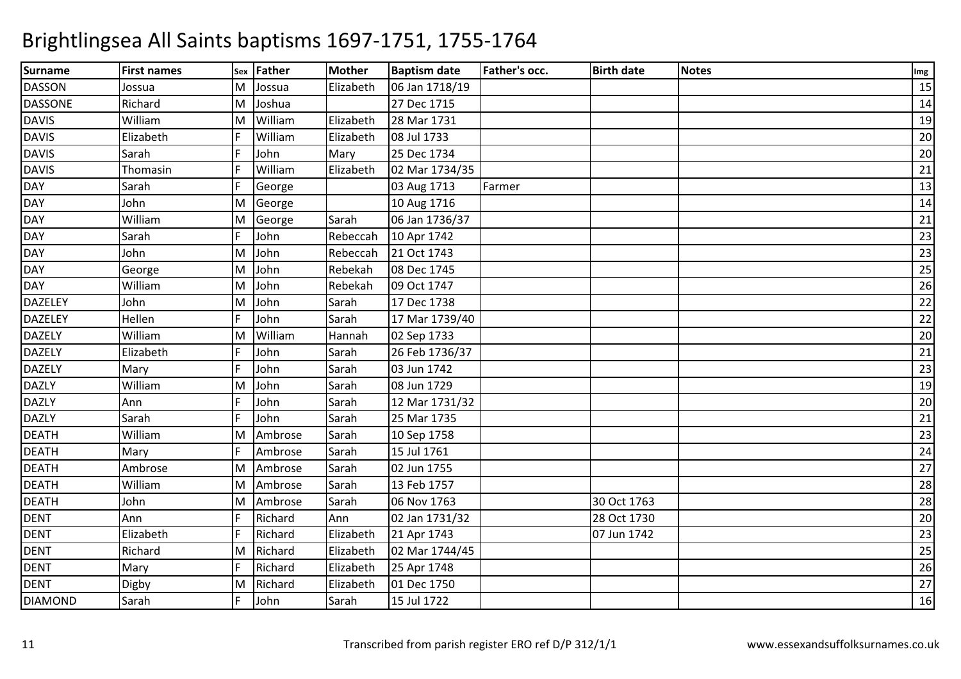| <b>Surname</b> | <b>First names</b> | Sex | Father  | <b>Mother</b> | <b>Baptism date</b> | Father's occ. | <b>Birth date</b> | <b>Notes</b> | Img |
|----------------|--------------------|-----|---------|---------------|---------------------|---------------|-------------------|--------------|-----|
| <b>DASSON</b>  | Jossua             | M   | Jossua  | Elizabeth     | 06 Jan 1718/19      |               |                   |              | 15  |
| <b>DASSONE</b> | Richard            | M   | Joshua  |               | 27 Dec 1715         |               |                   |              | 14  |
| <b>DAVIS</b>   | William            | M   | William | Elizabeth     | 28 Mar 1731         |               |                   |              | 19  |
| <b>DAVIS</b>   | Elizabeth          |     | William | Elizabeth     | 08 Jul 1733         |               |                   |              | 20  |
| <b>DAVIS</b>   | Sarah              |     | John    | Mary          | 25 Dec 1734         |               |                   |              | 20  |
| <b>DAVIS</b>   | Thomasin           |     | William | Elizabeth     | 02 Mar 1734/35      |               |                   |              | 21  |
| DAY            | Sarah              |     | George  |               | 03 Aug 1713         | Farmer        |                   |              | 13  |
| DAY            | John               | M   | George  |               | 10 Aug 1716         |               |                   |              | 14  |
| DAY            | William            | M   | George  | Sarah         | 06 Jan 1736/37      |               |                   |              | 21  |
| <b>DAY</b>     | Sarah              | E   | John    | Rebeccah      | 10 Apr 1742         |               |                   |              | 23  |
| DAY            | John               | M   | John    | Rebeccah      | 21 Oct 1743         |               |                   |              | 23  |
| <b>DAY</b>     | George             | M   | John    | Rebekah       | 08 Dec 1745         |               |                   |              | 25  |
| <b>DAY</b>     | William            | M   | John    | Rebekah       | 09 Oct 1747         |               |                   |              | 26  |
| <b>DAZELEY</b> | John               | M   | John    | Sarah         | 17 Dec 1738         |               |                   |              | 22  |
| <b>DAZELEY</b> | Hellen             | F   | John    | Sarah         | 17 Mar 1739/40      |               |                   |              | 22  |
| <b>DAZELY</b>  | William            | ΙM  | William | Hannah        | 02 Sep 1733         |               |                   |              | 20  |
| <b>DAZELY</b>  | Elizabeth          | F   | John    | Sarah         | 26 Feb 1736/37      |               |                   |              | 21  |
| <b>DAZELY</b>  | Mary               | E   | John    | Sarah         | 03 Jun 1742         |               |                   |              | 23  |
| <b>DAZLY</b>   | William            | M   | John    | Sarah         | 08 Jun 1729         |               |                   |              | 19  |
| <b>DAZLY</b>   | Ann                | F   | John    | Sarah         | 12 Mar 1731/32      |               |                   |              | 20  |
| <b>DAZLY</b>   | Sarah              | E   | John    | Sarah         | 25 Mar 1735         |               |                   |              | 21  |
| <b>DEATH</b>   | William            | M   | Ambrose | Sarah         | 10 Sep 1758         |               |                   |              | 23  |
| <b>DEATH</b>   | Mary               |     | Ambrose | Sarah         | 15 Jul 1761         |               |                   |              | 24  |
| <b>DEATH</b>   | Ambrose            | M   | Ambrose | Sarah         | 02 Jun 1755         |               |                   |              | 27  |
| <b>DEATH</b>   | William            | M   | Ambrose | Sarah         | 13 Feb 1757         |               |                   |              | 28  |
| <b>DEATH</b>   | John               | M   | Ambrose | Sarah         | 06 Nov 1763         |               | 30 Oct 1763       |              | 28  |
| <b>DENT</b>    | Ann                | F   | Richard | Ann           | 02 Jan 1731/32      |               | 28 Oct 1730       |              | 20  |
| <b>DENT</b>    | Elizabeth          |     | Richard | Elizabeth     | 21 Apr 1743         |               | 07 Jun 1742       |              | 23  |
| <b>DENT</b>    | Richard            | M   | Richard | Elizabeth     | 02 Mar 1744/45      |               |                   |              | 25  |
| <b>DENT</b>    | Mary               | F   | Richard | Elizabeth     | 25 Apr 1748         |               |                   |              | 26  |
| <b>DENT</b>    | Digby              | M   | Richard | Elizabeth     | 01 Dec 1750         |               |                   |              | 27  |
| <b>DIAMOND</b> | Sarah              | F   | John    | Sarah         | 15 Jul 1722         |               |                   |              | 16  |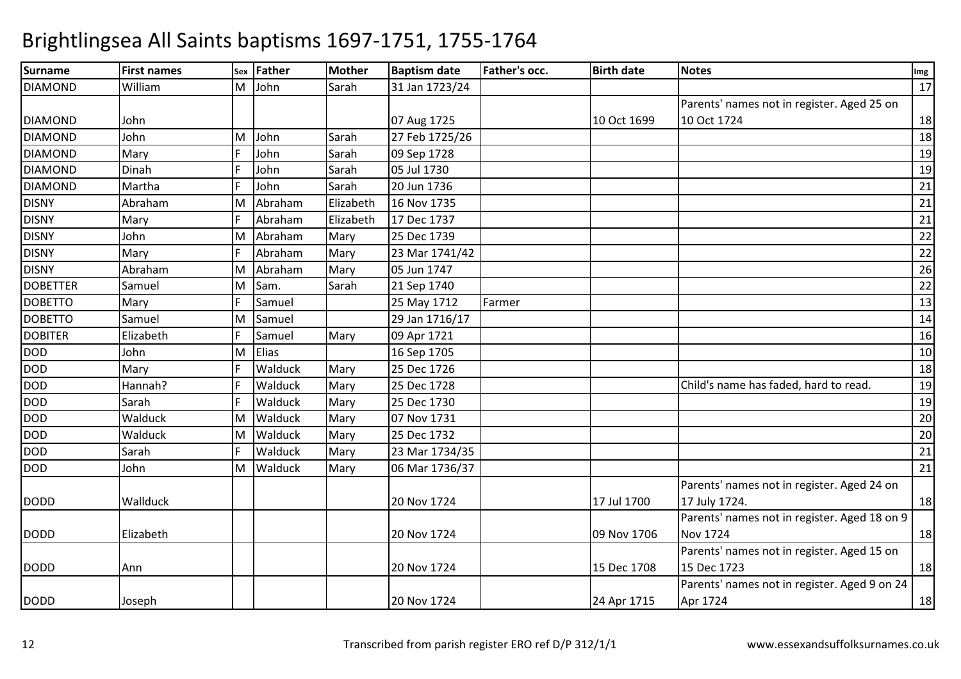| <b>Surname</b>  | <b>First names</b> |   | sex Father | <b>Mother</b> | <b>Baptism date</b> | <b>Father's occ.</b> | <b>Birth date</b> | <b>Notes</b>                                 | Img |
|-----------------|--------------------|---|------------|---------------|---------------------|----------------------|-------------------|----------------------------------------------|-----|
| <b>DIAMOND</b>  | William            | M | John       | Sarah         | 31 Jan 1723/24      |                      |                   |                                              | 17  |
|                 |                    |   |            |               |                     |                      |                   | Parents' names not in register. Aged 25 on   |     |
| <b>DIAMOND</b>  | John               |   |            |               | 07 Aug 1725         |                      | 10 Oct 1699       | 10 Oct 1724                                  | 18  |
| <b>DIAMOND</b>  | John               | м | John       | Sarah         | 27 Feb 1725/26      |                      |                   |                                              | 18  |
| <b>DIAMOND</b>  | Mary               |   | John       | Sarah         | 09 Sep 1728         |                      |                   |                                              | 19  |
| <b>DIAMOND</b>  | Dinah              |   | John       | Sarah         | 05 Jul 1730         |                      |                   |                                              | 19  |
| <b>DIAMOND</b>  | Martha             |   | John       | Sarah         | 20 Jun 1736         |                      |                   |                                              | 21  |
| <b>DISNY</b>    | Abraham            |   | Abraham    | Elizabeth     | 16 Nov 1735         |                      |                   |                                              | 21  |
| <b>DISNY</b>    | Mary               |   | Abraham    | Elizabeth     | 17 Dec 1737         |                      |                   |                                              | 21  |
| <b>DISNY</b>    | John               | M | Abraham    | Mary          | 25 Dec 1739         |                      |                   |                                              | 22  |
| <b>DISNY</b>    | Mary               |   | Abraham    | Mary          | 23 Mar 1741/42      |                      |                   |                                              | 22  |
| <b>DISNY</b>    | Abraham            | M | Abraham    | Mary          | 05 Jun 1747         |                      |                   |                                              | 26  |
| <b>DOBETTER</b> | Samuel             | M | Sam.       | Sarah         | 21 Sep 1740         |                      |                   |                                              | 22  |
| <b>DOBETTO</b>  | Mary               |   | Samuel     |               | 25 May 1712         | Farmer               |                   |                                              | 13  |
| <b>DOBETTO</b>  | Samuel             | м | Samuel     |               | 29 Jan 1716/17      |                      |                   |                                              | 14  |
| <b>DOBITER</b>  | Elizabeth          |   | Samuel     | Mary          | 09 Apr 1721         |                      |                   |                                              | 16  |
| <b>DOD</b>      | John               | M | Elias      |               | 16 Sep 1705         |                      |                   |                                              | 10  |
| <b>DOD</b>      | Mary               |   | Walduck    | Mary          | 25 Dec 1726         |                      |                   |                                              | 18  |
| <b>DOD</b>      | Hannah?            |   | Walduck    | Mary          | 25 Dec 1728         |                      |                   | Child's name has faded, hard to read.        | 19  |
| DOD             | Sarah              |   | Walduck    | Mary          | 25 Dec 1730         |                      |                   |                                              | 19  |
| <b>DOD</b>      | Walduck            | M | Walduck    | Mary          | 07 Nov 1731         |                      |                   |                                              | 20  |
| <b>DOD</b>      | Walduck            | M | Walduck    | Mary          | 25 Dec 1732         |                      |                   |                                              | 20  |
| <b>DOD</b>      | Sarah              |   | Walduck    | Mary          | 23 Mar 1734/35      |                      |                   |                                              | 21  |
| <b>DOD</b>      | John               | M | Walduck    | Mary          | 06 Mar 1736/37      |                      |                   |                                              | 21  |
|                 |                    |   |            |               |                     |                      |                   | Parents' names not in register. Aged 24 on   |     |
| <b>DODD</b>     | Wallduck           |   |            |               | 20 Nov 1724         |                      | 17 Jul 1700       | 17 July 1724.                                | 18  |
|                 |                    |   |            |               |                     |                      |                   | Parents' names not in register. Aged 18 on 9 |     |
| <b>DODD</b>     | Elizabeth          |   |            |               | 20 Nov 1724         |                      | 09 Nov 1706       | <b>Nov 1724</b>                              | 18  |
|                 |                    |   |            |               |                     |                      |                   | Parents' names not in register. Aged 15 on   |     |
| <b>DODD</b>     | Ann                |   |            |               | 20 Nov 1724         |                      | 15 Dec 1708       | 15 Dec 1723                                  | 18  |
|                 |                    |   |            |               |                     |                      |                   | Parents' names not in register. Aged 9 on 24 |     |
| <b>DODD</b>     | Joseph             |   |            |               | 20 Nov 1724         |                      | 24 Apr 1715       | Apr 1724                                     | 18  |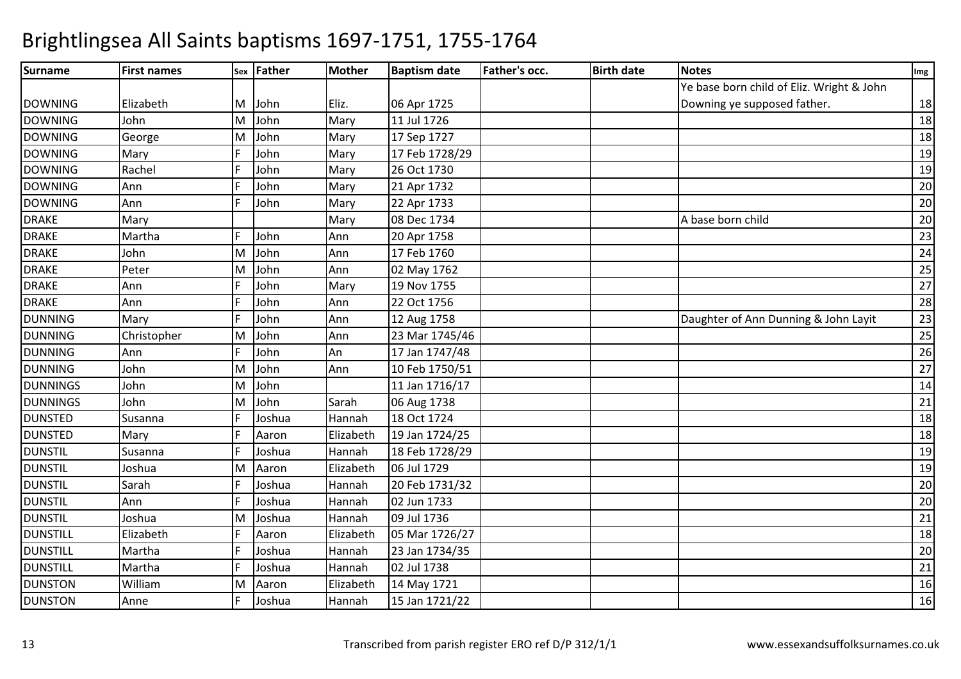| <b>Surname</b>  | <b>First names</b> |    | sex Father | <b>Mother</b> | <b>Baptism date</b> | Father's occ. | <b>Birth date</b> | <b>Notes</b>                              | Img |
|-----------------|--------------------|----|------------|---------------|---------------------|---------------|-------------------|-------------------------------------------|-----|
|                 |                    |    |            |               |                     |               |                   | Ye base born child of Eliz. Wright & John |     |
| <b>DOWNING</b>  | Elizabeth          | M  | John       | Eliz.         | 06 Apr 1725         |               |                   | Downing ye supposed father.               | 18  |
| <b>DOWNING</b>  | John               | M  | John       | Mary          | 11 Jul 1726         |               |                   |                                           | 18  |
| <b>DOWNING</b>  | George             | M  | John       | Mary          | 17 Sep 1727         |               |                   |                                           | 18  |
| <b>DOWNING</b>  | Mary               |    | John       | Mary          | 17 Feb 1728/29      |               |                   |                                           | 19  |
| <b>DOWNING</b>  | Rachel             |    | John       | Mary          | 26 Oct 1730         |               |                   |                                           | 19  |
| <b>DOWNING</b>  | Ann                |    | John       | Mary          | 21 Apr 1732         |               |                   |                                           | 20  |
| <b>DOWNING</b>  | Ann                |    | John       | Mary          | 22 Apr 1733         |               |                   |                                           | 20  |
| <b>DRAKE</b>    | Mary               |    |            | Mary          | 08 Dec 1734         |               |                   | A base born child                         | 20  |
| <b>DRAKE</b>    | Martha             |    | John       | Ann           | 20 Apr 1758         |               |                   |                                           | 23  |
| <b>DRAKE</b>    | John               | M  | John       | Ann           | 17 Feb 1760         |               |                   |                                           | 24  |
| <b>DRAKE</b>    | Peter              | M  | John       | Ann           | 02 May 1762         |               |                   |                                           | 25  |
| <b>DRAKE</b>    | Ann                |    | John       | Mary          | 19 Nov 1755         |               |                   |                                           | 27  |
| <b>DRAKE</b>    | Ann                |    | John       | Ann           | 22 Oct 1756         |               |                   |                                           | 28  |
| <b>DUNNING</b>  | Mary               |    | John       | Ann           | 12 Aug 1758         |               |                   | Daughter of Ann Dunning & John Layit      | 23  |
| <b>DUNNING</b>  | Christopher        | M  | John       | Ann           | 23 Mar 1745/46      |               |                   |                                           | 25  |
| <b>DUNNING</b>  | Ann                |    | John       | An            | 17 Jan 1747/48      |               |                   |                                           | 26  |
| <b>DUNNING</b>  | John               | M  | John       | Ann           | 10 Feb 1750/51      |               |                   |                                           | 27  |
| <b>DUNNINGS</b> | John               | M  | John       |               | 11 Jan 1716/17      |               |                   |                                           | 14  |
| <b>DUNNINGS</b> | John               | M  | John       | Sarah         | 06 Aug 1738         |               |                   |                                           | 21  |
| <b>DUNSTED</b>  | Susanna            |    | Joshua     | Hannah        | 18 Oct 1724         |               |                   |                                           | 18  |
| <b>DUNSTED</b>  | Mary               |    | Aaron      | Elizabeth     | 19 Jan 1724/25      |               |                   |                                           | 18  |
| <b>DUNSTIL</b>  | Susanna            |    | Joshua     | Hannah        | 18 Feb 1728/29      |               |                   |                                           | 19  |
| <b>DUNSTIL</b>  | Joshua             | M  | Aaron      | Elizabeth     | 06 Jul 1729         |               |                   |                                           | 19  |
| <b>DUNSTIL</b>  | Sarah              |    | Joshua     | Hannah        | 20 Feb 1731/32      |               |                   |                                           | 20  |
| <b>DUNSTIL</b>  | Ann                |    | Joshua     | Hannah        | 02 Jun 1733         |               |                   |                                           | 20  |
| <b>DUNSTIL</b>  | Joshua             | M  | Joshua     | Hannah        | 09 Jul 1736         |               |                   |                                           | 21  |
| <b>DUNSTILL</b> | Elizabeth          |    | Aaron      | Elizabeth     | 05 Mar 1726/27      |               |                   |                                           | 18  |
| <b>DUNSTILL</b> | Martha             |    | Joshua     | Hannah        | 23 Jan 1734/35      |               |                   |                                           | 20  |
| <b>DUNSTILL</b> | Martha             |    | Joshua     | Hannah        | 02 Jul 1738         |               |                   |                                           | 21  |
| <b>DUNSTON</b>  | William            | ΙM | Aaron      | Elizabeth     | 14 May 1721         |               |                   |                                           | 16  |
| <b>DUNSTON</b>  | Anne               |    | Joshua     | Hannah        | 15 Jan 1721/22      |               |                   |                                           | 16  |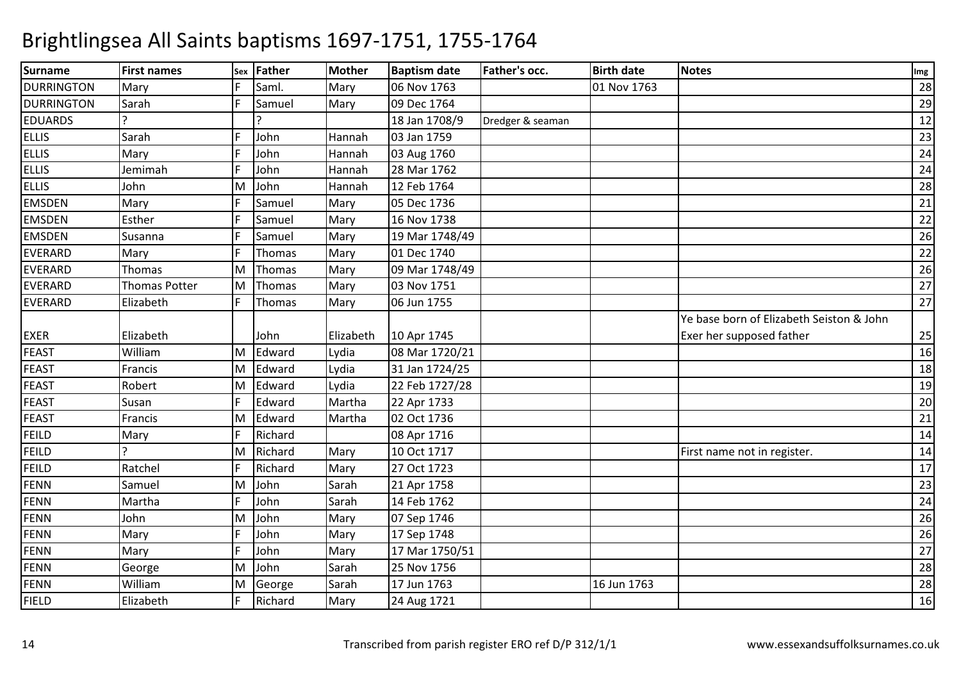| <b>Surname</b>    | <b>First names</b>   |   | sex Father | <b>Mother</b> | <b>Baptism date</b> | Father's occ.    | <b>Birth date</b> | <b>Notes</b>                             | Img |
|-------------------|----------------------|---|------------|---------------|---------------------|------------------|-------------------|------------------------------------------|-----|
| <b>DURRINGTON</b> | Mary                 |   | Saml.      | Mary          | 06 Nov 1763         |                  | 01 Nov 1763       |                                          | 28  |
| <b>DURRINGTON</b> | Sarah                |   | Samuel     | Mary          | 09 Dec 1764         |                  |                   |                                          | 29  |
| <b>EDUARDS</b>    |                      |   |            |               | 18 Jan 1708/9       | Dredger & seaman |                   |                                          | 12  |
| <b>ELLIS</b>      | Sarah                |   | John       | Hannah        | 03 Jan 1759         |                  |                   |                                          | 23  |
| <b>ELLIS</b>      | Mary                 |   | John       | Hannah        | 03 Aug 1760         |                  |                   |                                          | 24  |
| <b>ELLIS</b>      | Jemimah              |   | John       | Hannah        | 28 Mar 1762         |                  |                   |                                          | 24  |
| <b>ELLIS</b>      | John                 | M | John       | Hannah        | 12 Feb 1764         |                  |                   |                                          | 28  |
| <b>EMSDEN</b>     | Mary                 |   | Samuel     | Mary          | 05 Dec 1736         |                  |                   |                                          | 21  |
| <b>EMSDEN</b>     | Esther               |   | Samuel     | Mary          | 16 Nov 1738         |                  |                   |                                          | 22  |
| <b>EMSDEN</b>     | Susanna              |   | Samuel     | Mary          | 19 Mar 1748/49      |                  |                   |                                          | 26  |
| <b>EVERARD</b>    | Mary                 |   | Thomas     | Mary          | 01 Dec 1740         |                  |                   |                                          | 22  |
| <b>EVERARD</b>    | Thomas               |   | Thomas     | Mary          | 09 Mar 1748/49      |                  |                   |                                          | 26  |
| <b>EVERARD</b>    | <b>Thomas Potter</b> | M | Thomas     | Mary          | 03 Nov 1751         |                  |                   |                                          | 27  |
| <b>EVERARD</b>    | Elizabeth            |   | Thomas     | Mary          | 06 Jun 1755         |                  |                   |                                          | 27  |
|                   |                      |   |            |               |                     |                  |                   | Ye base born of Elizabeth Seiston & John |     |
| <b>EXER</b>       | Elizabeth            |   | John       | Elizabeth     | 10 Apr 1745         |                  |                   | Exer her supposed father                 | 25  |
| <b>FEAST</b>      | William              | M | Edward     | Lydia         | 08 Mar 1720/21      |                  |                   |                                          | 16  |
| <b>FEAST</b>      | Francis              | M | Edward     | Lydia         | 31 Jan 1724/25      |                  |                   |                                          | 18  |
| <b>FEAST</b>      | Robert               | M | Edward     | Lydia         | 22 Feb 1727/28      |                  |                   |                                          | 19  |
| <b>FEAST</b>      | Susan                |   | Edward     | Martha        | 22 Apr 1733         |                  |                   |                                          | 20  |
| <b>FEAST</b>      | Francis              | M | Edward     | Martha        | 02 Oct 1736         |                  |                   |                                          | 21  |
| <b>FEILD</b>      | Mary                 |   | Richard    |               | 08 Apr 1716         |                  |                   |                                          | 14  |
| <b>FEILD</b>      |                      | M | Richard    | Mary          | 10 Oct 1717         |                  |                   | First name not in register.              | 14  |
| <b>FEILD</b>      | Ratchel              |   | Richard    | Mary          | 27 Oct 1723         |                  |                   |                                          | 17  |
| <b>FENN</b>       | Samuel               | м | John       | Sarah         | 21 Apr 1758         |                  |                   |                                          | 23  |
| <b>FENN</b>       | Martha               |   | John       | Sarah         | 14 Feb 1762         |                  |                   |                                          | 24  |
| <b>FENN</b>       | John                 | M | John       | Mary          | 07 Sep 1746         |                  |                   |                                          | 26  |
| <b>FENN</b>       | Mary                 |   | John       | Mary          | 17 Sep 1748         |                  |                   |                                          | 26  |
| <b>FENN</b>       | Mary                 |   | John       | Mary          | 17 Mar 1750/51      |                  |                   |                                          | 27  |
| <b>FENN</b>       | George               | M | John       | Sarah         | 25 Nov 1756         |                  |                   |                                          | 28  |
| <b>FENN</b>       | William              | М | George     | Sarah         | 17 Jun 1763         |                  | 16 Jun 1763       |                                          | 28  |
| <b>FIELD</b>      | Elizabeth            |   | Richard    | Mary          | 24 Aug 1721         |                  |                   |                                          | 16  |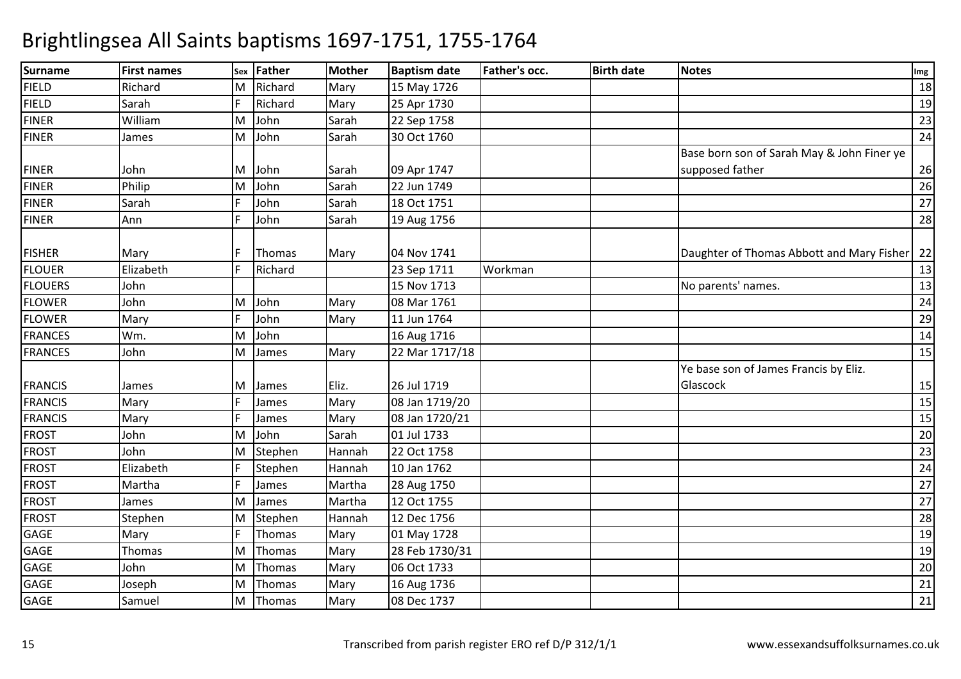| <b>Surname</b> | <b>First names</b> |    | sex Father    | <b>Mother</b> | <b>Baptism date</b> | <b>Father's occ.</b> | <b>Birth date</b> | <b>Notes</b>                               | Img |
|----------------|--------------------|----|---------------|---------------|---------------------|----------------------|-------------------|--------------------------------------------|-----|
| <b>FIELD</b>   | Richard            | M  | Richard       | Mary          | 15 May 1726         |                      |                   |                                            | 18  |
| <b>FIELD</b>   | Sarah              |    | Richard       | Mary          | 25 Apr 1730         |                      |                   |                                            | 19  |
| <b>FINER</b>   | William            | M  | John          | Sarah         | 22 Sep 1758         |                      |                   |                                            | 23  |
| <b>FINER</b>   | James              | M  | John          | Sarah         | 30 Oct 1760         |                      |                   |                                            | 24  |
|                |                    |    |               |               |                     |                      |                   | Base born son of Sarah May & John Finer ye |     |
| <b>FINER</b>   | John               | M  | John          | Sarah         | 09 Apr 1747         |                      |                   | supposed father                            | 26  |
| <b>FINER</b>   | Philip             | M  | John          | Sarah         | 22 Jun 1749         |                      |                   |                                            | 26  |
| <b>FINER</b>   | Sarah              |    | John          | Sarah         | 18 Oct 1751         |                      |                   |                                            | 27  |
| <b>FINER</b>   | Ann                |    | John          | Sarah         | 19 Aug 1756         |                      |                   |                                            | 28  |
| <b>FISHER</b>  | Mary               |    | <b>Thomas</b> | Mary          | 04 Nov 1741         |                      |                   | Daughter of Thomas Abbott and Mary Fisher  | 22  |
| <b>FLOUER</b>  | Elizabeth          |    | Richard       |               | 23 Sep 1711         | Workman              |                   |                                            | 13  |
| <b>FLOUERS</b> | John               |    |               |               | 15 Nov 1713         |                      |                   | No parents' names.                         | 13  |
| <b>FLOWER</b>  | John               | М  | John          | Mary          | 08 Mar 1761         |                      |                   |                                            | 24  |
| <b>FLOWER</b>  | Mary               |    | John          | Mary          | 11 Jun 1764         |                      |                   |                                            | 29  |
| <b>FRANCES</b> | Wm.                | M  | John          |               | 16 Aug 1716         |                      |                   |                                            | 14  |
| <b>FRANCES</b> | John               | M  | James         | Mary          | 22 Mar 1717/18      |                      |                   |                                            | 15  |
|                |                    |    |               |               |                     |                      |                   | Ye base son of James Francis by Eliz.      |     |
| <b>FRANCIS</b> | James              | м  | James         | Eliz.         | 26 Jul 1719         |                      |                   | Glascock                                   | 15  |
| <b>FRANCIS</b> | Mary               |    | James         | Mary          | 08 Jan 1719/20      |                      |                   |                                            | 15  |
| <b>FRANCIS</b> | Mary               |    | James         | Mary          | 08 Jan 1720/21      |                      |                   |                                            | 15  |
| <b>FROST</b>   | John               | M  | John          | Sarah         | 01 Jul 1733         |                      |                   |                                            | 20  |
| <b>FROST</b>   | John               | M  | Stephen       | Hannah        | 22 Oct 1758         |                      |                   |                                            | 23  |
| <b>FROST</b>   | Elizabeth          |    | Stephen       | Hannah        | 10 Jan 1762         |                      |                   |                                            | 24  |
| <b>FROST</b>   | Martha             |    | James         | Martha        | 28 Aug 1750         |                      |                   |                                            | 27  |
| <b>FROST</b>   | James              | M  | James         | Martha        | 12 Oct 1755         |                      |                   |                                            | 27  |
| <b>FROST</b>   | Stephen            | M  | Stephen       | Hannah        | 12 Dec 1756         |                      |                   |                                            | 28  |
| GAGE           | Mary               | I۴ | Thomas        | Mary          | 01 May 1728         |                      |                   |                                            | 19  |
| GAGE           | Thomas             | M  | Thomas        | Mary          | 28 Feb 1730/31      |                      |                   |                                            | 19  |
| GAGE           | John               | M  | Thomas        | Mary          | 06 Oct 1733         |                      |                   |                                            | 20  |
| GAGE           | Joseph             | M  | Thomas        | Mary          | 16 Aug 1736         |                      |                   |                                            | 21  |
| GAGE           | Samuel             | M  | Thomas        | Mary          | 08 Dec 1737         |                      |                   |                                            | 21  |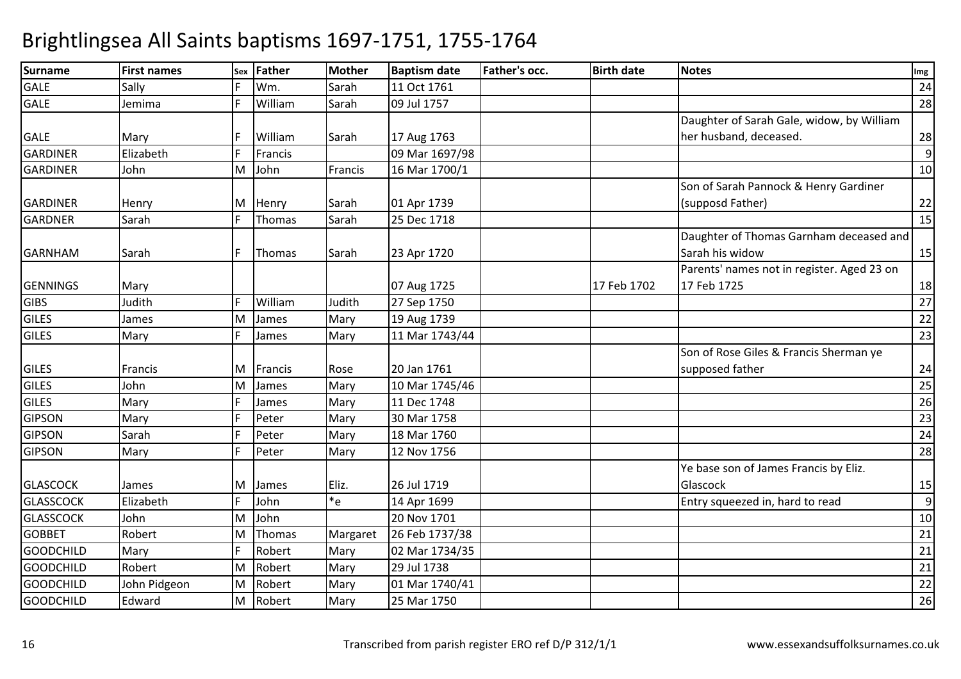| Surname          | <b>First names</b> |    | sex Father | Mother   | <b>Baptism date</b> | <b>Father's occ.</b> | <b>Birth date</b> | <b>Notes</b>                               | Img |
|------------------|--------------------|----|------------|----------|---------------------|----------------------|-------------------|--------------------------------------------|-----|
| <b>GALE</b>      | Sally              |    | Wm.        | Sarah    | 11 Oct 1761         |                      |                   |                                            | 24  |
| <b>GALE</b>      | Jemima             |    | William    | Sarah    | 09 Jul 1757         |                      |                   |                                            | 28  |
|                  |                    |    |            |          |                     |                      |                   | Daughter of Sarah Gale, widow, by William  |     |
| <b>GALE</b>      | Mary               |    | William    | Sarah    | 17 Aug 1763         |                      |                   | her husband, deceased.                     | 28  |
| <b>GARDINER</b>  | Elizabeth          |    | Francis    |          | 09 Mar 1697/98      |                      |                   |                                            | 9   |
| <b>GARDINER</b>  | John               | M  | John       | Francis  | 16 Mar 1700/1       |                      |                   |                                            | 10  |
|                  |                    |    |            |          |                     |                      |                   | Son of Sarah Pannock & Henry Gardiner      |     |
| <b>GARDINER</b>  | Henry              | ΙM | Henry      | Sarah    | 01 Apr 1739         |                      |                   | (supposd Father)                           | 22  |
| <b>GARDNER</b>   | Sarah              |    | Thomas     | Sarah    | 25 Dec 1718         |                      |                   |                                            | 15  |
|                  |                    |    |            |          |                     |                      |                   | Daughter of Thomas Garnham deceased and    |     |
| <b>GARNHAM</b>   | Sarah              |    | Thomas     | Sarah    | 23 Apr 1720         |                      |                   | Sarah his widow                            | 15  |
|                  |                    |    |            |          |                     |                      |                   | Parents' names not in register. Aged 23 on |     |
| <b>GENNINGS</b>  | Mary               |    |            |          | 07 Aug 1725         |                      | 17 Feb 1702       | 17 Feb 1725                                | 18  |
| <b>GIBS</b>      | Judith             |    | William    | Judith   | 27 Sep 1750         |                      |                   |                                            | 27  |
| <b>GILES</b>     | James              | M  | James      | Mary     | 19 Aug 1739         |                      |                   |                                            | 22  |
| <b>GILES</b>     | Mary               |    | James      | Mary     | 11 Mar 1743/44      |                      |                   |                                            | 23  |
|                  |                    |    |            |          |                     |                      |                   | Son of Rose Giles & Francis Sherman ye     |     |
| <b>GILES</b>     | Francis            |    | M Francis  | Rose     | 20 Jan 1761         |                      |                   | supposed father                            | 24  |
| <b>GILES</b>     | John               | M  | James      | Mary     | 10 Mar 1745/46      |                      |                   |                                            | 25  |
| <b>GILES</b>     | Mary               |    | James      | Mary     | 11 Dec 1748         |                      |                   |                                            | 26  |
| <b>GIPSON</b>    | Mary               |    | Peter      | Mary     | 30 Mar 1758         |                      |                   |                                            | 23  |
| <b>GIPSON</b>    | Sarah              |    | Peter      | Mary     | 18 Mar 1760         |                      |                   |                                            | 24  |
| <b>GIPSON</b>    | Mary               |    | Peter      | Mary     | 12 Nov 1756         |                      |                   |                                            | 28  |
|                  |                    |    |            |          |                     |                      |                   | Ye base son of James Francis by Eliz.      |     |
| <b>GLASCOCK</b>  | James              | ΙM | James      | Eliz.    | 26 Jul 1719         |                      |                   | Glascock                                   | 15  |
| <b>GLASSCOCK</b> | Elizabeth          |    | John       | *e       | 14 Apr 1699         |                      |                   | Entry squeezed in, hard to read            | 9   |
| <b>GLASSCOCK</b> | John               | M  | John       |          | 20 Nov 1701         |                      |                   |                                            | 10  |
| <b>GOBBET</b>    | Robert             | M  | Thomas     | Margaret | 26 Feb 1737/38      |                      |                   |                                            | 21  |
| <b>GOODCHILD</b> | Mary               |    | Robert     | Mary     | 02 Mar 1734/35      |                      |                   |                                            | 21  |
| <b>GOODCHILD</b> | Robert             | M  | Robert     | Mary     | 29 Jul 1738         |                      |                   |                                            | 21  |
| <b>GOODCHILD</b> | John Pidgeon       | M  | Robert     | Mary     | 01 Mar 1740/41      |                      |                   |                                            | 22  |
| <b>GOODCHILD</b> | Edward             | M  | Robert     | Mary     | 25 Mar 1750         |                      |                   |                                            | 26  |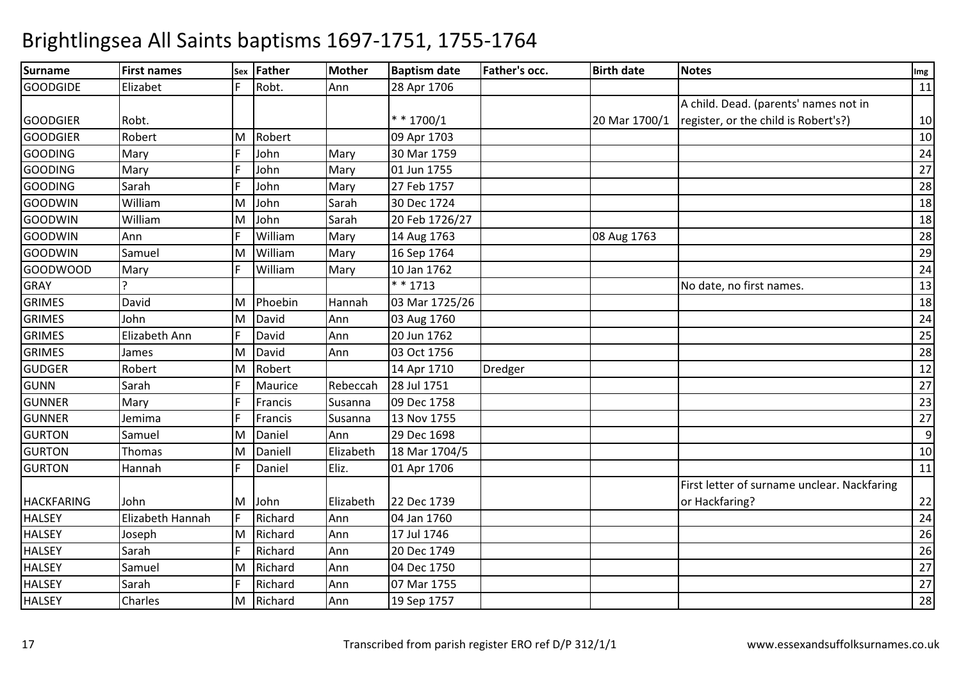| <b>Surname</b>    | <b>First names</b> |   | sex Father | <b>Mother</b> | <b>Baptism date</b> | Father's occ. | <b>Birth date</b> | Notes                                       | Img |
|-------------------|--------------------|---|------------|---------------|---------------------|---------------|-------------------|---------------------------------------------|-----|
| <b>GOODGIDE</b>   | Elizabet           |   | Robt.      | Ann           | 28 Apr 1706         |               |                   |                                             | 11  |
|                   |                    |   |            |               |                     |               |                   | A child. Dead. (parents' names not in       |     |
| <b>GOODGIER</b>   | Robt.              |   |            |               | $* * 1700/1$        |               | 20 Mar 1700/1     | register, or the child is Robert's?)        | 10  |
| <b>GOODGIER</b>   | Robert             | M | Robert     |               | 09 Apr 1703         |               |                   |                                             | 10  |
| <b>GOODING</b>    | Mary               |   | John       | Mary          | 30 Mar 1759         |               |                   |                                             | 24  |
| <b>GOODING</b>    | Mary               |   | John       | Mary          | 01 Jun 1755         |               |                   |                                             | 27  |
| <b>GOODING</b>    | Sarah              |   | John       | Mary          | 27 Feb 1757         |               |                   |                                             | 28  |
| <b>GOODWIN</b>    | William            | М | John       | Sarah         | 30 Dec 1724         |               |                   |                                             | 18  |
| <b>GOODWIN</b>    | William            | M | John       | Sarah         | 20 Feb 1726/27      |               |                   |                                             | 18  |
| <b>GOODWIN</b>    | Ann                |   | William    | Mary          | 14 Aug 1763         |               | 08 Aug 1763       |                                             | 28  |
| <b>GOODWIN</b>    | Samuel             | M | William    | Mary          | 16 Sep 1764         |               |                   |                                             | 29  |
| <b>GOODWOOD</b>   | Mary               |   | William    | Mary          | 10 Jan 1762         |               |                   |                                             | 24  |
| <b>GRAY</b>       |                    |   |            |               | $* * 1713$          |               |                   | No date, no first names.                    | 13  |
| <b>GRIMES</b>     | David              | м | Phoebin    | Hannah        | 03 Mar 1725/26      |               |                   |                                             | 18  |
| <b>GRIMES</b>     | John               | M | David      | Ann           | 03 Aug 1760         |               |                   |                                             | 24  |
| <b>GRIMES</b>     | Elizabeth Ann      |   | David      | Ann           | 20 Jun 1762         |               |                   |                                             | 25  |
| <b>GRIMES</b>     | James              | м | David      | Ann           | 03 Oct 1756         |               |                   |                                             | 28  |
| <b>GUDGER</b>     | Robert             | M | Robert     |               | 14 Apr 1710         | Dredger       |                   |                                             | 12  |
| <b>GUNN</b>       | Sarah              |   | Maurice    | Rebeccah      | 28 Jul 1751         |               |                   |                                             | 27  |
| <b>GUNNER</b>     | Mary               |   | Francis    | Susanna       | 09 Dec 1758         |               |                   |                                             | 23  |
| <b>GUNNER</b>     | Jemima             |   | Francis    | Susanna       | 13 Nov 1755         |               |                   |                                             | 27  |
| <b>GURTON</b>     | Samuel             | M | Daniel     | Ann           | 29 Dec 1698         |               |                   |                                             | 9   |
| <b>GURTON</b>     | Thomas             | М | Daniell    | Elizabeth     | 18 Mar 1704/5       |               |                   |                                             | 10  |
| <b>GURTON</b>     | Hannah             |   | Daniel     | Eliz.         | 01 Apr 1706         |               |                   |                                             | 11  |
|                   |                    |   |            |               |                     |               |                   | First letter of surname unclear. Nackfaring |     |
| <b>HACKFARING</b> | John               | M | John       | Elizabeth     | 22 Dec 1739         |               |                   | or Hackfaring?                              | 22  |
| <b>HALSEY</b>     | Elizabeth Hannah   |   | Richard    | Ann           | 04 Jan 1760         |               |                   |                                             | 24  |
| <b>HALSEY</b>     | Joseph             |   | M Richard  | Ann           | 17 Jul 1746         |               |                   |                                             | 26  |
| <b>HALSEY</b>     | Sarah              |   | Richard    | Ann           | 20 Dec 1749         |               |                   |                                             | 26  |
| <b>HALSEY</b>     | Samuel             | M | Richard    | Ann           | 04 Dec 1750         |               |                   |                                             | 27  |
| <b>HALSEY</b>     | Sarah              |   | Richard    | Ann           | 07 Mar 1755         |               |                   |                                             | 27  |
| <b>HALSEY</b>     | Charles            | M | Richard    | Ann           | 19 Sep 1757         |               |                   |                                             | 28  |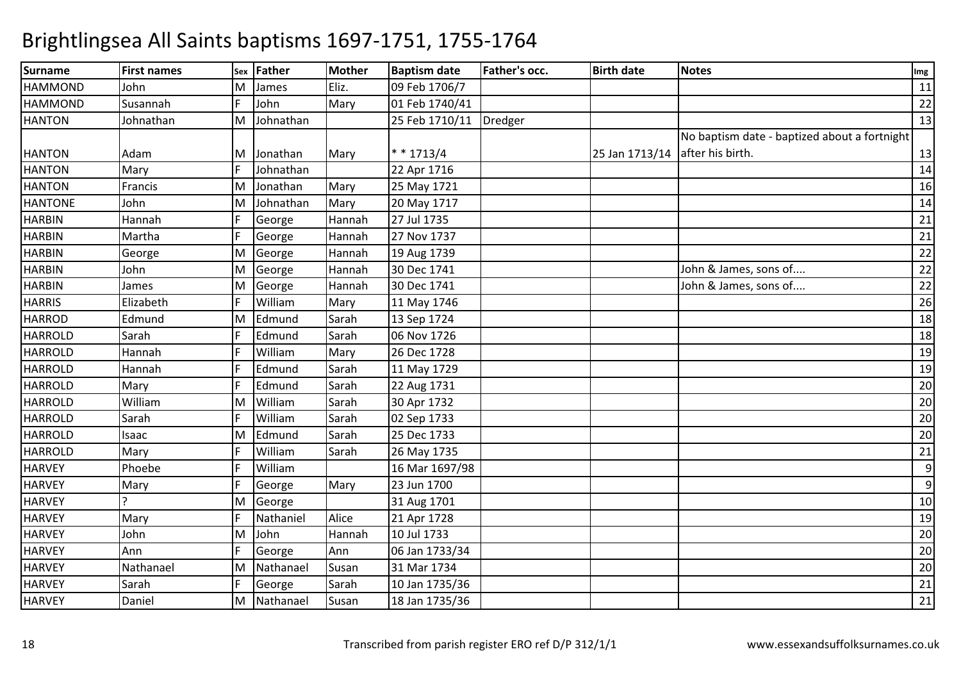| <b>Surname</b> | <b>First names</b> | Sex | Father    | <b>Mother</b> | <b>Baptism date</b> | <b>Father's occ.</b> | <b>Birth date</b>               | <b>Notes</b>                                 | Img |
|----------------|--------------------|-----|-----------|---------------|---------------------|----------------------|---------------------------------|----------------------------------------------|-----|
| <b>HAMMOND</b> | John               | M   | James     | Eliz.         | 09 Feb 1706/7       |                      |                                 |                                              | 11  |
| <b>HAMMOND</b> | Susannah           |     | John      | Mary          | 01 Feb 1740/41      |                      |                                 |                                              | 22  |
| <b>HANTON</b>  | Johnathan          | M   | Johnathan |               | 25 Feb 1710/11      | <b>Dredger</b>       |                                 |                                              | 13  |
|                |                    |     |           |               |                     |                      |                                 | No baptism date - baptized about a fortnight |     |
| <b>HANTON</b>  | Adam               | M   | Jonathan  | Mary          | * * 1713/4          |                      | 25 Jan 1713/14 after his birth. |                                              | 13  |
| <b>HANTON</b>  | Mary               |     | Johnathan |               | 22 Apr 1716         |                      |                                 |                                              | 14  |
| <b>HANTON</b>  | Francis            | M   | Jonathan  | Mary          | 25 May 1721         |                      |                                 |                                              | 16  |
| <b>HANTONE</b> | John               | M   | Johnathan | Mary          | 20 May 1717         |                      |                                 |                                              | 14  |
| <b>HARBIN</b>  | Hannah             |     | George    | Hannah        | 27 Jul 1735         |                      |                                 |                                              | 21  |
| <b>HARBIN</b>  | Martha             |     | George    | Hannah        | 27 Nov 1737         |                      |                                 |                                              | 21  |
| <b>HARBIN</b>  | George             | M   | George    | Hannah        | 19 Aug 1739         |                      |                                 |                                              | 22  |
| <b>HARBIN</b>  | John               | M   | George    | Hannah        | 30 Dec 1741         |                      |                                 | John & James, sons of                        | 22  |
| <b>HARBIN</b>  | James              | M   | George    | Hannah        | 30 Dec 1741         |                      |                                 | John & James, sons of                        | 22  |
| <b>HARRIS</b>  | Elizabeth          |     | William   | Mary          | 11 May 1746         |                      |                                 |                                              | 26  |
| <b>HARROD</b>  | Edmund             | M   | Edmund    | Sarah         | 13 Sep 1724         |                      |                                 |                                              | 18  |
| <b>HARROLD</b> | Sarah              |     | Edmund    | Sarah         | 06 Nov 1726         |                      |                                 |                                              | 18  |
| <b>HARROLD</b> | Hannah             |     | William   | Mary          | 26 Dec 1728         |                      |                                 |                                              | 19  |
| <b>HARROLD</b> | Hannah             |     | Edmund    | Sarah         | 11 May 1729         |                      |                                 |                                              | 19  |
| <b>HARROLD</b> | Mary               |     | Edmund    | Sarah         | 22 Aug 1731         |                      |                                 |                                              | 20  |
| <b>HARROLD</b> | William            | M   | William   | Sarah         | 30 Apr 1732         |                      |                                 |                                              | 20  |
| <b>HARROLD</b> | Sarah              |     | William   | Sarah         | 02 Sep 1733         |                      |                                 |                                              | 20  |
| <b>HARROLD</b> | Isaac              | M   | Edmund    | Sarah         | 25 Dec 1733         |                      |                                 |                                              | 20  |
| <b>HARROLD</b> | Mary               |     | William   | Sarah         | 26 May 1735         |                      |                                 |                                              | 21  |
| <b>HARVEY</b>  | Phoebe             |     | William   |               | 16 Mar 1697/98      |                      |                                 |                                              | 9   |
| <b>HARVEY</b>  | Mary               |     | George    | Mary          | 23 Jun 1700         |                      |                                 |                                              | 9   |
| <b>HARVEY</b>  |                    | M   | George    |               | 31 Aug 1701         |                      |                                 |                                              | 10  |
| <b>HARVEY</b>  | Mary               |     | Nathaniel | Alice         | 21 Apr 1728         |                      |                                 |                                              | 19  |
| <b>HARVEY</b>  | John               | M   | John      | Hannah        | 10 Jul 1733         |                      |                                 |                                              | 20  |
| <b>HARVEY</b>  | Ann                |     | George    | Ann           | 06 Jan 1733/34      |                      |                                 |                                              | 20  |
| <b>HARVEY</b>  | Nathanael          | M   | Nathanael | Susan         | 31 Mar 1734         |                      |                                 |                                              | 20  |
| <b>HARVEY</b>  | Sarah              |     | George    | Sarah         | 10 Jan 1735/36      |                      |                                 |                                              | 21  |
| <b>HARVEY</b>  | Daniel             | M   | Nathanael | Susan         | 18 Jan 1735/36      |                      |                                 |                                              | 21  |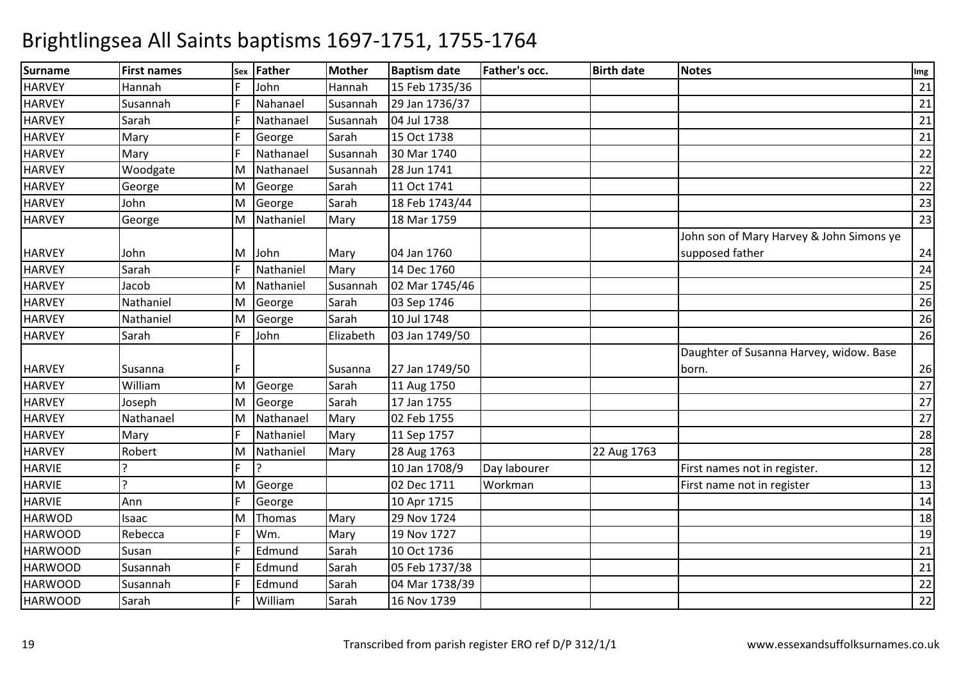| <b>Surname</b> | <b>First names</b> | Sex | <b>Father</b> | <b>Mother</b> | <b>Baptism date</b> | Father's occ. | <b>Birth date</b> | <b>Notes</b>                             | Img |
|----------------|--------------------|-----|---------------|---------------|---------------------|---------------|-------------------|------------------------------------------|-----|
| <b>HARVEY</b>  | Hannah             |     | John          | Hannah        | 15 Feb 1735/36      |               |                   |                                          | 21  |
| <b>HARVEY</b>  | Susannah           |     | Nahanael      | Susannah      | 29 Jan 1736/37      |               |                   |                                          | 21  |
| <b>HARVEY</b>  | Sarah              |     | Nathanael     | Susannah      | 04 Jul 1738         |               |                   |                                          | 21  |
| <b>HARVEY</b>  | Mary               |     | George        | Sarah         | 15 Oct 1738         |               |                   |                                          | 21  |
| <b>HARVEY</b>  | Mary               |     | Nathanael     | Susannah      | 30 Mar 1740         |               |                   |                                          | 22  |
| <b>HARVEY</b>  | Woodgate           | M   | Nathanael     | Susannah      | 28 Jun 1741         |               |                   |                                          | 22  |
| <b>HARVEY</b>  | George             | M   | George        | Sarah         | 11 Oct 1741         |               |                   |                                          | 22  |
| <b>HARVEY</b>  | John               | M   | George        | Sarah         | 18 Feb 1743/44      |               |                   |                                          | 23  |
| <b>HARVEY</b>  | George             | M   | Nathaniel     | Mary          | 18 Mar 1759         |               |                   |                                          | 23  |
|                |                    |     |               |               |                     |               |                   | John son of Mary Harvey & John Simons ye |     |
| <b>HARVEY</b>  | John               | M   | John          | Mary          | 04 Jan 1760         |               |                   | supposed father                          | 24  |
| <b>HARVEY</b>  | Sarah              |     | Nathaniel     | Mary          | 14 Dec 1760         |               |                   |                                          | 24  |
| <b>HARVEY</b>  | Jacob              | M   | Nathaniel     | Susannah      | 02 Mar 1745/46      |               |                   |                                          | 25  |
| <b>HARVEY</b>  | Nathaniel          | M   | George        | Sarah         | 03 Sep 1746         |               |                   |                                          | 26  |
| <b>HARVEY</b>  | Nathaniel          | M   | George        | Sarah         | 10 Jul 1748         |               |                   |                                          | 26  |
| <b>HARVEY</b>  | Sarah              | E   | John          | Elizabeth     | 03 Jan 1749/50      |               |                   |                                          | 26  |
|                |                    |     |               |               |                     |               |                   | Daughter of Susanna Harvey, widow. Base  |     |
| <b>HARVEY</b>  | Susanna            |     |               | Susanna       | 27 Jan 1749/50      |               |                   | born.                                    | 26  |
| <b>HARVEY</b>  | William            | M   | George        | Sarah         | 11 Aug 1750         |               |                   |                                          | 27  |
| <b>HARVEY</b>  | Joseph             | M   | George        | Sarah         | 17 Jan 1755         |               |                   |                                          | 27  |
| <b>HARVEY</b>  | Nathanael          | M   | Nathanael     | Mary          | 02 Feb 1755         |               |                   |                                          | 27  |
| <b>HARVEY</b>  | Mary               | E   | Nathaniel     | Mary          | 11 Sep 1757         |               |                   |                                          | 28  |
| <b>HARVEY</b>  | Robert             | M   | Nathaniel     | Mary          | 28 Aug 1763         |               | 22 Aug 1763       |                                          | 28  |
| <b>HARVIE</b>  |                    | F   | I٦            |               | 10 Jan 1708/9       | Day labourer  |                   | First names not in register.             | 12  |
| <b>HARVIE</b>  | $\mathbf{D}$       | M   | George        |               | 02 Dec 1711         | Workman       |                   | First name not in register               | 13  |
| <b>HARVIE</b>  | Ann                | E   | George        |               | 10 Apr 1715         |               |                   |                                          | 14  |
| <b>HARWOD</b>  | Isaac              | M   | Thomas        | Mary          | 29 Nov 1724         |               |                   |                                          | 18  |
| <b>HARWOOD</b> | Rebecca            | E   | Wm.           | Mary          | 19 Nov 1727         |               |                   |                                          | 19  |
| <b>HARWOOD</b> | Susan              |     | Edmund        | Sarah         | 10 Oct 1736         |               |                   |                                          | 21  |
| <b>HARWOOD</b> | Susannah           |     | Edmund        | Sarah         | 05 Feb 1737/38      |               |                   |                                          | 21  |
| <b>HARWOOD</b> | Susannah           | E   | Edmund        | Sarah         | 04 Mar 1738/39      |               |                   |                                          | 22  |
| <b>HARWOOD</b> | Sarah              | E   | William       | Sarah         | 16 Nov 1739         |               |                   |                                          | 22  |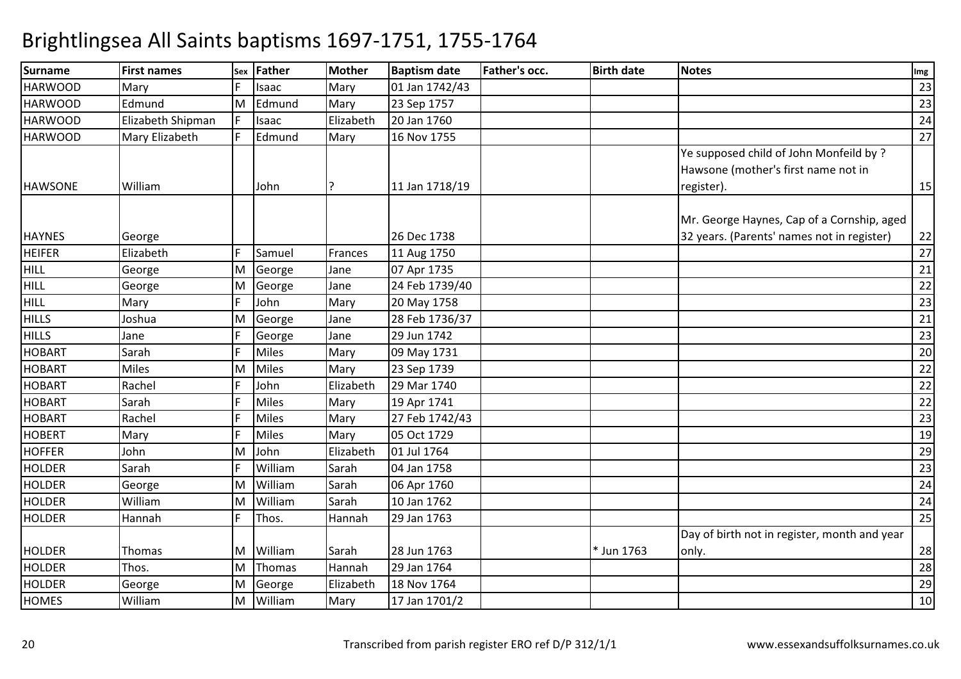| <b>Surname</b> | <b>First names</b> | <b>Sex</b> | Father       | Mother    | <b>Baptism date</b> | <b>Father's occ.</b> | <b>Birth date</b> | <b>Notes</b>                                 | Img |
|----------------|--------------------|------------|--------------|-----------|---------------------|----------------------|-------------------|----------------------------------------------|-----|
| <b>HARWOOD</b> | Mary               |            | Isaac        | Mary      | 01 Jan 1742/43      |                      |                   |                                              | 23  |
| <b>HARWOOD</b> | Edmund             | M          | Edmund       | Mary      | 23 Sep 1757         |                      |                   |                                              | 23  |
| <b>HARWOOD</b> | Elizabeth Shipman  |            | Isaac        | Elizabeth | 20 Jan 1760         |                      |                   |                                              | 24  |
| <b>HARWOOD</b> | Mary Elizabeth     |            | Edmund       | Mary      | 16 Nov 1755         |                      |                   |                                              | 27  |
|                |                    |            |              |           |                     |                      |                   | Ye supposed child of John Monfeild by?       |     |
|                |                    |            |              |           |                     |                      |                   | Hawsone (mother's first name not in          |     |
| <b>HAWSONE</b> | William            |            | John         | ?         | 11 Jan 1718/19      |                      |                   | register).                                   | 15  |
|                |                    |            |              |           |                     |                      |                   |                                              |     |
|                |                    |            |              |           |                     |                      |                   | Mr. George Haynes, Cap of a Cornship, aged   |     |
| <b>HAYNES</b>  | George             |            |              |           | 26 Dec 1738         |                      |                   | 32 years. (Parents' names not in register)   | 22  |
| <b>HEIFER</b>  | Elizabeth          |            | Samuel       | Frances   | 11 Aug 1750         |                      |                   |                                              | 27  |
| <b>HILL</b>    | George             | M          | George       | Jane      | 07 Apr 1735         |                      |                   |                                              | 21  |
| <b>HILL</b>    | George             | M          | George       | Jane      | 24 Feb 1739/40      |                      |                   |                                              | 22  |
| <b>HILL</b>    | Mary               |            | John         | Mary      | 20 May 1758         |                      |                   |                                              | 23  |
| <b>HILLS</b>   | Joshua             | M          | George       | Jane      | 28 Feb 1736/37      |                      |                   |                                              | 21  |
| <b>HILLS</b>   | Jane               |            | George       | Jane      | 29 Jun 1742         |                      |                   |                                              | 23  |
| <b>HOBART</b>  | Sarah              |            | <b>Miles</b> | Mary      | 09 May 1731         |                      |                   |                                              | 20  |
| <b>HOBART</b>  | <b>Miles</b>       | M          | <b>Miles</b> | Mary      | 23 Sep 1739         |                      |                   |                                              | 22  |
| <b>HOBART</b>  | Rachel             |            | John         | Elizabeth | 29 Mar 1740         |                      |                   |                                              | 22  |
| <b>HOBART</b>  | Sarah              |            | <b>Miles</b> | Mary      | 19 Apr 1741         |                      |                   |                                              | 22  |
| <b>HOBART</b>  | Rachel             |            | <b>Miles</b> | Mary      | 27 Feb 1742/43      |                      |                   |                                              | 23  |
| <b>HOBERT</b>  | Mary               |            | <b>Miles</b> | Mary      | 05 Oct 1729         |                      |                   |                                              | 19  |
| <b>HOFFER</b>  | John               | M          | John         | Elizabeth | 01 Jul 1764         |                      |                   |                                              | 29  |
| <b>HOLDER</b>  | Sarah              |            | William      | Sarah     | 04 Jan 1758         |                      |                   |                                              | 23  |
| <b>HOLDER</b>  | George             | M          | William      | Sarah     | 06 Apr 1760         |                      |                   |                                              | 24  |
| <b>HOLDER</b>  | William            | M          | William      | Sarah     | 10 Jan 1762         |                      |                   |                                              | 24  |
| <b>HOLDER</b>  | Hannah             |            | Thos.        | Hannah    | 29 Jan 1763         |                      |                   |                                              | 25  |
|                |                    |            |              |           |                     |                      |                   | Day of birth not in register, month and year |     |
| <b>HOLDER</b>  | Thomas             | M          | William      | Sarah     | 28 Jun 1763         |                      | * Jun 1763        | only.                                        | 28  |
| <b>HOLDER</b>  | Thos.              | M          | Thomas       | Hannah    | 29 Jan 1764         |                      |                   |                                              | 28  |
| HOLDER         | George             | M          | George       | Elizabeth | 18 Nov 1764         |                      |                   |                                              | 29  |
| <b>HOMES</b>   | William            | M          | William      | Mary      | 17 Jan 1701/2       |                      |                   |                                              | 10  |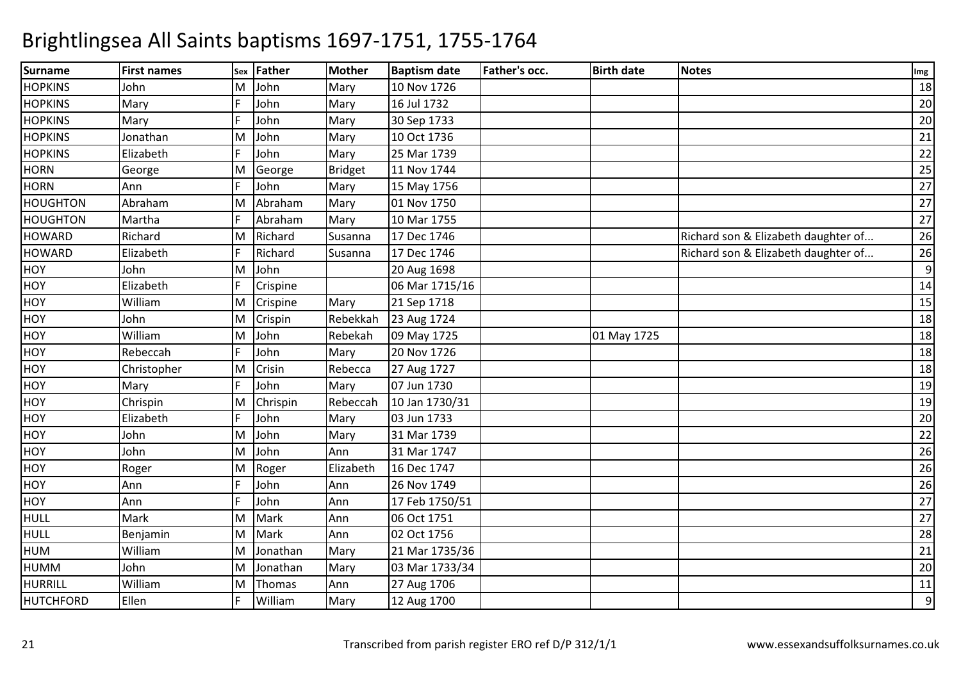| <b>Surname</b>   | <b>First names</b> | Sex | Father   | <b>Mother</b> | <b>Baptism date</b> | <b>Father's occ.</b> | <b>Birth date</b> | <b>Notes</b>                        | Img |
|------------------|--------------------|-----|----------|---------------|---------------------|----------------------|-------------------|-------------------------------------|-----|
| <b>HOPKINS</b>   | John               | M   | John     | Mary          | 10 Nov 1726         |                      |                   |                                     | 18  |
| <b>HOPKINS</b>   | Mary               |     | John     | Mary          | 16 Jul 1732         |                      |                   |                                     | 20  |
| <b>HOPKINS</b>   | Mary               |     | John     | Mary          | 30 Sep 1733         |                      |                   |                                     | 20  |
| <b>HOPKINS</b>   | Jonathan           | M   | John     | Mary          | 10 Oct 1736         |                      |                   |                                     | 21  |
| <b>HOPKINS</b>   | Elizabeth          |     | John     | Mary          | 25 Mar 1739         |                      |                   |                                     | 22  |
| <b>HORN</b>      | George             | M   | George   | Bridget       | 11 Nov 1744         |                      |                   |                                     | 25  |
| <b>HORN</b>      | Ann                |     | John     | Mary          | 15 May 1756         |                      |                   |                                     | 27  |
| <b>HOUGHTON</b>  | Abraham            | M   | Abraham  | Mary          | 01 Nov 1750         |                      |                   |                                     | 27  |
| <b>HOUGHTON</b>  | Martha             |     | Abraham  | Mary          | 10 Mar 1755         |                      |                   |                                     | 27  |
| <b>HOWARD</b>    | Richard            | M   | Richard  | Susanna       | 17 Dec 1746         |                      |                   | Richard son & Elizabeth daughter of | 26  |
| <b>HOWARD</b>    | Elizabeth          |     | Richard  | Susanna       | 17 Dec 1746         |                      |                   | Richard son & Elizabeth daughter of | 26  |
| <b>HOY</b>       | John               | M   | John     |               | 20 Aug 1698         |                      |                   |                                     | 9   |
| HOY              | Elizabeth          |     | Crispine |               | 06 Mar 1715/16      |                      |                   |                                     | 14  |
| HOY              | William            | M   | Crispine | Mary          | 21 Sep 1718         |                      |                   |                                     | 15  |
| HOY              | John               | M   | Crispin  | Rebekkah      | 23 Aug 1724         |                      |                   |                                     | 18  |
| <b>HOY</b>       | William            | M   | John     | Rebekah       | 09 May 1725         |                      | 01 May 1725       |                                     | 18  |
| HOY              | Rebeccah           |     | John     | Mary          | 20 Nov 1726         |                      |                   |                                     | 18  |
| HOY              | Christopher        | M   | Crisin   | Rebecca       | 27 Aug 1727         |                      |                   |                                     | 18  |
| HOY              | Mary               |     | John     | Mary          | 07 Jun 1730         |                      |                   |                                     | 19  |
| <b>HOY</b>       | Chrispin           | M   | Chrispin | Rebeccah      | 10 Jan 1730/31      |                      |                   |                                     | 19  |
| <b>HOY</b>       | Elizabeth          |     | John     | Mary          | 03 Jun 1733         |                      |                   |                                     | 20  |
| <b>HOY</b>       | John               | M   | John     | Mary          | 31 Mar 1739         |                      |                   |                                     | 22  |
| <b>HOY</b>       | John               | M   | John     | Ann           | 31 Mar 1747         |                      |                   |                                     | 26  |
| <b>HOY</b>       | Roger              | M   | Roger    | Elizabeth     | 16 Dec 1747         |                      |                   |                                     | 26  |
| HOY              | Ann                |     | John     | Ann           | 26 Nov 1749         |                      |                   |                                     | 26  |
| HOY              | Ann                |     | John     | Ann           | 17 Feb 1750/51      |                      |                   |                                     | 27  |
| <b>HULL</b>      | Mark               | M   | Mark     | Ann           | 06 Oct 1751         |                      |                   |                                     | 27  |
| <b>HULL</b>      | Benjamin           | M   | Mark     | Ann           | 02 Oct 1756         |                      |                   |                                     | 28  |
| <b>HUM</b>       | William            | M   | Jonathan | Mary          | 21 Mar 1735/36      |                      |                   |                                     | 21  |
| <b>HUMM</b>      | John               | M   | Jonathan | Mary          | 03 Mar 1733/34      |                      |                   |                                     | 20  |
| <b>HURRILL</b>   | William            | M   | Thomas   | Ann           | 27 Aug 1706         |                      |                   |                                     | 11  |
| <b>HUTCHFORD</b> | Ellen              | I۵  | William  | Mary          | 12 Aug 1700         |                      |                   |                                     | 9   |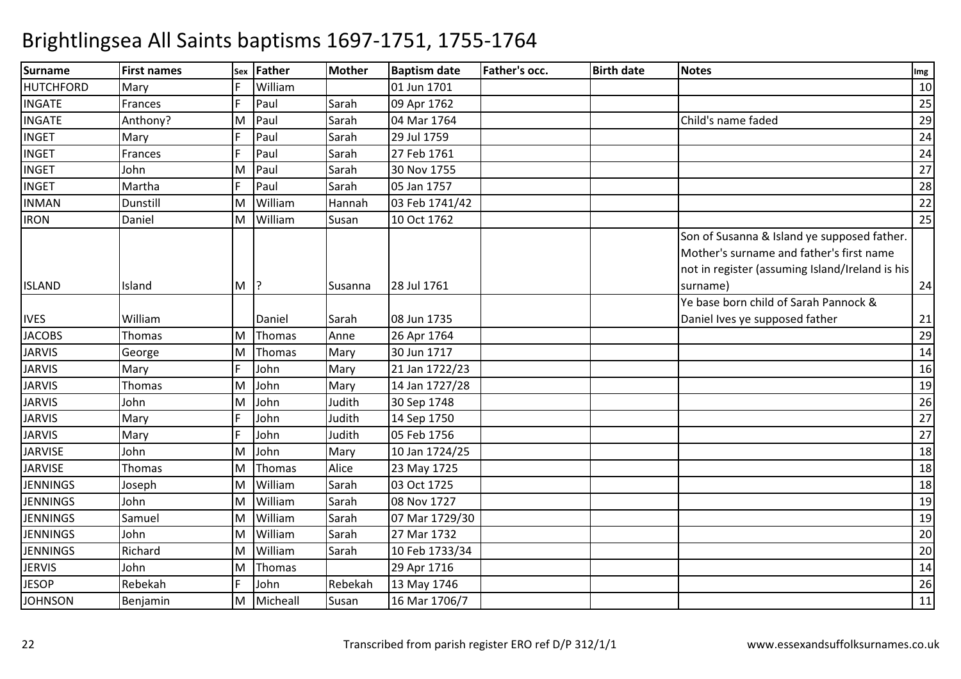| <b>Surname</b>   | <b>First names</b> | <b>Sex</b> | Father        | Mother  | <b>Baptism date</b> | Father's occ. | <b>Birth date</b> | <b>Notes</b>                                                                                                                                           | Img |
|------------------|--------------------|------------|---------------|---------|---------------------|---------------|-------------------|--------------------------------------------------------------------------------------------------------------------------------------------------------|-----|
| <b>HUTCHFORD</b> | Mary               |            | William       |         | 01 Jun 1701         |               |                   |                                                                                                                                                        | 10  |
| <b>INGATE</b>    | Frances            |            | Paul          | Sarah   | 09 Apr 1762         |               |                   |                                                                                                                                                        | 25  |
| <b>INGATE</b>    | Anthony?           | M          | Paul          | Sarah   | 04 Mar 1764         |               |                   | Child's name faded                                                                                                                                     | 29  |
| <b>INGET</b>     | Mary               |            | Paul          | Sarah   | 29 Jul 1759         |               |                   |                                                                                                                                                        | 24  |
| <b>INGET</b>     | Frances            |            | Paul          | Sarah   | 27 Feb 1761         |               |                   |                                                                                                                                                        | 24  |
| <b>INGET</b>     | John               | M          | Paul          | Sarah   | 30 Nov 1755         |               |                   |                                                                                                                                                        | 27  |
| <b>INGET</b>     | Martha             |            | Paul          | Sarah   | 05 Jan 1757         |               |                   |                                                                                                                                                        | 28  |
| <b>INMAN</b>     | Dunstill           | M          | William       | Hannah  | 03 Feb 1741/42      |               |                   |                                                                                                                                                        | 22  |
| <b>IRON</b>      | Daniel             | M          | William       | Susan   | 10 Oct 1762         |               |                   |                                                                                                                                                        | 25  |
| <b>ISLAND</b>    | Island             | M          | $\mathsf{P}$  | Susanna | 28 Jul 1761         |               |                   | Son of Susanna & Island ye supposed father.<br>Mother's surname and father's first name<br>not in register (assuming Island/Ireland is his<br>surname) | 24  |
|                  |                    |            |               |         |                     |               |                   | Ye base born child of Sarah Pannock &                                                                                                                  |     |
| <b>IVES</b>      | William            |            | Daniel        | Sarah   | 08 Jun 1735         |               |                   | Daniel Ives ye supposed father                                                                                                                         | 21  |
| <b>JACOBS</b>    | Thomas             | M          | Thomas        | Anne    | 26 Apr 1764         |               |                   |                                                                                                                                                        | 29  |
| <b>JARVIS</b>    | George             | M          | <b>Thomas</b> | Mary    | 30 Jun 1717         |               |                   |                                                                                                                                                        | 14  |
| <b>JARVIS</b>    | Mary               | E          | John          | Mary    | 21 Jan 1722/23      |               |                   |                                                                                                                                                        | 16  |
| <b>JARVIS</b>    | Thomas             | M          | John          | Mary    | 14 Jan 1727/28      |               |                   |                                                                                                                                                        | 19  |
| <b>JARVIS</b>    | John               | M          | John          | Judith  | 30 Sep 1748         |               |                   |                                                                                                                                                        | 26  |
| <b>JARVIS</b>    | Mary               |            | John          | Judith  | 14 Sep 1750         |               |                   |                                                                                                                                                        | 27  |
| <b>JARVIS</b>    | Mary               | D          | John          | Judith  | 05 Feb 1756         |               |                   |                                                                                                                                                        | 27  |
| <b>JARVISE</b>   | John               | M          | John          | Mary    | 10 Jan 1724/25      |               |                   |                                                                                                                                                        | 18  |
| <b>JARVISE</b>   | Thomas             | M          | Thomas        | Alice   | 23 May 1725         |               |                   |                                                                                                                                                        | 18  |
| <b>JENNINGS</b>  | Joseph             | M          | William       | Sarah   | 03 Oct 1725         |               |                   |                                                                                                                                                        | 18  |
| <b>JENNINGS</b>  | John               | M          | William       | Sarah   | 08 Nov 1727         |               |                   |                                                                                                                                                        | 19  |
| <b>JENNINGS</b>  | Samuel             | M          | William       | Sarah   | 07 Mar 1729/30      |               |                   |                                                                                                                                                        | 19  |
| <b>JENNINGS</b>  | John               | M          | William       | Sarah   | 27 Mar 1732         |               |                   |                                                                                                                                                        | 20  |
| <b>JENNINGS</b>  | Richard            | M          | William       | Sarah   | 10 Feb 1733/34      |               |                   |                                                                                                                                                        | 20  |
| <b>JERVIS</b>    | John               | M          | Thomas        |         | 29 Apr 1716         |               |                   |                                                                                                                                                        | 14  |
| <b>JESOP</b>     | Rebekah            | D          | John          | Rebekah | 13 May 1746         |               |                   |                                                                                                                                                        | 26  |
| <b>JOHNSON</b>   | Benjamin           | M          | Micheall      | Susan   | 16 Mar 1706/7       |               |                   |                                                                                                                                                        | 11  |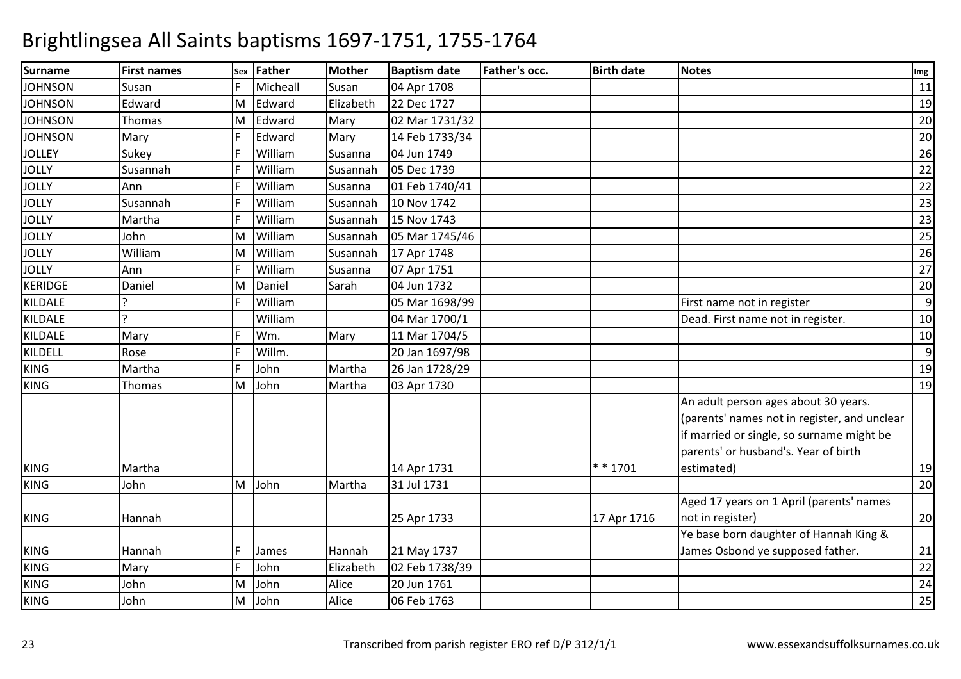| <b>Surname</b> | <b>First names</b> | Sex | <b>Father</b> | <b>Mother</b> | <b>Baptism date</b> | <b>Father's occ.</b> | <b>Birth date</b> | <b>Notes</b>                                 | Img              |
|----------------|--------------------|-----|---------------|---------------|---------------------|----------------------|-------------------|----------------------------------------------|------------------|
| <b>JOHNSON</b> | Susan              |     | Micheall      | Susan         | 04 Apr 1708         |                      |                   |                                              | 11               |
| <b>JOHNSON</b> | Edward             | M   | Edward        | Elizabeth     | 22 Dec 1727         |                      |                   |                                              | 19               |
| <b>JOHNSON</b> | Thomas             | M   | Edward        | Mary          | 02 Mar 1731/32      |                      |                   |                                              | 20               |
| <b>JOHNSON</b> | Mary               |     | Edward        | Mary          | 14 Feb 1733/34      |                      |                   |                                              | 20               |
| <b>JOLLEY</b>  | Sukey              |     | William       | Susanna       | 04 Jun 1749         |                      |                   |                                              | 26               |
| <b>JOLLY</b>   | Susannah           | E   | William       | Susannah      | 05 Dec 1739         |                      |                   |                                              | 22               |
| <b>JOLLY</b>   | Ann                |     | William       | Susanna       | 01 Feb 1740/41      |                      |                   |                                              | 22               |
| <b>JOLLY</b>   | Susannah           |     | William       | Susannah      | 10 Nov 1742         |                      |                   |                                              | 23               |
| <b>JOLLY</b>   | Martha             |     | William       | Susannah      | 15 Nov 1743         |                      |                   |                                              | 23               |
| <b>JOLLY</b>   | John               | M   | William       | Susannah      | 05 Mar 1745/46      |                      |                   |                                              | 25               |
| <b>JOLLY</b>   | William            | M   | William       | Susannah      | 17 Apr 1748         |                      |                   |                                              | 26               |
| <b>JOLLY</b>   | Ann                | E   | William       | Susanna       | 07 Apr 1751         |                      |                   |                                              | 27               |
| <b>KERIDGE</b> | Daniel             | M   | Daniel        | Sarah         | 04 Jun 1732         |                      |                   |                                              | 20               |
| KILDALE        | ς                  | E   | William       |               | 05 Mar 1698/99      |                      |                   | First name not in register                   | $\boldsymbol{9}$ |
| KILDALE        | $\overline{a}$     |     | William       |               | 04 Mar 1700/1       |                      |                   | Dead. First name not in register.            | 10               |
| KILDALE        | Mary               | E   | Wm.           | Mary          | 11 Mar 1704/5       |                      |                   |                                              | 10               |
| KILDELL        | Rose               |     | Willm.        |               | 20 Jan 1697/98      |                      |                   |                                              | 9                |
| <b>KING</b>    | Martha             | E   | John          | Martha        | 26 Jan 1728/29      |                      |                   |                                              | 19               |
| <b>KING</b>    | Thomas             | M   | John          | Martha        | 03 Apr 1730         |                      |                   |                                              | 19               |
|                |                    |     |               |               |                     |                      |                   | An adult person ages about 30 years.         |                  |
|                |                    |     |               |               |                     |                      |                   | (parents' names not in register, and unclear |                  |
|                |                    |     |               |               |                     |                      |                   | if married or single, so surname might be    |                  |
|                |                    |     |               |               |                     |                      |                   | parents' or husband's. Year of birth         |                  |
| <b>KING</b>    | Martha             |     |               |               | 14 Apr 1731         |                      | $* * 1701$        | estimated)                                   | 19               |
| <b>KING</b>    | John               | M   | John          | Martha        | 31 Jul 1731         |                      |                   |                                              | 20               |
|                |                    |     |               |               |                     |                      |                   | Aged 17 years on 1 April (parents' names     |                  |
| <b>KING</b>    | Hannah             |     |               |               | 25 Apr 1733         |                      | 17 Apr 1716       | not in register)                             | 20               |
|                |                    |     |               |               |                     |                      |                   | Ye base born daughter of Hannah King &       |                  |
| <b>KING</b>    | Hannah             |     | James         | Hannah        | 21 May 1737         |                      |                   | James Osbond ye supposed father.             | 21               |
| <b>KING</b>    | Mary               | F   | John          | Elizabeth     | 02 Feb 1738/39      |                      |                   |                                              | 22               |
| <b>KING</b>    | John               | M   | John          | Alice         | 20 Jun 1761         |                      |                   |                                              | 24               |
| <b>KING</b>    | John               | M   | John          | Alice         | 06 Feb 1763         |                      |                   |                                              | 25               |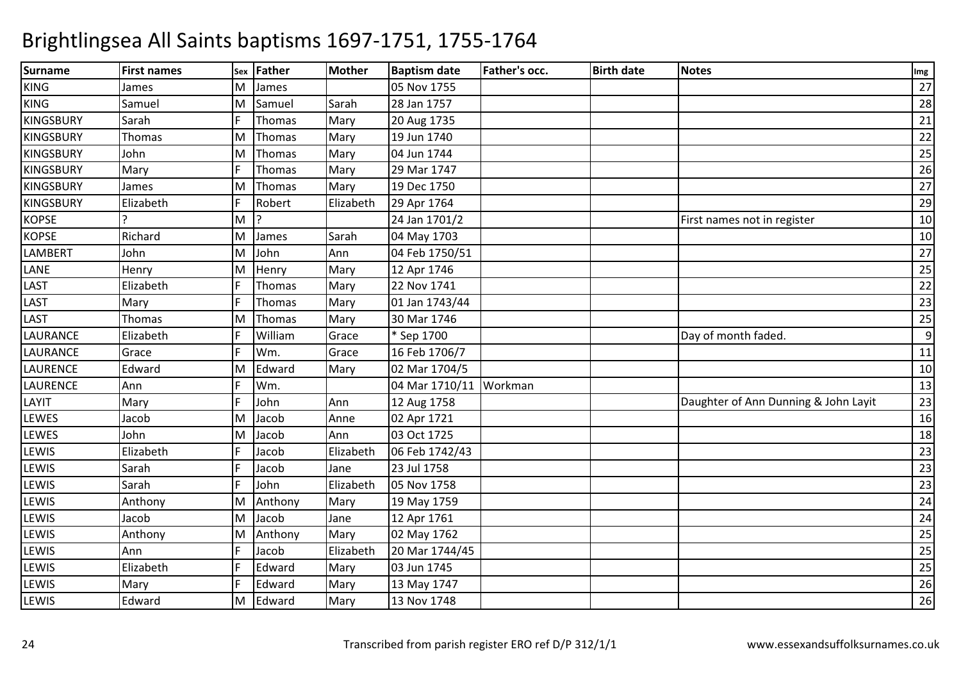| <b>Surname</b>   | <b>First names</b> |   | sex Father | <b>Mother</b> | <b>Baptism date</b> | Father's occ. | <b>Birth date</b> | <b>Notes</b>                         | Img |
|------------------|--------------------|---|------------|---------------|---------------------|---------------|-------------------|--------------------------------------|-----|
| <b>KING</b>      | James              | M | James      |               | 05 Nov 1755         |               |                   |                                      | 27  |
| <b>KING</b>      | Samuel             | M | Samuel     | Sarah         | 28 Jan 1757         |               |                   |                                      | 28  |
| <b>KINGSBURY</b> | Sarah              |   | Thomas     | Mary          | 20 Aug 1735         |               |                   |                                      | 21  |
| <b>KINGSBURY</b> | Thomas             | M | Thomas     | Mary          | 19 Jun 1740         |               |                   |                                      | 22  |
| <b>KINGSBURY</b> | John               | M | Thomas     | Mary          | 04 Jun 1744         |               |                   |                                      | 25  |
| <b>KINGSBURY</b> | Mary               |   | Thomas     | Mary          | 29 Mar 1747         |               |                   |                                      | 26  |
| <b>KINGSBURY</b> | James              | M | Thomas     | Mary          | 19 Dec 1750         |               |                   |                                      | 27  |
| <b>KINGSBURY</b> | Elizabeth          |   | Robert     | Elizabeth     | 29 Apr 1764         |               |                   |                                      | 29  |
| <b>KOPSE</b>     |                    | M | 12         |               | 24 Jan 1701/2       |               |                   | First names not in register          | 10  |
| <b>KOPSE</b>     | Richard            | M | James      | Sarah         | 04 May 1703         |               |                   |                                      | 10  |
| LAMBERT          | John               | M | John       | Ann           | 04 Feb 1750/51      |               |                   |                                      | 27  |
| LANE             | Henry              | M | Henry      | Mary          | 12 Apr 1746         |               |                   |                                      | 25  |
| LAST             | Elizabeth          |   | Thomas     | Mary          | 22 Nov 1741         |               |                   |                                      | 22  |
| LAST             | Mary               |   | Thomas     | Mary          | 01 Jan 1743/44      |               |                   |                                      | 23  |
| LAST             | Thomas             | M | Thomas     | Mary          | 30 Mar 1746         |               |                   |                                      | 25  |
| <b>LAURANCE</b>  | Elizabeth          |   | William    | Grace         | * Sep 1700          |               |                   | Day of month faded.                  | 9   |
| <b>LAURANCE</b>  | Grace              |   | Wm.        | Grace         | 16 Feb 1706/7       |               |                   |                                      | 11  |
| <b>LAURENCE</b>  | Edward             | M | Edward     | Mary          | 02 Mar 1704/5       |               |                   |                                      | 10  |
| LAURENCE         | Ann                |   | Wm.        |               | 04 Mar 1710/11      | Workman       |                   |                                      | 13  |
| LAYIT            | Mary               |   | John       | Ann           | 12 Aug 1758         |               |                   | Daughter of Ann Dunning & John Layit | 23  |
| LEWES            | Jacob              | M | Jacob      | Anne          | 02 Apr 1721         |               |                   |                                      | 16  |
| <b>LEWES</b>     | John               | M | Jacob      | Ann           | 03 Oct 1725         |               |                   |                                      | 18  |
| <b>LEWIS</b>     | Elizabeth          |   | Jacob      | Elizabeth     | 06 Feb 1742/43      |               |                   |                                      | 23  |
| LEWIS            | Sarah              |   | Jacob      | Jane          | 23 Jul 1758         |               |                   |                                      | 23  |
| LEWIS            | Sarah              |   | John       | Elizabeth     | 05 Nov 1758         |               |                   |                                      | 23  |
| LEWIS            | Anthony            | M | Anthony    | Mary          | 19 May 1759         |               |                   |                                      | 24  |
| LEWIS            | Jacob              | M | Jacob      | Jane          | 12 Apr 1761         |               |                   |                                      | 24  |
| LEWIS            | Anthony            | M | Anthony    | Mary          | 02 May 1762         |               |                   |                                      | 25  |
| LEWIS            | Ann                |   | Jacob      | Elizabeth     | 20 Mar 1744/45      |               |                   |                                      | 25  |
| LEWIS            | Elizabeth          |   | Edward     | Mary          | 03 Jun 1745         |               |                   |                                      | 25  |
| LEWIS            | Mary               |   | Edward     | Mary          | 13 May 1747         |               |                   |                                      | 26  |
| LEWIS            | Edward             | M | Edward     | Mary          | 13 Nov 1748         |               |                   |                                      | 26  |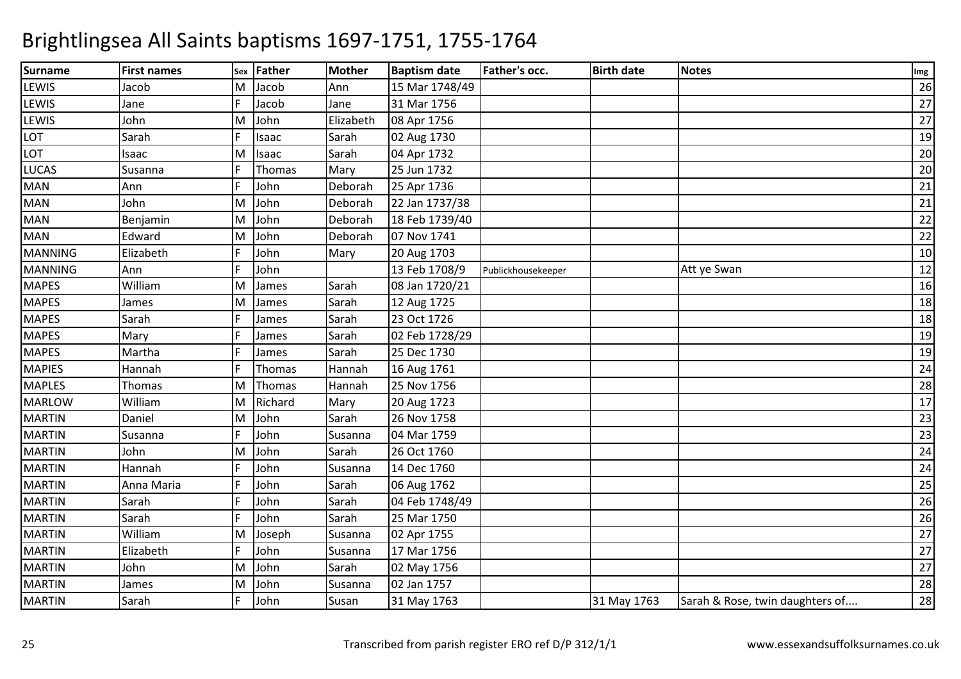| <b>Surname</b> | <b>First names</b> | Sex | Father  | <b>Mother</b> | <b>Baptism date</b> | Father's occ.      | <b>Birth date</b> | <b>Notes</b>                    | Img |
|----------------|--------------------|-----|---------|---------------|---------------------|--------------------|-------------------|---------------------------------|-----|
| LEWIS          | Jacob              | м   | Jacob   | Ann           | 15 Mar 1748/49      |                    |                   |                                 | 26  |
| LEWIS          | Jane               |     | Jacob   | Jane          | 31 Mar 1756         |                    |                   |                                 | 27  |
| LEWIS          | John               | M   | John    | Elizabeth     | 08 Apr 1756         |                    |                   |                                 | 27  |
| LOT            | Sarah              |     | Isaac   | Sarah         | 02 Aug 1730         |                    |                   |                                 | 19  |
| LOT            | Isaac              | M   | Isaac   | Sarah         | 04 Apr 1732         |                    |                   |                                 | 20  |
| <b>LUCAS</b>   | Susanna            |     | Thomas  | Mary          | 25 Jun 1732         |                    |                   |                                 | 20  |
| <b>MAN</b>     | Ann                |     | John    | Deborah       | 25 Apr 1736         |                    |                   |                                 | 21  |
| <b>MAN</b>     | John               | M   | John    | Deborah       | 22 Jan 1737/38      |                    |                   |                                 | 21  |
| MAN            | Benjamin           | M   | John    | Deborah       | 18 Feb 1739/40      |                    |                   |                                 | 22  |
| <b>MAN</b>     | Edward             | M   | John    | Deborah       | 07 Nov 1741         |                    |                   |                                 | 22  |
| <b>MANNING</b> | Elizabeth          |     | John    | Mary          | 20 Aug 1703         |                    |                   |                                 | 10  |
| <b>MANNING</b> | Ann                |     | John    |               | 13 Feb 1708/9       | Publickhousekeeper |                   | Att ye Swan                     | 12  |
| <b>MAPES</b>   | William            | M   | James   | Sarah         | 08 Jan 1720/21      |                    |                   |                                 | 16  |
| <b>MAPES</b>   | James              | M   | James   | Sarah         | 12 Aug 1725         |                    |                   |                                 | 18  |
| <b>MAPES</b>   | Sarah              |     | James   | Sarah         | 23 Oct 1726         |                    |                   |                                 | 18  |
| <b>MAPES</b>   | Mary               |     | James   | Sarah         | 02 Feb 1728/29      |                    |                   |                                 | 19  |
| <b>MAPES</b>   | Martha             |     | James   | Sarah         | 25 Dec 1730         |                    |                   |                                 | 19  |
| <b>MAPIES</b>  | Hannah             |     | Thomas  | Hannah        | 16 Aug 1761         |                    |                   |                                 | 24  |
| <b>MAPLES</b>  | Thomas             | M   | Thomas  | Hannah        | 25 Nov 1756         |                    |                   |                                 | 28  |
| <b>MARLOW</b>  | William            | M   | Richard | Mary          | 20 Aug 1723         |                    |                   |                                 | 17  |
| <b>MARTIN</b>  | Daniel             | M   | John    | Sarah         | 26 Nov 1758         |                    |                   |                                 | 23  |
| <b>MARTIN</b>  | Susanna            |     | John    | Susanna       | 04 Mar 1759         |                    |                   |                                 | 23  |
| <b>MARTIN</b>  | John               | M   | John    | Sarah         | 26 Oct 1760         |                    |                   |                                 | 24  |
| <b>MARTIN</b>  | Hannah             |     | John    | Susanna       | 14 Dec 1760         |                    |                   |                                 | 24  |
| <b>MARTIN</b>  | Anna Maria         |     | John    | Sarah         | 06 Aug 1762         |                    |                   |                                 | 25  |
| <b>MARTIN</b>  | Sarah              |     | John    | Sarah         | 04 Feb 1748/49      |                    |                   |                                 | 26  |
| <b>MARTIN</b>  | Sarah              |     | John    | Sarah         | 25 Mar 1750         |                    |                   |                                 | 26  |
| <b>MARTIN</b>  | William            | M   | Joseph  | Susanna       | 02 Apr 1755         |                    |                   |                                 | 27  |
| <b>MARTIN</b>  | Elizabeth          | E   | John    | Susanna       | 17 Mar 1756         |                    |                   |                                 | 27  |
| <b>MARTIN</b>  | John               | M   | John    | Sarah         | 02 May 1756         |                    |                   |                                 | 27  |
| <b>MARTIN</b>  | James              | M   | John    | Susanna       | 02 Jan 1757         |                    |                   |                                 | 28  |
| <b>MARTIN</b>  | Sarah              |     | John    | Susan         | 31 May 1763         |                    | 31 May 1763       | Sarah & Rose, twin daughters of | 28  |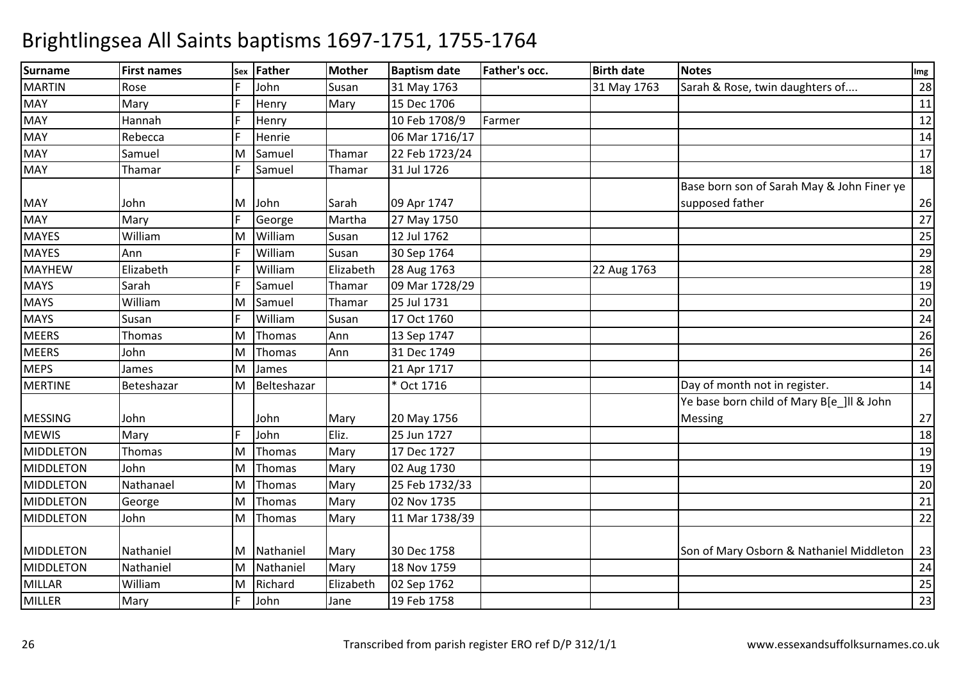| <b>Surname</b>   | <b>First names</b> | Sex | <b>Father</b> | <b>Mother</b> | <b>Baptism date</b> | Father's occ. | <b>Birth date</b> | <b>Notes</b>                                                  | Img |
|------------------|--------------------|-----|---------------|---------------|---------------------|---------------|-------------------|---------------------------------------------------------------|-----|
| <b>MARTIN</b>    | Rose               |     | John          | Susan         | 31 May 1763         |               | 31 May 1763       | Sarah & Rose, twin daughters of                               | 28  |
| <b>MAY</b>       | Mary               |     | Henry         | Mary          | 15 Dec 1706         |               |                   |                                                               | 11  |
| <b>MAY</b>       | Hannah             |     | Henry         |               | 10 Feb 1708/9       | Farmer        |                   |                                                               | 12  |
| MAY              | Rebecca            |     | Henrie        |               | 06 Mar 1716/17      |               |                   |                                                               | 14  |
| <b>MAY</b>       | Samuel             | M   | Samuel        | Thamar        | 22 Feb 1723/24      |               |                   |                                                               | 17  |
| <b>MAY</b>       | Thamar             |     | Samuel        | Thamar        | 31 Jul 1726         |               |                   |                                                               | 18  |
| MAY              | John               | M   | John          | Sarah         | 09 Apr 1747         |               |                   | Base born son of Sarah May & John Finer ye<br>supposed father | 26  |
| <b>MAY</b>       | Mary               | E   | George        | Martha        | 27 May 1750         |               |                   |                                                               | 27  |
| <b>MAYES</b>     | William            | M   | William       | Susan         | 12 Jul 1762         |               |                   |                                                               | 25  |
| <b>MAYES</b>     | Ann                | E   | William       | Susan         | 30 Sep 1764         |               |                   |                                                               | 29  |
| <b>MAYHEW</b>    | Elizabeth          |     | William       | Elizabeth     | 28 Aug 1763         |               | 22 Aug 1763       |                                                               | 28  |
| <b>MAYS</b>      | Sarah              | E   | Samuel        | Thamar        | 09 Mar 1728/29      |               |                   |                                                               | 19  |
| <b>MAYS</b>      | William            | M   | Samuel        | Thamar        | 25 Jul 1731         |               |                   |                                                               | 20  |
| <b>MAYS</b>      | Susan              |     | William       | Susan         | 17 Oct 1760         |               |                   |                                                               | 24  |
| <b>MEERS</b>     | Thomas             | M   | Thomas        | Ann           | 13 Sep 1747         |               |                   |                                                               | 26  |
| <b>MEERS</b>     | John               | M   | Thomas        | Ann           | 31 Dec 1749         |               |                   |                                                               | 26  |
| <b>MEPS</b>      | James              | M   | James         |               | 21 Apr 1717         |               |                   |                                                               | 14  |
| <b>MERTINE</b>   | Beteshazar         | М   | Belteshazar   |               | * Oct 1716          |               |                   | Day of month not in register.                                 | 14  |
|                  |                    |     |               |               |                     |               |                   | Ye base born child of Mary B[e_]ll & John                     |     |
| <b>MESSING</b>   | John               |     | John          | Mary          | 20 May 1756         |               |                   | <b>Messing</b>                                                | 27  |
| <b>MEWIS</b>     | Mary               |     | John          | Eliz.         | 25 Jun 1727         |               |                   |                                                               | 18  |
| <b>MIDDLETON</b> | Thomas             | M   | Thomas        | Mary          | 17 Dec 1727         |               |                   |                                                               | 19  |
| <b>MIDDLETON</b> | John               | M   | Thomas        | Mary          | 02 Aug 1730         |               |                   |                                                               | 19  |
| <b>MIDDLETON</b> | Nathanael          | M   | Thomas        | Mary          | 25 Feb 1732/33      |               |                   |                                                               | 20  |
| <b>MIDDLETON</b> | George             | M   | Thomas        | Mary          | 02 Nov 1735         |               |                   |                                                               | 21  |
| <b>MIDDLETON</b> | John               | M   | Thomas        | Mary          | 11 Mar 1738/39      |               |                   |                                                               | 22  |
|                  |                    |     |               |               |                     |               |                   |                                                               |     |
| <b>MIDDLETON</b> | Nathaniel          | M   | Nathaniel     | Mary          | 30 Dec 1758         |               |                   | Son of Mary Osborn & Nathaniel Middleton                      | 23  |
| <b>MIDDLETON</b> | Nathaniel          | M   | Nathaniel     | Mary          | 18 Nov 1759         |               |                   |                                                               | 24  |
| <b>MILLAR</b>    | William            | M   | Richard       | Elizabeth     | 02 Sep 1762         |               |                   |                                                               | 25  |
| MILLER           | Mary               | E   | John          | Jane          | 19 Feb 1758         |               |                   |                                                               | 23  |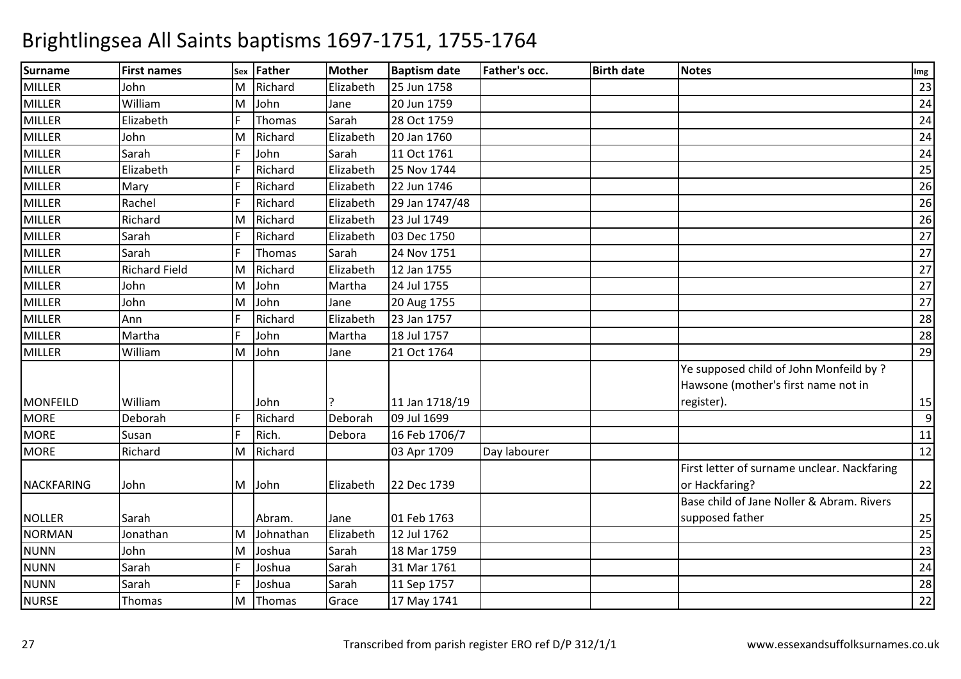| <b>Surname</b>    | <b>First names</b>   |   | sex Father | <b>Mother</b> | <b>Baptism date</b> | <b>Father's occ.</b> | <b>Birth date</b> | <b>Notes</b>                                | Img |
|-------------------|----------------------|---|------------|---------------|---------------------|----------------------|-------------------|---------------------------------------------|-----|
| <b>MILLER</b>     | John                 | М | Richard    | Elizabeth     | 25 Jun 1758         |                      |                   |                                             | 23  |
| <b>MILLER</b>     | William              | M | John       | Jane          | 20 Jun 1759         |                      |                   |                                             | 24  |
| <b>MILLER</b>     | Elizabeth            |   | Thomas     | Sarah         | 28 Oct 1759         |                      |                   |                                             | 24  |
| MILLER            | John                 | M | Richard    | Elizabeth     | 20 Jan 1760         |                      |                   |                                             | 24  |
| <b>MILLER</b>     | Sarah                |   | John       | Sarah         | 11 Oct 1761         |                      |                   |                                             | 24  |
| <b>MILLER</b>     | Elizabeth            |   | Richard    | Elizabeth     | 25 Nov 1744         |                      |                   |                                             | 25  |
| <b>MILLER</b>     | Mary                 |   | Richard    | Elizabeth     | 22 Jun 1746         |                      |                   |                                             | 26  |
| MILLER            | Rachel               |   | Richard    | Elizabeth     | 29 Jan 1747/48      |                      |                   |                                             | 26  |
| <b>MILLER</b>     | Richard              | M | Richard    | Elizabeth     | 23 Jul 1749         |                      |                   |                                             | 26  |
| <b>MILLER</b>     | Sarah                |   | Richard    | Elizabeth     | 03 Dec 1750         |                      |                   |                                             | 27  |
| <b>MILLER</b>     | Sarah                |   | Thomas     | Sarah         | 24 Nov 1751         |                      |                   |                                             | 27  |
| MILLER            | <b>Richard Field</b> | M | Richard    | Elizabeth     | 12 Jan 1755         |                      |                   |                                             | 27  |
| <b>MILLER</b>     | John                 | M | John       | Martha        | 24 Jul 1755         |                      |                   |                                             | 27  |
| <b>MILLER</b>     | John                 | M | John       | Jane          | 20 Aug 1755         |                      |                   |                                             | 27  |
| <b>MILLER</b>     | Ann                  |   | Richard    | Elizabeth     | 23 Jan 1757         |                      |                   |                                             | 28  |
| <b>MILLER</b>     | Martha               |   | John       | Martha        | 18 Jul 1757         |                      |                   |                                             | 28  |
| <b>MILLER</b>     | William              | M | John       | Jane          | 21 Oct 1764         |                      |                   |                                             | 29  |
|                   |                      |   |            |               |                     |                      |                   | Ye supposed child of John Monfeild by ?     |     |
|                   |                      |   |            |               |                     |                      |                   | Hawsone (mother's first name not in         |     |
| <b>MONFEILD</b>   | William              |   | John       |               | 11 Jan 1718/19      |                      |                   | register).                                  | 15  |
| <b>MORE</b>       | Deborah              |   | Richard    | Deborah       | 09 Jul 1699         |                      |                   |                                             | 9   |
| <b>MORE</b>       | Susan                | E | Rich.      | Debora        | 16 Feb 1706/7       |                      |                   |                                             | 11  |
| <b>MORE</b>       | Richard              | M | Richard    |               | 03 Apr 1709         | Day labourer         |                   |                                             | 12  |
|                   |                      |   |            |               |                     |                      |                   | First letter of surname unclear. Nackfaring |     |
| <b>NACKFARING</b> | John                 |   | M John     | Elizabeth     | 22 Dec 1739         |                      |                   | or Hackfaring?                              | 22  |
|                   |                      |   |            |               |                     |                      |                   | Base child of Jane Noller & Abram. Rivers   |     |
| <b>NOLLER</b>     | Sarah                |   | Abram.     | Jane          | 01 Feb 1763         |                      |                   | supposed father                             | 25  |
| <b>NORMAN</b>     | Jonathan             | M | Johnathan  | Elizabeth     | 12 Jul 1762         |                      |                   |                                             | 25  |
| <b>NUNN</b>       | John                 | M | Joshua     | Sarah         | 18 Mar 1759         |                      |                   |                                             | 23  |
| <b>NUNN</b>       | Sarah                |   | Joshua     | Sarah         | 31 Mar 1761         |                      |                   |                                             | 24  |
| <b>NUNN</b>       | Sarah                |   | Joshua     | Sarah         | 11 Sep 1757         |                      |                   |                                             | 28  |
| <b>NURSE</b>      | Thomas               | M | Thomas     | Grace         | 17 May 1741         |                      |                   |                                             | 22  |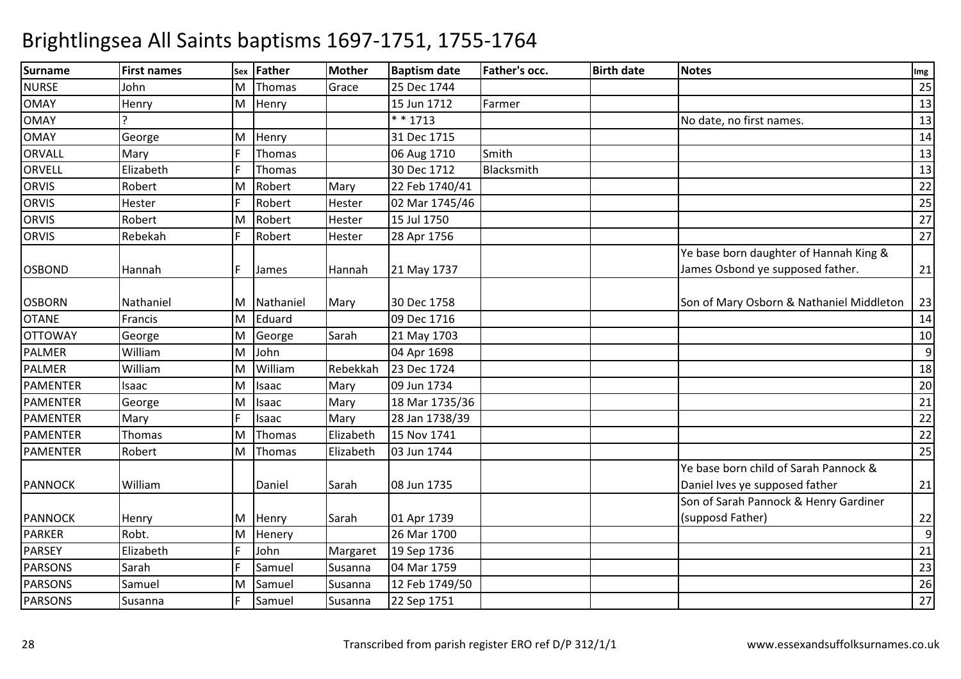| <b>Surname</b>  | <b>First names</b> |   | sex Father | <b>Mother</b> | <b>Baptism date</b> | <b>Father's occ.</b> | <b>Birth date</b> | <b>Notes</b>                             | Img |
|-----------------|--------------------|---|------------|---------------|---------------------|----------------------|-------------------|------------------------------------------|-----|
| <b>NURSE</b>    | John               | м | Thomas     | Grace         | 25 Dec 1744         |                      |                   |                                          | 25  |
| <b>OMAY</b>     | Henry              | M | Henry      |               | 15 Jun 1712         | Farmer               |                   |                                          | 13  |
| <b>OMAY</b>     |                    |   |            |               | $* * 1713$          |                      |                   | No date, no first names.                 | 13  |
| <b>OMAY</b>     | George             | M | Henry      |               | 31 Dec 1715         |                      |                   |                                          | 14  |
| ORVALL          | Mary               |   | Thomas     |               | 06 Aug 1710         | Smith                |                   |                                          | 13  |
| <b>ORVELL</b>   | Elizabeth          |   | Thomas     |               | 30 Dec 1712         | Blacksmith           |                   |                                          | 13  |
| <b>ORVIS</b>    | Robert             | M | Robert     | Mary          | 22 Feb 1740/41      |                      |                   |                                          | 22  |
| <b>ORVIS</b>    | Hester             |   | Robert     | Hester        | 02 Mar 1745/46      |                      |                   |                                          | 25  |
| <b>ORVIS</b>    | Robert             | M | Robert     | Hester        | 15 Jul 1750         |                      |                   |                                          | 27  |
| <b>ORVIS</b>    | Rebekah            |   | Robert     | Hester        | 28 Apr 1756         |                      |                   |                                          | 27  |
|                 |                    |   |            |               |                     |                      |                   | Ye base born daughter of Hannah King &   |     |
| <b>OSBOND</b>   | Hannah             |   | James      | Hannah        | 21 May 1737         |                      |                   | James Osbond ye supposed father.         | 21  |
| <b>OSBORN</b>   | Nathaniel          | M | Nathaniel  | Mary          | 30 Dec 1758         |                      |                   | Son of Mary Osborn & Nathaniel Middleton | 23  |
| <b>OTANE</b>    | Francis            | M | Eduard     |               | 09 Dec 1716         |                      |                   |                                          | 14  |
| <b>OTTOWAY</b>  | George             | M | George     | Sarah         | 21 May 1703         |                      |                   |                                          | 10  |
| <b>PALMER</b>   | William            | M | John       |               | 04 Apr 1698         |                      |                   |                                          | 9   |
| <b>PALMER</b>   | William            | M | William    | Rebekkah      | 23 Dec 1724         |                      |                   |                                          | 18  |
| <b>PAMENTER</b> | Isaac              | M | Isaac      | Mary          | 09 Jun 1734         |                      |                   |                                          | 20  |
| <b>PAMENTER</b> | George             | M | Isaac      | Mary          | 18 Mar 1735/36      |                      |                   |                                          | 21  |
| <b>PAMENTER</b> | Mary               |   | Isaac      | Mary          | 28 Jan 1738/39      |                      |                   |                                          | 22  |
| <b>PAMENTER</b> | Thomas             | M | Thomas     | Elizabeth     | 15 Nov 1741         |                      |                   |                                          | 22  |
| <b>PAMENTER</b> | Robert             | M | Thomas     | Elizabeth     | 03 Jun 1744         |                      |                   |                                          | 25  |
|                 |                    |   |            |               |                     |                      |                   | Ye base born child of Sarah Pannock &    |     |
| <b>PANNOCK</b>  | William            |   | Daniel     | Sarah         | 08 Jun 1735         |                      |                   | Daniel Ives ye supposed father           | 21  |
|                 |                    |   |            |               |                     |                      |                   | Son of Sarah Pannock & Henry Gardiner    |     |
| <b>PANNOCK</b>  | Henry              | M | Henry      | Sarah         | 01 Apr 1739         |                      |                   | (supposd Father)                         | 22  |
| <b>PARKER</b>   | Robt.              | M | Henery     |               | 26 Mar 1700         |                      |                   |                                          | 9   |
| <b>PARSEY</b>   | Elizabeth          |   | John       | Margaret      | 19 Sep 1736         |                      |                   |                                          | 21  |
| <b>PARSONS</b>  | Sarah              |   | Samuel     | Susanna       | 04 Mar 1759         |                      |                   |                                          | 23  |
| <b>PARSONS</b>  | Samuel             | M | Samuel     | Susanna       | 12 Feb 1749/50      |                      |                   |                                          | 26  |
| <b>PARSONS</b>  | Susanna            |   | Samuel     | Susanna       | 22 Sep 1751         |                      |                   |                                          | 27  |
|                 |                    |   |            |               |                     |                      |                   |                                          |     |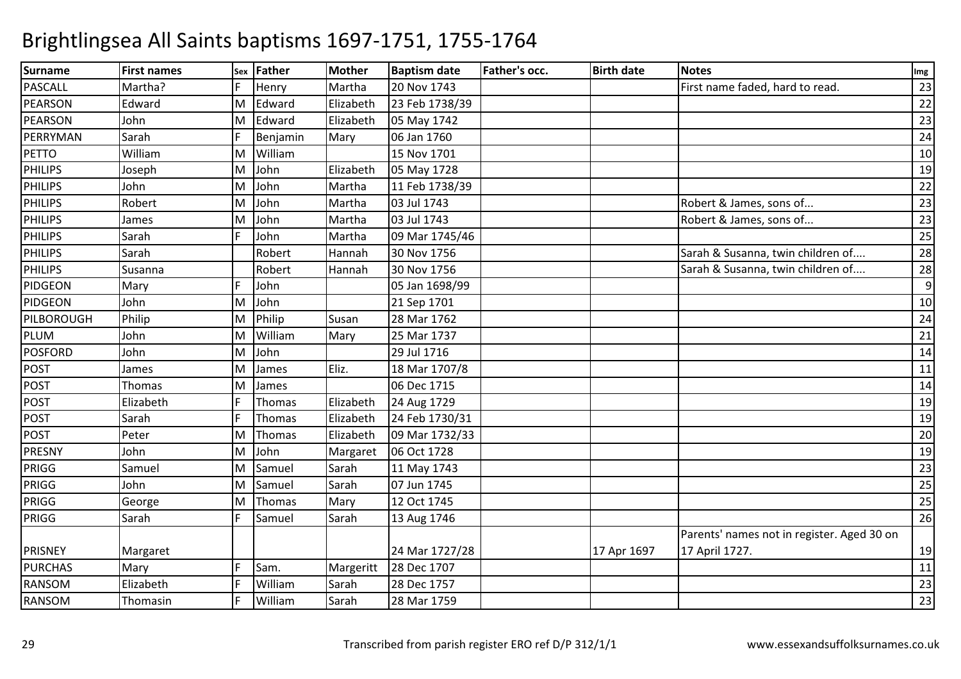| <b>Surname</b> | <b>First names</b> | <b>Sex</b> | Father   | <b>Mother</b> | <b>Baptism date</b> | Father's occ. | <b>Birth date</b> | <b>Notes</b>                               | Img |
|----------------|--------------------|------------|----------|---------------|---------------------|---------------|-------------------|--------------------------------------------|-----|
| PASCALL        | Martha?            |            | Henry    | Martha        | 20 Nov 1743         |               |                   | First name faded, hard to read.            | 23  |
| <b>PEARSON</b> | Edward             | M          | Edward   | Elizabeth     | 23 Feb 1738/39      |               |                   |                                            | 22  |
| <b>PEARSON</b> | John               | M          | Edward   | Elizabeth     | 05 May 1742         |               |                   |                                            | 23  |
| PERRYMAN       | Sarah              |            | Benjamin | Mary          | 06 Jan 1760         |               |                   |                                            | 24  |
| <b>PETTO</b>   | William            | M          | William  |               | 15 Nov 1701         |               |                   |                                            | 10  |
| <b>PHILIPS</b> | Joseph             | M          | John     | Elizabeth     | 05 May 1728         |               |                   |                                            | 19  |
| <b>PHILIPS</b> | John               | M          | John     | Martha        | 11 Feb 1738/39      |               |                   |                                            | 22  |
| <b>PHILIPS</b> | Robert             | M          | John     | Martha        | 03 Jul 1743         |               |                   | Robert & James, sons of                    | 23  |
| <b>PHILIPS</b> | James              | M          | John     | Martha        | 03 Jul 1743         |               |                   | Robert & James, sons of                    | 23  |
| <b>PHILIPS</b> | Sarah              | F          | John     | Martha        | 09 Mar 1745/46      |               |                   |                                            | 25  |
| <b>PHILIPS</b> | Sarah              |            | Robert   | Hannah        | 30 Nov 1756         |               |                   | Sarah & Susanna, twin children of          | 28  |
| <b>PHILIPS</b> | Susanna            |            | Robert   | Hannah        | 30 Nov 1756         |               |                   | Sarah & Susanna, twin children of          | 28  |
| <b>PIDGEON</b> | Mary               |            | John     |               | 05 Jan 1698/99      |               |                   |                                            | 9   |
| PIDGEON        | John               | ΙM         | John     |               | 21 Sep 1701         |               |                   |                                            | 10  |
| PILBOROUGH     | Philip             | M          | Philip   | Susan         | 28 Mar 1762         |               |                   |                                            | 24  |
| <b>PLUM</b>    | John               | M          | William  | Mary          | 25 Mar 1737         |               |                   |                                            | 21  |
| <b>POSFORD</b> | John               | M          | John     |               | 29 Jul 1716         |               |                   |                                            | 14  |
| <b>POST</b>    | James              | ΙM         | James    | Eliz.         | 18 Mar 1707/8       |               |                   |                                            | 11  |
| <b>POST</b>    | Thomas             | M          | James    |               | 06 Dec 1715         |               |                   |                                            | 14  |
| <b>POST</b>    | Elizabeth          |            | Thomas   | Elizabeth     | 24 Aug 1729         |               |                   |                                            | 19  |
| <b>POST</b>    | Sarah              |            | Thomas   | Elizabeth     | 24 Feb 1730/31      |               |                   |                                            | 19  |
| <b>POST</b>    | Peter              | M          | Thomas   | Elizabeth     | 09 Mar 1732/33      |               |                   |                                            | 20  |
| PRESNY         | John               | M          | John     | Margaret      | 06 Oct 1728         |               |                   |                                            | 19  |
| PRIGG          | Samuel             | M          | Samuel   | Sarah         | 11 May 1743         |               |                   |                                            | 23  |
| PRIGG          | John               | ΙM         | Samuel   | Sarah         | 07 Jun 1745         |               |                   |                                            | 25  |
| PRIGG          | George             | M          | Thomas   | Mary          | 12 Oct 1745         |               |                   |                                            | 25  |
| PRIGG          | Sarah              | F          | Samuel   | Sarah         | 13 Aug 1746         |               |                   |                                            | 26  |
|                |                    |            |          |               |                     |               |                   | Parents' names not in register. Aged 30 on |     |
| <b>PRISNEY</b> | Margaret           |            |          |               | 24 Mar 1727/28      |               | 17 Apr 1697       | 17 April 1727.                             | 19  |
| <b>PURCHAS</b> | Mary               | F          | Sam.     | Margeritt     | 28 Dec 1707         |               |                   |                                            | 11  |
| RANSOM         | Elizabeth          |            | William  | Sarah         | 28 Dec 1757         |               |                   |                                            | 23  |
| <b>RANSOM</b>  | Thomasin           |            | William  | Sarah         | 28 Mar 1759         |               |                   |                                            | 23  |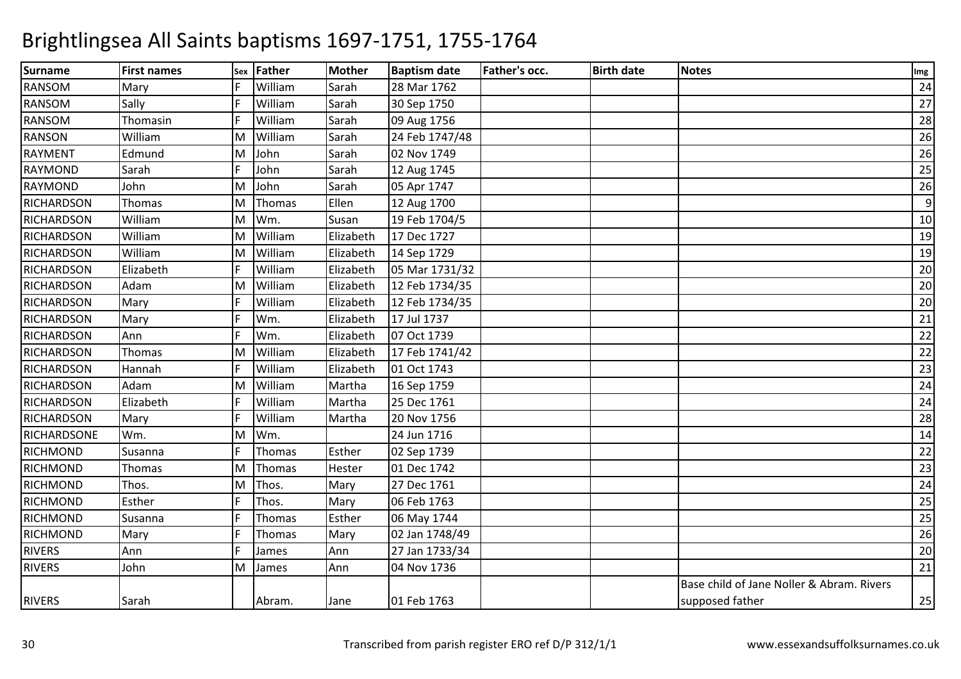| <b>Surname</b>     | <b>First names</b> | <b>Sex</b> | Father  | Mother    | <b>Baptism date</b> | Father's occ. | <b>Birth date</b> | <b>Notes</b>                              | Img |
|--------------------|--------------------|------------|---------|-----------|---------------------|---------------|-------------------|-------------------------------------------|-----|
| <b>RANSOM</b>      | Mary               |            | William | Sarah     | 28 Mar 1762         |               |                   |                                           | 24  |
| <b>RANSOM</b>      | Sally              |            | William | Sarah     | 30 Sep 1750         |               |                   |                                           | 27  |
| <b>RANSOM</b>      | Thomasin           |            | William | Sarah     | 09 Aug 1756         |               |                   |                                           | 28  |
| <b>RANSON</b>      | William            | M          | William | Sarah     | 24 Feb 1747/48      |               |                   |                                           | 26  |
| <b>RAYMENT</b>     | Edmund             | M          | John    | Sarah     | 02 Nov 1749         |               |                   |                                           | 26  |
| <b>RAYMOND</b>     | Sarah              |            | John    | Sarah     | 12 Aug 1745         |               |                   |                                           | 25  |
| <b>RAYMOND</b>     | John               | M          | John    | Sarah     | 05 Apr 1747         |               |                   |                                           | 26  |
| <b>RICHARDSON</b>  | Thomas             | M          | Thomas  | Ellen     | 12 Aug 1700         |               |                   |                                           | 9   |
| <b>RICHARDSON</b>  | William            | M          | Wm.     | Susan     | 19 Feb 1704/5       |               |                   |                                           | 10  |
| <b>RICHARDSON</b>  | William            | M          | William | Elizabeth | 17 Dec 1727         |               |                   |                                           | 19  |
| <b>RICHARDSON</b>  | William            | M          | William | Elizabeth | 14 Sep 1729         |               |                   |                                           | 19  |
| <b>RICHARDSON</b>  | Elizabeth          |            | William | Elizabeth | 05 Mar 1731/32      |               |                   |                                           | 20  |
| RICHARDSON         | Adam               | M          | William | Elizabeth | 12 Feb 1734/35      |               |                   |                                           | 20  |
| <b>RICHARDSON</b>  | Mary               |            | William | Elizabeth | 12 Feb 1734/35      |               |                   |                                           | 20  |
| <b>RICHARDSON</b>  | Mary               |            | Wm.     | Elizabeth | 17 Jul 1737         |               |                   |                                           | 21  |
| <b>RICHARDSON</b>  | Ann                |            | Wm.     | Elizabeth | 07 Oct 1739         |               |                   |                                           | 22  |
| RICHARDSON         | Thomas             | M          | William | Elizabeth | 17 Feb 1741/42      |               |                   |                                           | 22  |
| <b>RICHARDSON</b>  | Hannah             |            | William | Elizabeth | 01 Oct 1743         |               |                   |                                           | 23  |
| <b>RICHARDSON</b>  | Adam               | M          | William | Martha    | 16 Sep 1759         |               |                   |                                           | 24  |
| <b>RICHARDSON</b>  | Elizabeth          |            | William | Martha    | 25 Dec 1761         |               |                   |                                           | 24  |
| RICHARDSON         | Mary               |            | William | Martha    | 20 Nov 1756         |               |                   |                                           | 28  |
| <b>RICHARDSONE</b> | Wm.                | M          | Wm.     |           | 24 Jun 1716         |               |                   |                                           | 14  |
| <b>RICHMOND</b>    | Susanna            |            | Thomas  | Esther    | 02 Sep 1739         |               |                   |                                           | 22  |
| RICHMOND           | Thomas             | M          | Thomas  | Hester    | 01 Dec 1742         |               |                   |                                           | 23  |
| RICHMOND           | Thos.              | M          | Thos.   | Mary      | 27 Dec 1761         |               |                   |                                           | 24  |
| RICHMOND           | Esther             |            | Thos.   | Mary      | 06 Feb 1763         |               |                   |                                           | 25  |
| <b>RICHMOND</b>    | Susanna            |            | Thomas  | Esther    | 06 May 1744         |               |                   |                                           | 25  |
| RICHMOND           | Mary               |            | Thomas  | Mary      | 02 Jan 1748/49      |               |                   |                                           | 26  |
| <b>RIVERS</b>      | Ann                |            | James   | Ann       | 27 Jan 1733/34      |               |                   |                                           | 20  |
| <b>RIVERS</b>      | John               | M          | James   | Ann       | 04 Nov 1736         |               |                   |                                           | 21  |
|                    |                    |            |         |           |                     |               |                   | Base child of Jane Noller & Abram. Rivers |     |
| <b>RIVERS</b>      | Sarah              |            | Abram.  | Jane      | 01 Feb 1763         |               |                   | supposed father                           | 25  |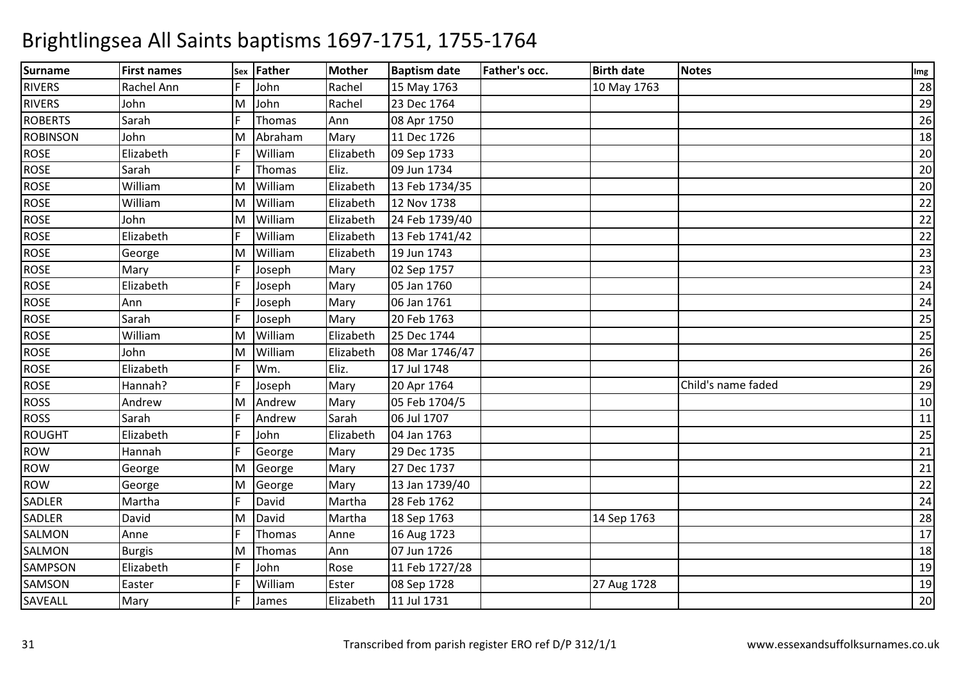| <b>Surname</b>  | <b>First names</b> | Sex | <b>Father</b> | <b>Mother</b> | <b>Baptism date</b> | Father's occ. | <b>Birth date</b> | <b>Notes</b>       | Img |
|-----------------|--------------------|-----|---------------|---------------|---------------------|---------------|-------------------|--------------------|-----|
| <b>RIVERS</b>   | Rachel Ann         |     | John          | Rachel        | 15 May 1763         |               | 10 May 1763       |                    | 28  |
| <b>RIVERS</b>   | John               | M   | John          | Rachel        | 23 Dec 1764         |               |                   |                    | 29  |
| <b>ROBERTS</b>  | Sarah              |     | Thomas        | Ann           | 08 Apr 1750         |               |                   |                    | 26  |
| <b>ROBINSON</b> | John               | M   | Abraham       | Mary          | 11 Dec 1726         |               |                   |                    | 18  |
| <b>ROSE</b>     | Elizabeth          |     | William       | Elizabeth     | 09 Sep 1733         |               |                   |                    | 20  |
| <b>ROSE</b>     | Sarah              |     | Thomas        | Eliz.         | 09 Jun 1734         |               |                   |                    | 20  |
| <b>ROSE</b>     | William            | M   | William       | Elizabeth     | 13 Feb 1734/35      |               |                   |                    | 20  |
| <b>ROSE</b>     | William            | M   | William       | Elizabeth     | 12 Nov 1738         |               |                   |                    | 22  |
| <b>ROSE</b>     | John               | ΙM  | William       | Elizabeth     | 24 Feb 1739/40      |               |                   |                    | 22  |
| <b>ROSE</b>     | Elizabeth          |     | William       | Elizabeth     | 13 Feb 1741/42      |               |                   |                    | 22  |
| <b>ROSE</b>     | George             | M   | William       | Elizabeth     | 19 Jun 1743         |               |                   |                    | 23  |
| <b>ROSE</b>     | Mary               |     | Joseph        | Mary          | 02 Sep 1757         |               |                   |                    | 23  |
| <b>ROSE</b>     | Elizabeth          | F   | Joseph        | Mary          | 05 Jan 1760         |               |                   |                    | 24  |
| <b>ROSE</b>     | Ann                | F   | Joseph        | Mary          | 06 Jan 1761         |               |                   |                    | 24  |
| <b>ROSE</b>     | Sarah              | F   | Joseph        | Mary          | 20 Feb 1763         |               |                   |                    | 25  |
| <b>ROSE</b>     | William            | M   | William       | Elizabeth     | 25 Dec 1744         |               |                   |                    | 25  |
| <b>ROSE</b>     | John               | ΙM  | William       | Elizabeth     | 08 Mar 1746/47      |               |                   |                    | 26  |
| <b>ROSE</b>     | Elizabeth          |     | Wm.           | Eliz.         | 17 Jul 1748         |               |                   |                    | 26  |
| <b>ROSE</b>     | Hannah?            |     | Joseph        | Mary          | 20 Apr 1764         |               |                   | Child's name faded | 29  |
| <b>ROSS</b>     | Andrew             | M   | Andrew        | Mary          | 05 Feb 1704/5       |               |                   |                    | 10  |
| <b>ROSS</b>     | Sarah              |     | Andrew        | Sarah         | 06 Jul 1707         |               |                   |                    | 11  |
| <b>ROUGHT</b>   | Elizabeth          |     | John          | Elizabeth     | 04 Jan 1763         |               |                   |                    | 25  |
| <b>ROW</b>      | Hannah             |     | George        | Mary          | 29 Dec 1735         |               |                   |                    | 21  |
| ROW             | George             | M   | George        | Mary          | 27 Dec 1737         |               |                   |                    | 21  |
| <b>ROW</b>      | George             | M   | George        | Mary          | 13 Jan 1739/40      |               |                   |                    | 22  |
| SADLER          | Martha             |     | David         | Martha        | 28 Feb 1762         |               |                   |                    | 24  |
| SADLER          | David              | M   | David         | Martha        | 18 Sep 1763         |               | 14 Sep 1763       |                    | 28  |
| SALMON          | Anne               |     | Thomas        | Anne          | 16 Aug 1723         |               |                   |                    | 17  |
| SALMON          | <b>Burgis</b>      | M   | Thomas        | Ann           | 07 Jun 1726         |               |                   |                    | 18  |
| SAMPSON         | Elizabeth          | E   | John          | Rose          | 11 Feb 1727/28      |               |                   |                    | 19  |
| SAMSON          | Easter             |     | William       | Ester         | 08 Sep 1728         |               | 27 Aug 1728       |                    | 19  |
| SAVEALL         | Mary               |     | James         | Elizabeth     | 11 Jul 1731         |               |                   |                    | 20  |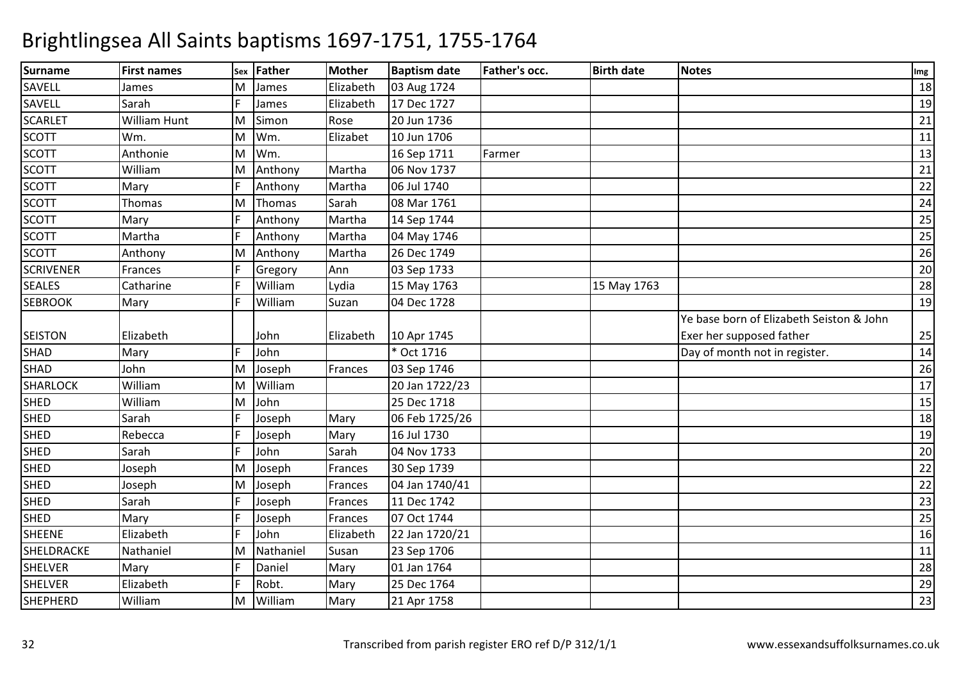| <b>Surname</b>   | <b>First names</b> | Sex | <b>Father</b> | <b>Mother</b> | <b>Baptism date</b> | Father's occ. | <b>Birth date</b> | <b>Notes</b>                             | Img |
|------------------|--------------------|-----|---------------|---------------|---------------------|---------------|-------------------|------------------------------------------|-----|
| SAVELL           | James              | М   | James         | Elizabeth     | 03 Aug 1724         |               |                   |                                          | 18  |
| SAVELL           | Sarah              | E   | James         | Elizabeth     | 17 Dec 1727         |               |                   |                                          | 19  |
| <b>SCARLET</b>   | William Hunt       | M   | Simon         | Rose          | 20 Jun 1736         |               |                   |                                          | 21  |
| <b>SCOTT</b>     | Wm.                | M   | Wm.           | Elizabet      | 10 Jun 1706         |               |                   |                                          | 11  |
| <b>SCOTT</b>     | Anthonie           | M   | Wm.           |               | 16 Sep 1711         | Farmer        |                   |                                          | 13  |
| <b>SCOTT</b>     | William            | M   | Anthony       | Martha        | 06 Nov 1737         |               |                   |                                          | 21  |
| <b>SCOTT</b>     | Mary               | E   | Anthony       | Martha        | 06 Jul 1740         |               |                   |                                          | 22  |
| <b>SCOTT</b>     | Thomas             | M   | Thomas        | Sarah         | 08 Mar 1761         |               |                   |                                          | 24  |
| <b>SCOTT</b>     | Mary               |     | Anthony       | Martha        | 14 Sep 1744         |               |                   |                                          | 25  |
| <b>SCOTT</b>     | Martha             |     | Anthony       | Martha        | 04 May 1746         |               |                   |                                          | 25  |
| <b>SCOTT</b>     | Anthony            | М   | Anthony       | Martha        | 26 Dec 1749         |               |                   |                                          | 26  |
| <b>SCRIVENER</b> | Frances            | E   | Gregory       | Ann           | 03 Sep 1733         |               |                   |                                          | 20  |
| <b>SEALES</b>    | Catharine          |     | William       | Lydia         | 15 May 1763         |               | 15 May 1763       |                                          | 28  |
| <b>SEBROOK</b>   | Mary               | E   | William       | Suzan         | 04 Dec 1728         |               |                   |                                          | 19  |
|                  |                    |     |               |               |                     |               |                   | Ye base born of Elizabeth Seiston & John |     |
| <b>SEISTON</b>   | Elizabeth          |     | John          | Elizabeth     | 10 Apr 1745         |               |                   | Exer her supposed father                 | 25  |
| SHAD             | Mary               |     | John          |               | * Oct 1716          |               |                   | Day of month not in register.            | 14  |
| SHAD             | John               | M   | Joseph        | Frances       | 03 Sep 1746         |               |                   |                                          | 26  |
| <b>SHARLOCK</b>  | William            | M   | William       |               | 20 Jan 1722/23      |               |                   |                                          | 17  |
| <b>SHED</b>      | William            | M   | John          |               | 25 Dec 1718         |               |                   |                                          | 15  |
| <b>SHED</b>      | Sarah              |     | Joseph        | Mary          | 06 Feb 1725/26      |               |                   |                                          | 18  |
| <b>SHED</b>      | Rebecca            | E   | Joseph        | Mary          | 16 Jul 1730         |               |                   |                                          | 19  |
| <b>SHED</b>      | Sarah              | E   | John          | Sarah         | 04 Nov 1733         |               |                   |                                          | 20  |
| SHED             | Joseph             | M   | Joseph        | Frances       | 30 Sep 1739         |               |                   |                                          | 22  |
| <b>SHED</b>      | Joseph             | M   | Joseph        | Frances       | 04 Jan 1740/41      |               |                   |                                          | 22  |
| <b>SHED</b>      | Sarah              | F   | Joseph        | Frances       | 11 Dec 1742         |               |                   |                                          | 23  |
| <b>SHED</b>      | Mary               |     | Joseph        | Frances       | 07 Oct 1744         |               |                   |                                          | 25  |
| <b>SHEENE</b>    | Elizabeth          | E   | John          | Elizabeth     | 22 Jan 1720/21      |               |                   |                                          | 16  |
| SHELDRACKE       | Nathaniel          | M   | Nathaniel     | Susan         | 23 Sep 1706         |               |                   |                                          | 11  |
| <b>SHELVER</b>   | Mary               | F   | Daniel        | Mary          | 01 Jan 1764         |               |                   |                                          | 28  |
| <b>SHELVER</b>   | Elizabeth          |     | Robt.         | Mary          | 25 Dec 1764         |               |                   |                                          | 29  |
| <b>SHEPHERD</b>  | William            | M   | William       | Mary          | 21 Apr 1758         |               |                   |                                          | 23  |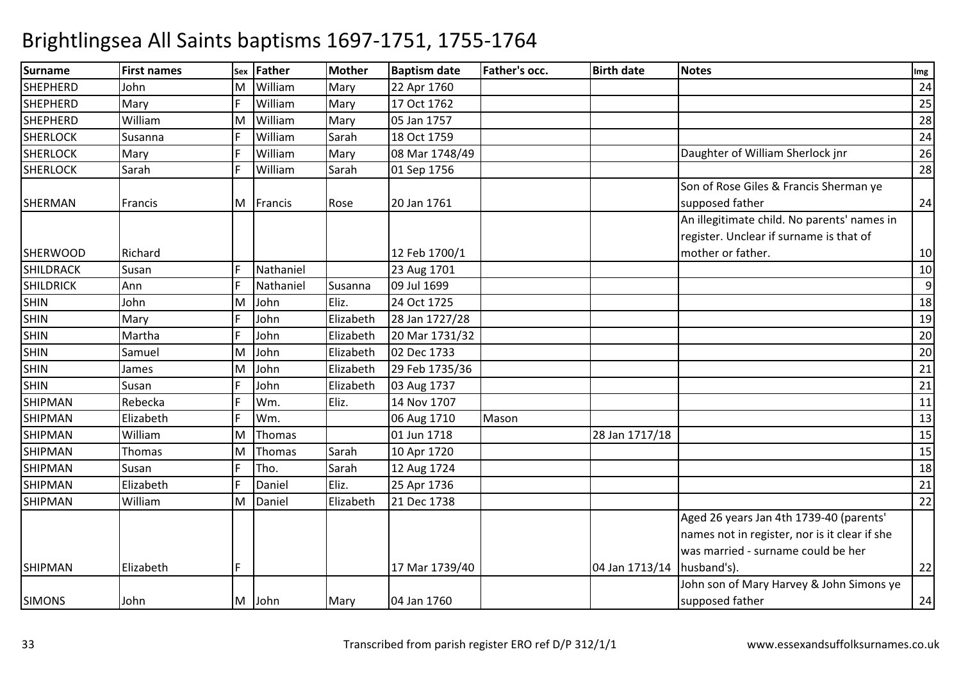| <b>Surname</b>   | <b>First names</b> | Sex | <b>Father</b> | <b>Mother</b> | <b>Baptism date</b> | <b>Father's occ.</b> | <b>Birth date</b>            | <b>Notes</b>                                  | Img |
|------------------|--------------------|-----|---------------|---------------|---------------------|----------------------|------------------------------|-----------------------------------------------|-----|
| <b>SHEPHERD</b>  | John               | м   | William       | Mary          | 22 Apr 1760         |                      |                              |                                               | 24  |
| SHEPHERD         | Mary               |     | William       | Mary          | 17 Oct 1762         |                      |                              |                                               | 25  |
| <b>SHEPHERD</b>  | William            | M   | William       | Mary          | 05 Jan 1757         |                      |                              |                                               | 28  |
| <b>SHERLOCK</b>  | Susanna            |     | William       | Sarah         | 18 Oct 1759         |                      |                              |                                               | 24  |
| <b>SHERLOCK</b>  | Mary               |     | William       | Mary          | 08 Mar 1748/49      |                      |                              | Daughter of William Sherlock jnr              | 26  |
| <b>SHERLOCK</b>  | Sarah              |     | William       | Sarah         | 01 Sep 1756         |                      |                              |                                               | 28  |
|                  |                    |     |               |               |                     |                      |                              | Son of Rose Giles & Francis Sherman ye        |     |
| SHERMAN          | Francis            | M   | Francis       | Rose          | 20 Jan 1761         |                      |                              | supposed father                               | 24  |
|                  |                    |     |               |               |                     |                      |                              | An illegitimate child. No parents' names in   |     |
|                  |                    |     |               |               |                     |                      |                              | register. Unclear if surname is that of       |     |
| <b>SHERWOOD</b>  | Richard            |     |               |               | 12 Feb 1700/1       |                      |                              | mother or father.                             | 10  |
| <b>SHILDRACK</b> | Susan              |     | Nathaniel     |               | 23 Aug 1701         |                      |                              |                                               | 10  |
| SHILDRICK        | Ann                |     | Nathaniel     | Susanna       | 09 Jul 1699         |                      |                              |                                               | 9   |
| <b>SHIN</b>      | John               | M   | John          | Eliz.         | 24 Oct 1725         |                      |                              |                                               | 18  |
| <b>SHIN</b>      | Mary               |     | John          | Elizabeth     | 28 Jan 1727/28      |                      |                              |                                               | 19  |
| <b>SHIN</b>      | Martha             |     | John          | Elizabeth     | 20 Mar 1731/32      |                      |                              |                                               | 20  |
| <b>SHIN</b>      | Samuel             | м   | John          | Elizabeth     | 02 Dec 1733         |                      |                              |                                               | 20  |
| <b>SHIN</b>      | James              | м   | John          | Elizabeth     | 29 Feb 1735/36      |                      |                              |                                               | 21  |
| <b>SHIN</b>      | Susan              |     | John          | Elizabeth     | 03 Aug 1737         |                      |                              |                                               | 21  |
| <b>SHIPMAN</b>   | Rebecka            |     | Wm.           | Eliz.         | 14 Nov 1707         |                      |                              |                                               | 11  |
| <b>SHIPMAN</b>   | Elizabeth          |     | Wm.           |               | 06 Aug 1710         | Mason                |                              |                                               | 13  |
| <b>SHIPMAN</b>   | William            | M   | Thomas        |               | 01 Jun 1718         |                      | 28 Jan 1717/18               |                                               | 15  |
| <b>SHIPMAN</b>   | <b>Thomas</b>      | М   | Thomas        | Sarah         | 10 Apr 1720         |                      |                              |                                               | 15  |
| <b>SHIPMAN</b>   | Susan              |     | Tho.          | Sarah         | 12 Aug 1724         |                      |                              |                                               | 18  |
| <b>SHIPMAN</b>   | Elizabeth          |     | Daniel        | Eliz.         | 25 Apr 1736         |                      |                              |                                               | 21  |
| <b>SHIPMAN</b>   | William            | М   | Daniel        | Elizabeth     | 21 Dec 1738         |                      |                              |                                               | 22  |
|                  |                    |     |               |               |                     |                      |                              | Aged 26 years Jan 4th 1739-40 (parents'       |     |
|                  |                    |     |               |               |                     |                      |                              | names not in register, nor is it clear if she |     |
|                  |                    |     |               |               |                     |                      |                              | was married - surname could be her            |     |
| <b>SHIPMAN</b>   | Elizabeth          |     |               |               | 17 Mar 1739/40      |                      | 04 Jan 1713/14   husband's). |                                               | 22  |
|                  |                    |     |               |               |                     |                      |                              | John son of Mary Harvey & John Simons ye      |     |
|                  | John               |     | M John        | Mary          | 04 Jan 1760         |                      |                              | supposed father                               | 24  |
| <b>SIMONS</b>    |                    |     |               |               |                     |                      |                              |                                               |     |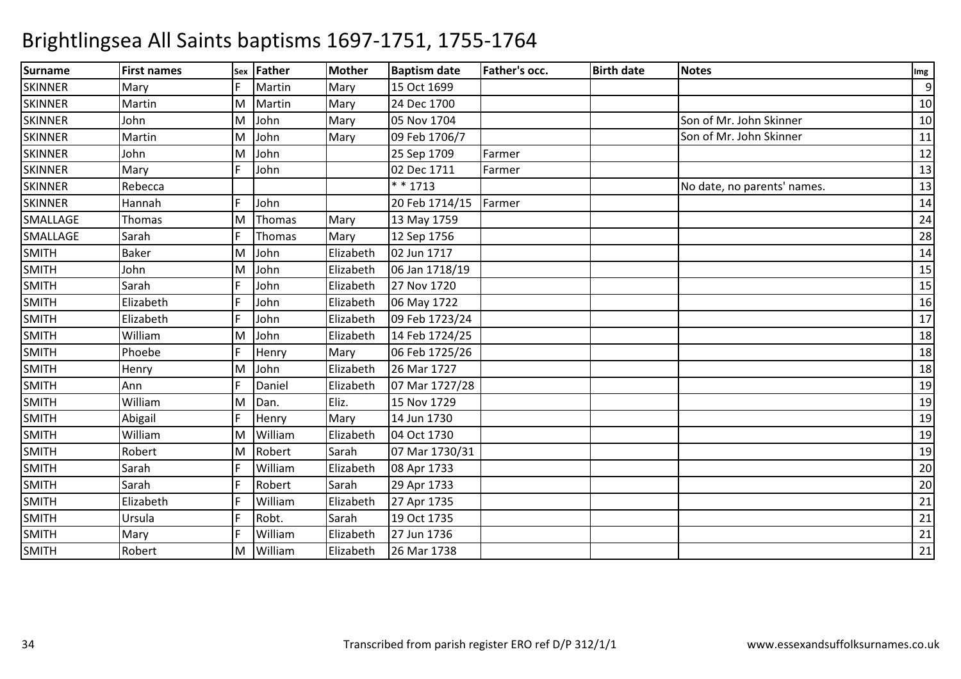| <b>Surname</b> | <b>First names</b> |   | sex Father | <b>Mother</b> | <b>Baptism date</b> | <b>Father's occ.</b> | <b>Birth date</b> | <b>Notes</b>                | Img |
|----------------|--------------------|---|------------|---------------|---------------------|----------------------|-------------------|-----------------------------|-----|
| <b>SKINNER</b> | Mary               |   | Martin     | Mary          | 15 Oct 1699         |                      |                   |                             | 9   |
| <b>SKINNER</b> | Martin             | M | Martin     | Mary          | 24 Dec 1700         |                      |                   |                             | 10  |
| <b>SKINNER</b> | John               | M | John       | Mary          | 05 Nov 1704         |                      |                   | Son of Mr. John Skinner     | 10  |
| <b>SKINNER</b> | Martin             | м | John       | Mary          | 09 Feb 1706/7       |                      |                   | Son of Mr. John Skinner     | 11  |
| <b>SKINNER</b> | John               | M | John       |               | 25 Sep 1709         | Farmer               |                   |                             | 12  |
| <b>SKINNER</b> | Mary               |   | John       |               | 02 Dec 1711         | Farmer               |                   |                             | 13  |
| <b>SKINNER</b> | Rebecca            |   |            |               | $* * 1713$          |                      |                   | No date, no parents' names. | 13  |
| <b>SKINNER</b> | Hannah             |   | John       |               | 20 Feb 1714/15      | Farmer               |                   |                             | 14  |
| SMALLAGE       | Thomas             | M | Thomas     | Mary          | 13 May 1759         |                      |                   |                             | 24  |
| SMALLAGE       | Sarah              |   | Thomas     | Mary          | 12 Sep 1756         |                      |                   |                             | 28  |
| <b>SMITH</b>   | <b>Baker</b>       | M | John       | Elizabeth     | 02 Jun 1717         |                      |                   |                             | 14  |
| <b>SMITH</b>   | John               | M | John       | Elizabeth     | 06 Jan 1718/19      |                      |                   |                             | 15  |
| <b>SMITH</b>   | Sarah              |   | John       | Elizabeth     | 27 Nov 1720         |                      |                   |                             | 15  |
| <b>SMITH</b>   | Elizabeth          |   | John       | Elizabeth     | 06 May 1722         |                      |                   |                             | 16  |
| <b>SMITH</b>   | Elizabeth          |   | John       | Elizabeth     | 09 Feb 1723/24      |                      |                   |                             | 17  |
| <b>SMITH</b>   | William            | M | John       | Elizabeth     | 14 Feb 1724/25      |                      |                   |                             | 18  |
| <b>SMITH</b>   | Phoebe             |   | Henry      | Mary          | 06 Feb 1725/26      |                      |                   |                             | 18  |
| <b>SMITH</b>   | Henry              | M | John       | Elizabeth     | 26 Mar 1727         |                      |                   |                             | 18  |
| <b>SMITH</b>   | Ann                |   | Daniel     | Elizabeth     | 07 Mar 1727/28      |                      |                   |                             | 19  |
| <b>SMITH</b>   | William            | M | Dan.       | Eliz.         | 15 Nov 1729         |                      |                   |                             | 19  |
| <b>SMITH</b>   | Abigail            |   | Henry      | Mary          | 14 Jun 1730         |                      |                   |                             | 19  |
| <b>SMITH</b>   | William            | M | William    | Elizabeth     | 04 Oct 1730         |                      |                   |                             | 19  |
| <b>SMITH</b>   | Robert             | M | Robert     | Sarah         | 07 Mar 1730/31      |                      |                   |                             | 19  |
| <b>SMITH</b>   | Sarah              |   | William    | Elizabeth     | 08 Apr 1733         |                      |                   |                             | 20  |
| <b>SMITH</b>   | Sarah              |   | Robert     | Sarah         | 29 Apr 1733         |                      |                   |                             | 20  |
| <b>SMITH</b>   | Elizabeth          |   | William    | Elizabeth     | 27 Apr 1735         |                      |                   |                             | 21  |
| <b>SMITH</b>   | Ursula             |   | Robt.      | Sarah         | 19 Oct 1735         |                      |                   |                             | 21  |
| <b>SMITH</b>   | Mary               |   | William    | Elizabeth     | 27 Jun 1736         |                      |                   |                             | 21  |
| <b>SMITH</b>   | Robert             | M | William    | Elizabeth     | 26 Mar 1738         |                      |                   |                             | 21  |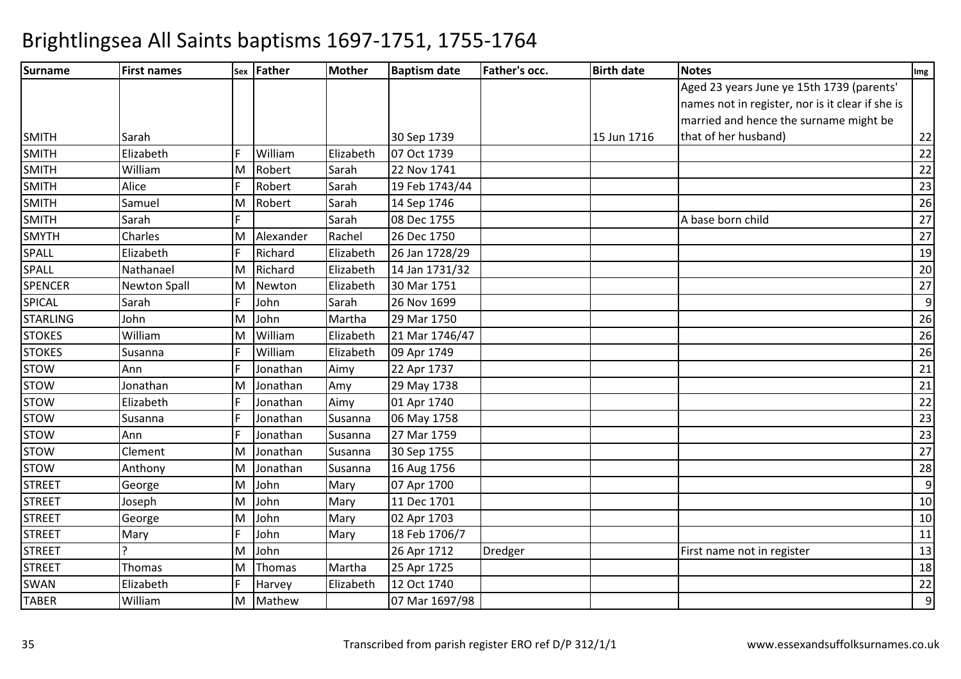| Surname         | <b>First names</b>  |    | sex Father | <b>Mother</b> | <b>Baptism date</b> | <b>Father's occ.</b> | <b>Birth date</b> | <b>Notes</b>                                     | Img             |
|-----------------|---------------------|----|------------|---------------|---------------------|----------------------|-------------------|--------------------------------------------------|-----------------|
|                 |                     |    |            |               |                     |                      |                   | Aged 23 years June ye 15th 1739 (parents'        |                 |
|                 |                     |    |            |               |                     |                      |                   | names not in register, nor is it clear if she is |                 |
|                 |                     |    |            |               |                     |                      |                   | married and hence the surname might be           |                 |
| <b>SMITH</b>    | Sarah               |    |            |               | 30 Sep 1739         |                      | 15 Jun 1716       | that of her husband)                             | 22              |
| <b>SMITH</b>    | Elizabeth           |    | William    | Elizabeth     | 07 Oct 1739         |                      |                   |                                                  | 22              |
| <b>SMITH</b>    | William             | M  | Robert     | Sarah         | 22 Nov 1741         |                      |                   |                                                  | 22              |
| <b>SMITH</b>    | Alice               |    | Robert     | Sarah         | 19 Feb 1743/44      |                      |                   |                                                  | 23              |
| SMITH           | Samuel              | M  | Robert     | Sarah         | 14 Sep 1746         |                      |                   |                                                  | 26              |
| <b>SMITH</b>    | Sarah               |    |            | Sarah         | 08 Dec 1755         |                      |                   | A base born child                                | $\overline{27}$ |
| <b>SMYTH</b>    | <b>Charles</b>      | M  | Alexander  | Rachel        | 26 Dec 1750         |                      |                   |                                                  | 27              |
| SPALL           | Elizabeth           |    | Richard    | Elizabeth     | 26 Jan 1728/29      |                      |                   |                                                  | 19              |
| <b>SPALL</b>    | Nathanael           | M  | Richard    | Elizabeth     | 14 Jan 1731/32      |                      |                   |                                                  | 20              |
| <b>SPENCER</b>  | <b>Newton Spall</b> | M  | Newton     | Elizabeth     | 30 Mar 1751         |                      |                   |                                                  | 27              |
| <b>SPICAL</b>   | Sarah               |    | John       | Sarah         | 26 Nov 1699         |                      |                   |                                                  | $\overline{9}$  |
| <b>STARLING</b> | John                | M  | John       | Martha        | 29 Mar 1750         |                      |                   |                                                  | 26              |
| <b>STOKES</b>   | William             | M  | William    | Elizabeth     | 21 Mar 1746/47      |                      |                   |                                                  | 26              |
| <b>STOKES</b>   | Susanna             |    | William    | Elizabeth     | 09 Apr 1749         |                      |                   |                                                  | 26              |
| <b>STOW</b>     | Ann                 |    | Jonathan   | Aimy          | 22 Apr 1737         |                      |                   |                                                  | 21              |
| <b>STOW</b>     | Jonathan            | M  | Jonathan   | Amy           | 29 May 1738         |                      |                   |                                                  | 21              |
| <b>STOW</b>     | Elizabeth           |    | Jonathan   | Aimy          | 01 Apr 1740         |                      |                   |                                                  | 22              |
| <b>STOW</b>     | Susanna             |    | Jonathan   | Susanna       | 06 May 1758         |                      |                   |                                                  | 23              |
| <b>STOW</b>     | Ann                 |    | Jonathan   | Susanna       | 27 Mar 1759         |                      |                   |                                                  | 23              |
| <b>STOW</b>     | Clement             | M  | Jonathan   | Susanna       | 30 Sep 1755         |                      |                   |                                                  | 27              |
| <b>STOW</b>     | Anthony             | ΙM | Jonathan   | Susanna       | 16 Aug 1756         |                      |                   |                                                  | $\overline{28}$ |
| <b>STREET</b>   | George              | M  | John       | Mary          | 07 Apr 1700         |                      |                   |                                                  | $\overline{9}$  |
| <b>STREET</b>   | Joseph              | M  | John       | Mary          | 11 Dec 1701         |                      |                   |                                                  | 10              |
| <b>STREET</b>   | George              | M  | John       | Mary          | 02 Apr 1703         |                      |                   |                                                  | $10\,$          |
| <b>STREET</b>   | Mary                |    | John       | Mary          | 18 Feb 1706/7       |                      |                   |                                                  | 11              |
| <b>STREET</b>   |                     | M  | John       |               | 26 Apr 1712         | Dredger              |                   | First name not in register                       | 13              |
| <b>STREET</b>   | Thomas              | M  | Thomas     | Martha        | 25 Apr 1725         |                      |                   |                                                  | 18              |
| <b>SWAN</b>     | Elizabeth           |    | Harvey     | Elizabeth     | 12 Oct 1740         |                      |                   |                                                  | 22              |
| TABER           | William             | M  | Mathew     |               | 07 Mar 1697/98      |                      |                   |                                                  | $\overline{9}$  |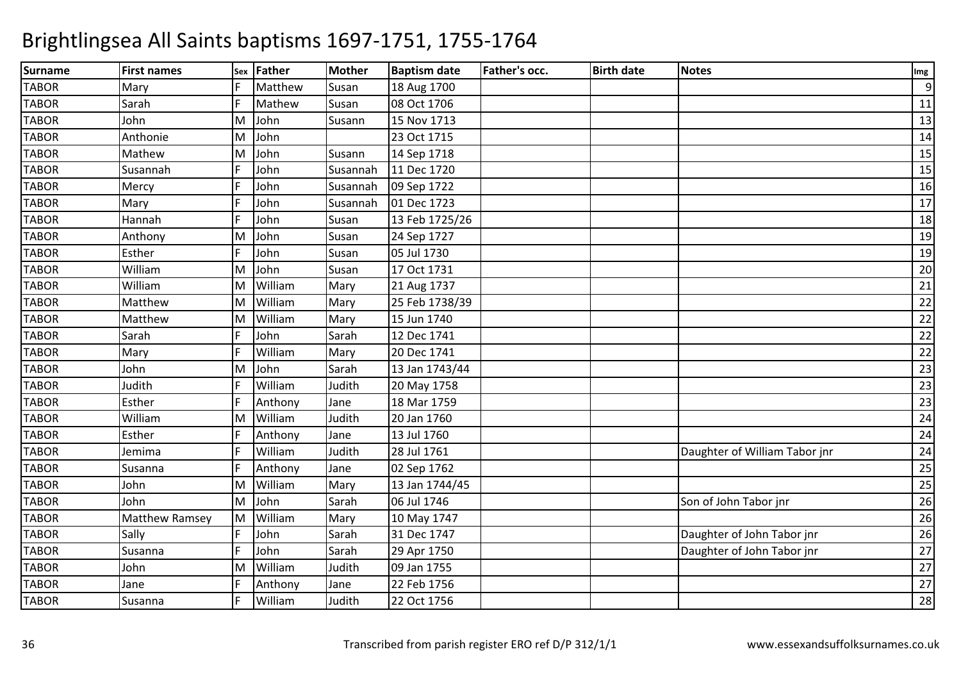| <b>Surname</b> | <b>First names</b>    | Sex | <b>Father</b> | <b>Mother</b> | <b>Baptism date</b> | <b>Father's occ.</b> | <b>Birth date</b> | <b>Notes</b>                  | Img |
|----------------|-----------------------|-----|---------------|---------------|---------------------|----------------------|-------------------|-------------------------------|-----|
| <b>TABOR</b>   | Mary                  |     | Matthew       | Susan         | 18 Aug 1700         |                      |                   |                               | 9   |
| <b>TABOR</b>   | Sarah                 |     | Mathew        | Susan         | 08 Oct 1706         |                      |                   |                               | 11  |
| <b>TABOR</b>   | John                  | M   | John          | Susann        | 15 Nov 1713         |                      |                   |                               | 13  |
| <b>TABOR</b>   | Anthonie              | M   | John          |               | 23 Oct 1715         |                      |                   |                               | 14  |
| <b>TABOR</b>   | Mathew                | M   | John          | Susann        | 14 Sep 1718         |                      |                   |                               | 15  |
| <b>TABOR</b>   | Susannah              | F   | John          | Susannah      | 11 Dec 1720         |                      |                   |                               | 15  |
| <b>TABOR</b>   | Mercy                 |     | John          | Susannah      | 09 Sep 1722         |                      |                   |                               | 16  |
| <b>TABOR</b>   | Mary                  |     | John          | Susannah      | 01 Dec 1723         |                      |                   |                               | 17  |
| <b>TABOR</b>   | Hannah                |     | John          | Susan         | 13 Feb 1725/26      |                      |                   |                               | 18  |
| <b>TABOR</b>   | Anthony               | M   | John          | Susan         | 24 Sep 1727         |                      |                   |                               | 19  |
| <b>TABOR</b>   | Esther                |     | John          | Susan         | 05 Jul 1730         |                      |                   |                               | 19  |
| <b>TABOR</b>   | William               | M   | John          | Susan         | 17 Oct 1731         |                      |                   |                               | 20  |
| <b>TABOR</b>   | William               | M   | William       | Mary          | 21 Aug 1737         |                      |                   |                               | 21  |
| <b>TABOR</b>   | Matthew               | M   | William       | Mary          | 25 Feb 1738/39      |                      |                   |                               | 22  |
| <b>TABOR</b>   | Matthew               | M   | William       | Mary          | 15 Jun 1740         |                      |                   |                               | 22  |
| <b>TABOR</b>   | Sarah                 | E   | John          | Sarah         | 12 Dec 1741         |                      |                   |                               | 22  |
| <b>TABOR</b>   | Mary                  |     | William       | Mary          | 20 Dec 1741         |                      |                   |                               | 22  |
| <b>TABOR</b>   | John                  | M   | John          | Sarah         | 13 Jan 1743/44      |                      |                   |                               | 23  |
| <b>TABOR</b>   | Judith                |     | William       | Judith        | 20 May 1758         |                      |                   |                               | 23  |
| <b>TABOR</b>   | Esther                |     | Anthony       | Jane          | 18 Mar 1759         |                      |                   |                               | 23  |
| <b>TABOR</b>   | William               | M   | William       | Judith        | 20 Jan 1760         |                      |                   |                               | 24  |
| <b>TABOR</b>   | Esther                | F   | Anthony       | Jane          | 13 Jul 1760         |                      |                   |                               | 24  |
| <b>TABOR</b>   | Jemima                |     | William       | Judith        | 28 Jul 1761         |                      |                   | Daughter of William Tabor jnr | 24  |
| <b>TABOR</b>   | Susanna               |     | Anthony       | Jane          | 02 Sep 1762         |                      |                   |                               | 25  |
| <b>TABOR</b>   | John                  | M   | William       | Mary          | 13 Jan 1744/45      |                      |                   |                               | 25  |
| <b>TABOR</b>   | John                  | M   | John          | Sarah         | 06 Jul 1746         |                      |                   | Son of John Tabor jnr         | 26  |
| <b>TABOR</b>   | <b>Matthew Ramsey</b> | M   | William       | Mary          | 10 May 1747         |                      |                   |                               | 26  |
| <b>TABOR</b>   | Sally                 |     | John          | Sarah         | 31 Dec 1747         |                      |                   | Daughter of John Tabor jnr    | 26  |
| <b>TABOR</b>   | Susanna               |     | John          | Sarah         | 29 Apr 1750         |                      |                   | Daughter of John Tabor jnr    | 27  |
| <b>TABOR</b>   | John                  | ΙM  | William       | Judith        | 09 Jan 1755         |                      |                   |                               | 27  |
| <b>TABOR</b>   | Jane                  | E   | Anthony       | Jane          | 22 Feb 1756         |                      |                   |                               | 27  |
| <b>TABOR</b>   | Susanna               | F   | William       | Judith        | 22 Oct 1756         |                      |                   |                               | 28  |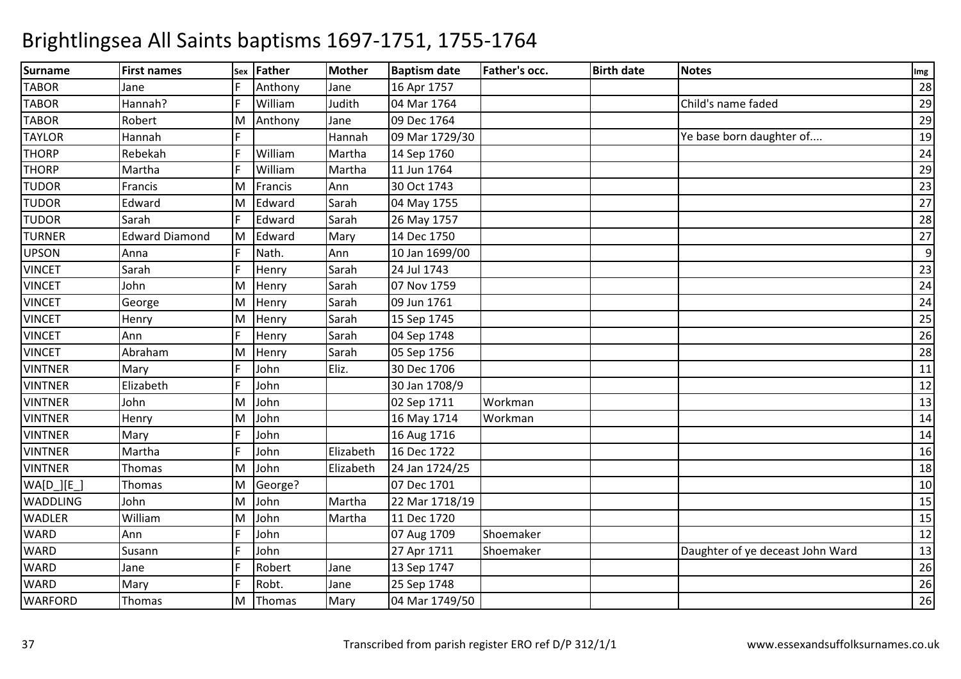| <b>Surname</b> | <b>First names</b>    |   | sex Father | <b>Mother</b> | <b>Baptism date</b> | Father's occ. | <b>Birth date</b> | <b>Notes</b>                     | Img |
|----------------|-----------------------|---|------------|---------------|---------------------|---------------|-------------------|----------------------------------|-----|
| <b>TABOR</b>   | Jane                  |   | Anthony    | Jane          | 16 Apr 1757         |               |                   |                                  | 28  |
| <b>TABOR</b>   | Hannah?               |   | William    | Judith        | 04 Mar 1764         |               |                   | Child's name faded               | 29  |
| <b>TABOR</b>   | Robert                | M | Anthony    | Jane          | 09 Dec 1764         |               |                   |                                  | 29  |
| <b>TAYLOR</b>  | Hannah                |   |            | Hannah        | 09 Mar 1729/30      |               |                   | Ye base born daughter of         | 19  |
| <b>THORP</b>   | Rebekah               |   | William    | Martha        | 14 Sep 1760         |               |                   |                                  | 24  |
| <b>THORP</b>   | Martha                |   | William    | Martha        | 11 Jun 1764         |               |                   |                                  | 29  |
| <b>TUDOR</b>   | Francis               | M | Francis    | Ann           | 30 Oct 1743         |               |                   |                                  | 23  |
| <b>TUDOR</b>   | Edward                | M | Edward     | Sarah         | 04 May 1755         |               |                   |                                  | 27  |
| <b>TUDOR</b>   | Sarah                 |   | Edward     | Sarah         | 26 May 1757         |               |                   |                                  | 28  |
| <b>TURNER</b>  | <b>Edward Diamond</b> | M | Edward     | Mary          | 14 Dec 1750         |               |                   |                                  | 27  |
| <b>UPSON</b>   | Anna                  |   | Nath.      | Ann           | 10 Jan 1699/00      |               |                   |                                  | 9   |
| <b>VINCET</b>  | Sarah                 |   | Henry      | Sarah         | 24 Jul 1743         |               |                   |                                  | 23  |
| <b>VINCET</b>  | John                  | M | Henry      | Sarah         | 07 Nov 1759         |               |                   |                                  | 24  |
| <b>VINCET</b>  | George                | M | Henry      | Sarah         | 09 Jun 1761         |               |                   |                                  | 24  |
| <b>VINCET</b>  | Henry                 | M | Henry      | Sarah         | 15 Sep 1745         |               |                   |                                  | 25  |
| <b>VINCET</b>  | Ann                   |   | Henry      | Sarah         | 04 Sep 1748         |               |                   |                                  | 26  |
| <b>VINCET</b>  | Abraham               | M | Henry      | Sarah         | 05 Sep 1756         |               |                   |                                  | 28  |
| <b>VINTNER</b> | Mary                  |   | John       | Eliz.         | 30 Dec 1706         |               |                   |                                  | 11  |
| <b>VINTNER</b> | Elizabeth             |   | John       |               | 30 Jan 1708/9       |               |                   |                                  | 12  |
| <b>VINTNER</b> | John                  | M | John       |               | 02 Sep 1711         | Workman       |                   |                                  | 13  |
| <b>VINTNER</b> | Henry                 | M | John       |               | 16 May 1714         | Workman       |                   |                                  | 14  |
| <b>VINTNER</b> | Mary                  |   | John       |               | 16 Aug 1716         |               |                   |                                  | 14  |
| <b>VINTNER</b> | Martha                |   | John       | Elizabeth     | 16 Dec 1722         |               |                   |                                  | 16  |
| <b>VINTNER</b> | Thomas                | M | John       | Elizabeth     | 24 Jan 1724/25      |               |                   |                                  | 18  |
| $WA[D_.][E_.]$ | Thomas                | M | George?    |               | 07 Dec 1701         |               |                   |                                  | 10  |
| WADDLING       | John                  | M | John       | Martha        | 22 Mar 1718/19      |               |                   |                                  | 15  |
| <b>WADLER</b>  | William               | M | John       | Martha        | 11 Dec 1720         |               |                   |                                  | 15  |
| <b>WARD</b>    | Ann                   |   | John       |               | 07 Aug 1709         | Shoemaker     |                   |                                  | 12  |
| <b>WARD</b>    | Susann                |   | John       |               | 27 Apr 1711         | Shoemaker     |                   | Daughter of ye deceast John Ward | 13  |
| <b>WARD</b>    | Jane                  |   | Robert     | Jane          | 13 Sep 1747         |               |                   |                                  | 26  |
| <b>WARD</b>    | Mary                  |   | Robt.      | Jane          | 25 Sep 1748         |               |                   |                                  | 26  |
| <b>WARFORD</b> | Thomas                | M | Thomas     | Mary          | 04 Mar 1749/50      |               |                   |                                  | 26  |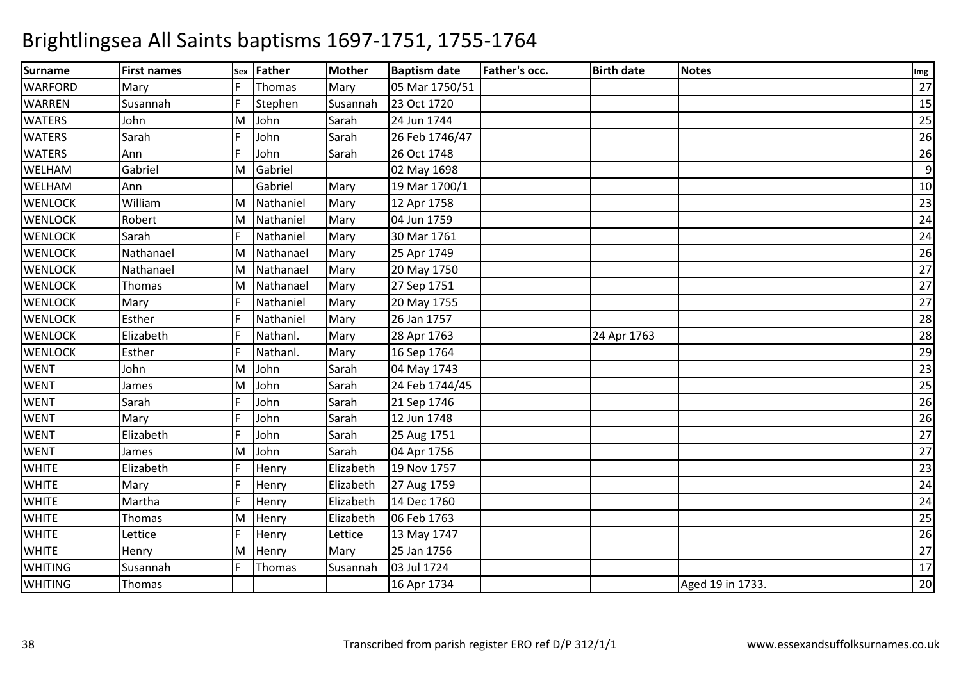| <b>Surname</b> | <b>First names</b> |   | sex Father | <b>Mother</b> | <b>Baptism date</b> | Father's occ. | <b>Birth date</b> | <b>Notes</b>     | Img |
|----------------|--------------------|---|------------|---------------|---------------------|---------------|-------------------|------------------|-----|
| <b>WARFORD</b> | Mary               |   | Thomas     | Mary          | 05 Mar 1750/51      |               |                   |                  | 27  |
| WARREN         | Susannah           | F | Stephen    | Susannah      | 23 Oct 1720         |               |                   |                  | 15  |
| <b>WATERS</b>  | John               | M | John       | Sarah         | 24 Jun 1744         |               |                   |                  | 25  |
| <b>WATERS</b>  | Sarah              |   | John       | Sarah         | 26 Feb 1746/47      |               |                   |                  | 26  |
| <b>WATERS</b>  | Ann                | p | John       | Sarah         | 26 Oct 1748         |               |                   |                  | 26  |
| WELHAM         | Gabriel            | M | Gabriel    |               | 02 May 1698         |               |                   |                  | 9   |
| WELHAM         | Ann                |   | Gabriel    | Mary          | 19 Mar 1700/1       |               |                   |                  | 10  |
| <b>WENLOCK</b> | William            | M | Nathaniel  | Mary          | 12 Apr 1758         |               |                   |                  | 23  |
| <b>WENLOCK</b> | Robert             | M | Nathaniel  | Mary          | 04 Jun 1759         |               |                   |                  | 24  |
| <b>WENLOCK</b> | Sarah              |   | Nathaniel  | Mary          | 30 Mar 1761         |               |                   |                  | 24  |
| <b>WENLOCK</b> | Nathanael          | M | Nathanael  | Mary          | 25 Apr 1749         |               |                   |                  | 26  |
| <b>WENLOCK</b> | Nathanael          | M | Nathanael  | Mary          | 20 May 1750         |               |                   |                  | 27  |
| <b>WENLOCK</b> | Thomas             | M | Nathanael  | Mary          | 27 Sep 1751         |               |                   |                  | 27  |
| <b>WENLOCK</b> | Mary               |   | Nathaniel  | Mary          | 20 May 1755         |               |                   |                  | 27  |
| <b>WENLOCK</b> | Esther             |   | Nathaniel  | Mary          | 26 Jan 1757         |               |                   |                  | 28  |
| <b>WENLOCK</b> | Elizabeth          |   | Nathanl.   | Mary          | 28 Apr 1763         |               | 24 Apr 1763       |                  | 28  |
| <b>WENLOCK</b> | Esther             |   | Nathanl.   | Mary          | 16 Sep 1764         |               |                   |                  | 29  |
| <b>WENT</b>    | John               | M | John       | Sarah         | 04 May 1743         |               |                   |                  | 23  |
| <b>WENT</b>    | James              | M | John       | Sarah         | 24 Feb 1744/45      |               |                   |                  | 25  |
| <b>WENT</b>    | Sarah              | p | John       | Sarah         | 21 Sep 1746         |               |                   |                  | 26  |
| <b>WENT</b>    | Mary               | F | John       | Sarah         | 12 Jun 1748         |               |                   |                  | 26  |
| <b>WENT</b>    | Elizabeth          |   | John       | Sarah         | 25 Aug 1751         |               |                   |                  | 27  |
| <b>WENT</b>    | James              | M | John       | Sarah         | 04 Apr 1756         |               |                   |                  | 27  |
| <b>WHITE</b>   | Elizabeth          |   | Henry      | Elizabeth     | 19 Nov 1757         |               |                   |                  | 23  |
| <b>WHITE</b>   | Mary               |   | Henry      | Elizabeth     | 27 Aug 1759         |               |                   |                  | 24  |
| <b>WHITE</b>   | Martha             | F | Henry      | Elizabeth     | 14 Dec 1760         |               |                   |                  | 24  |
| <b>WHITE</b>   | Thomas             | M | Henry      | Elizabeth     | 06 Feb 1763         |               |                   |                  | 25  |
| <b>WHITE</b>   | Lettice            |   | Henry      | Lettice       | 13 May 1747         |               |                   |                  | 26  |
| <b>WHITE</b>   | Henry              | M | Henry      | Mary          | 25 Jan 1756         |               |                   |                  | 27  |
| <b>WHITING</b> | Susannah           |   | Thomas     | Susannah      | 03 Jul 1724         |               |                   |                  | 17  |
| <b>WHITING</b> | Thomas             |   |            |               | 16 Apr 1734         |               |                   | Aged 19 in 1733. | 20  |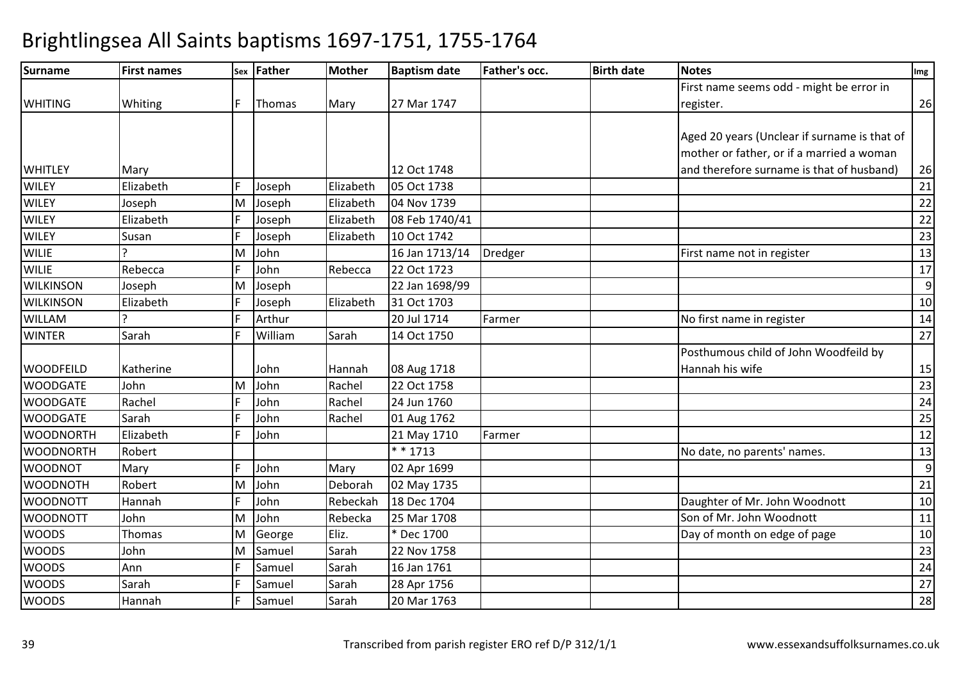| Surname          | <b>First names</b> |   | Sex Father | Mother    | <b>Baptism date</b> | <b>Father's occ.</b> | <b>Birth date</b> | <b>Notes</b>                                 | Img            |
|------------------|--------------------|---|------------|-----------|---------------------|----------------------|-------------------|----------------------------------------------|----------------|
|                  |                    |   |            |           |                     |                      |                   | First name seems odd - might be error in     |                |
| <b>WHITING</b>   | Whiting            |   | Thomas     | Mary      | 27 Mar 1747         |                      |                   | register.                                    | 26             |
|                  |                    |   |            |           |                     |                      |                   |                                              |                |
|                  |                    |   |            |           |                     |                      |                   | Aged 20 years (Unclear if surname is that of |                |
|                  |                    |   |            |           |                     |                      |                   | mother or father, or if a married a woman    |                |
| <b>WHITLEY</b>   | Mary               |   |            |           | 12 Oct 1748         |                      |                   | and therefore surname is that of husband)    | 26             |
| <b>WILEY</b>     | Elizabeth          |   | Joseph     | Elizabeth | 05 Oct 1738         |                      |                   |                                              | 21             |
| <b>WILEY</b>     | Joseph             | M | Joseph     | Elizabeth | 04 Nov 1739         |                      |                   |                                              | 22             |
| <b>WILEY</b>     | Elizabeth          |   | Joseph     | Elizabeth | 08 Feb 1740/41      |                      |                   |                                              | 22             |
| <b>WILEY</b>     | Susan              |   | Joseph     | Elizabeth | 10 Oct 1742         |                      |                   |                                              | 23             |
| <b>WILIE</b>     |                    | M | John       |           | 16 Jan 1713/14      | Dredger              |                   | First name not in register                   | 13             |
| <b>WILIE</b>     | Rebecca            |   | John       | Rebecca   | 22 Oct 1723         |                      |                   |                                              | 17             |
| <b>WILKINSON</b> | Joseph             | M | Joseph     |           | 22 Jan 1698/99      |                      |                   |                                              | $\overline{9}$ |
| <b>WILKINSON</b> | Elizabeth          |   | Joseph     | Elizabeth | 31 Oct 1703         |                      |                   |                                              | 10             |
| <b>WILLAM</b>    | $\overline{ }$     |   | Arthur     |           | 20 Jul 1714         | Farmer               |                   | No first name in register                    | 14             |
| <b>WINTER</b>    | Sarah              |   | William    | Sarah     | 14 Oct 1750         |                      |                   |                                              | 27             |
|                  |                    |   |            |           |                     |                      |                   | Posthumous child of John Woodfeild by        |                |
| <b>WOODFEILD</b> | Katherine          |   | John       | Hannah    | 08 Aug 1718         |                      |                   | Hannah his wife                              | 15             |
| <b>WOODGATE</b>  | John               | M | John       | Rachel    | 22 Oct 1758         |                      |                   |                                              | 23             |
| <b>WOODGATE</b>  | Rachel             |   | John       | Rachel    | 24 Jun 1760         |                      |                   |                                              | 24             |
| <b>WOODGATE</b>  | Sarah              |   | John       | Rachel    | 01 Aug 1762         |                      |                   |                                              | 25             |
| <b>WOODNORTH</b> | Elizabeth          |   | John       |           | 21 May 1710         | Farmer               |                   |                                              | 12             |
| <b>WOODNORTH</b> | Robert             |   |            |           | * * 1713            |                      |                   | No date, no parents' names.                  | 13             |
| <b>WOODNOT</b>   | Mary               |   | John       | Mary      | 02 Apr 1699         |                      |                   |                                              | 9              |
| <b>WOODNOTH</b>  | Robert             | M | John       | Deborah   | 02 May 1735         |                      |                   |                                              | 21             |
| <b>WOODNOTT</b>  | Hannah             |   | John       | Rebeckah  | 18 Dec 1704         |                      |                   | Daughter of Mr. John Woodnott                | 10             |
| <b>WOODNOTT</b>  | John               | M | John       | Rebecka   | 25 Mar 1708         |                      |                   | Son of Mr. John Woodnott                     | 11             |
| <b>WOODS</b>     | Thomas             | М | George     | Eliz.     | * Dec 1700          |                      |                   | Day of month on edge of page                 | 10             |
| <b>WOODS</b>     | John               | M | Samuel     | Sarah     | 22 Nov 1758         |                      |                   |                                              | 23             |
| <b>WOODS</b>     | Ann                |   | Samuel     | Sarah     | 16 Jan 1761         |                      |                   |                                              | 24             |
| <b>WOODS</b>     | Sarah              |   | Samuel     | Sarah     | 28 Apr 1756         |                      |                   |                                              | 27             |
| <b>WOODS</b>     | Hannah             |   | Samuel     | Sarah     | 20 Mar 1763         |                      |                   |                                              | 28             |